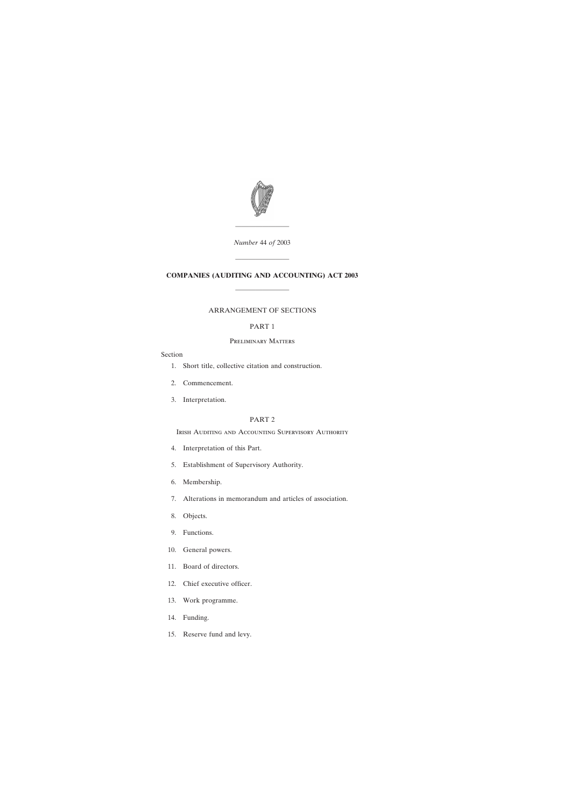

*Number* 44 *of* 2003

————————

# **COMPANIES (AUDITING AND ACCOUNTING) ACT 2003**

————————

————————

# ARRANGEMENT OF SECTIONS

# PART 1

# Preliminary Matters

# Section

- [1. Short title, collective citation and construction.](#page-4-0)
- [2. Commencement.](#page-4-0)
- [3. Interpretation.](#page-4-0)

# PART 2

IRISH AUDITING AND ACCOUNTING SUPERVISORY AUTHORITY

- [4. Interpretation of this Part.](#page-5-0)
- [5. Establishment of Supervisory Authority.](#page-6-0)
- [6. Membership.](#page-6-0)
- [7. Alterations in memorandum and articles of association.](#page-7-0)
- [8. Objects.](#page-7-0)
- [9. Functions.](#page-8-0)
- [10. General powers.](#page-9-0)
- [11. Board of directors.](#page-9-0)
- [12. Chief executive officer.](#page-11-0)
- [13. Work programme.](#page-11-0)
- [14. Funding.](#page-12-0)
- [15. Reserve fund and levy.](#page-13-0)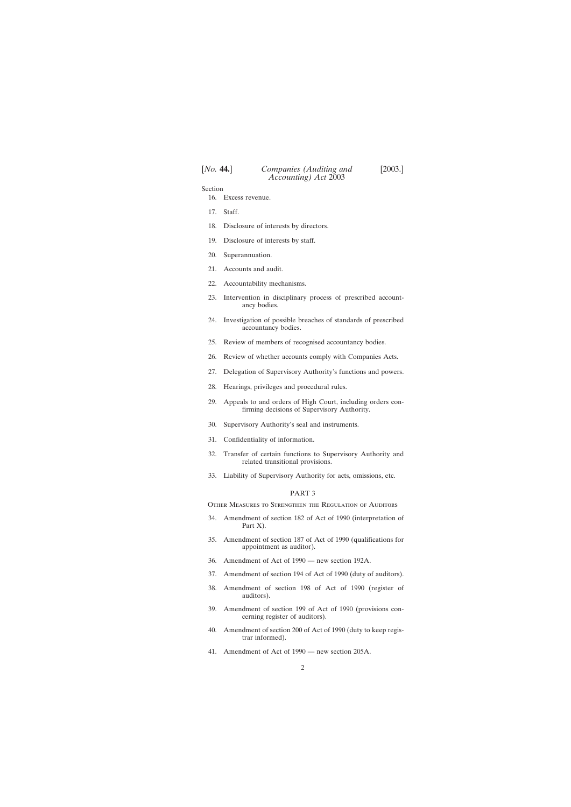Section

- [16. Excess revenue.](#page-15-0)
- [17. Staff.](#page-15-0)
- [18. Disclosure of interests by directors.](#page-16-0)
- [19. Disclosure of interests by staff.](#page-17-0)
- [20. Superannuation.](#page-17-0)
- [21. Accounts and audit.](#page-18-0)
- [22. Accountability mechanisms.](#page-19-0)
- [23. Intervention in disciplinary process of prescribed account](#page-20-0)[ancy bodies.](#page-20-0)
- [24. Investigation of possible breaches of standards of prescribed](#page-22-0) [accountancy bodies.](#page-22-0)
- [25. Review of members of recognised accountancy bodies.](#page-24-0)
- [26. Review of whether accounts comply with Companies Acts.](#page-24-0)
- [27. Delegation of Supervisory Authority's functions and powers.](#page-27-0)
- [28. Hearings, privileges and procedural rules.](#page-28-0)
- [29. Appeals to and orders of High Court, including orders con](#page-28-0)[firming decisions of Supervisory Authority.](#page-28-0)
- [30. Supervisory Authority's seal and instruments.](#page-29-0)
- [31. Confidentiality of information.](#page-29-0)
- [32. Transfer of certain functions to Supervisory Authority and](#page-30-0) [related transitional provisions.](#page-30-0)
- [33. Liability of Supervisory Authority for acts, omissions, etc.](#page-32-0)

#### PART 3

Other Measures to Strengthen the Regulation of Auditors

- [34. Amendment of section 182 of Act of 1990 \(interpretation of](#page-33-0) [Part X\).](#page-33-0)
- [35. Amendment of section 187 of Act of 1990 \(qualifications for](#page-34-0) [appointment as auditor\).](#page-34-0)
- [36. Amendment of Act of 1990 new section 192A.](#page-35-0)
- [37. Amendment of section 194 of Act of 1990 \(duty of auditors\).](#page-37-0)
- [38. Amendment of section 198 of Act of 1990 \(register of](#page-38-0) [auditors\).](#page-38-0)
- [39. Amendment of section 199 of Act of 1990 \(provisions con](#page-39-0)[cerning register of auditors\).](#page-39-0)
- [40. Amendment of section 200 of Act of 1990 \(duty to keep regis](#page-40-0)[trar informed\).](#page-40-0)
- [41. Amendment of Act of 1990 new section 205A.](#page-41-0)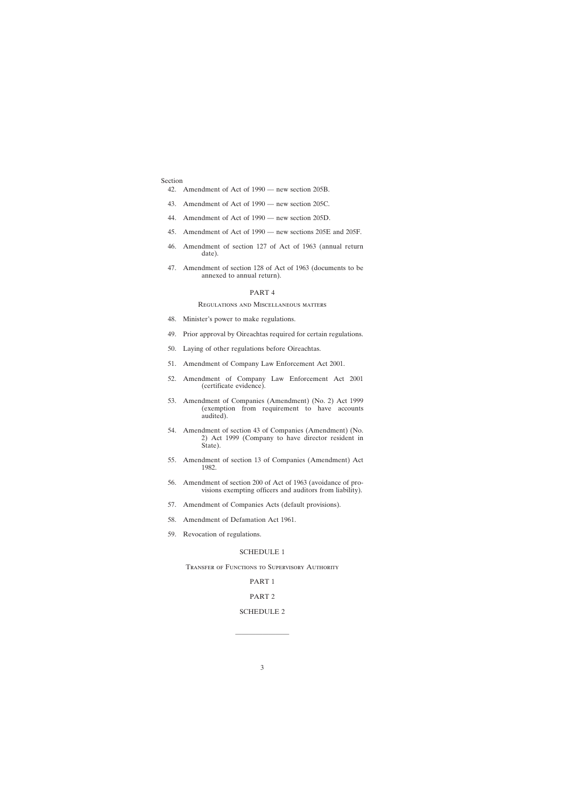#### Section

- [42. Amendment of Act of 1990 new section 205B.](#page-42-0)
- [43. Amendment of Act of 1990 new section 205C.](#page-49-0)
- [44. Amendment of Act of 1990 new section 205D.](#page-49-0)
- [45. Amendment of Act of 1990 new sections 205E and 205F.](#page-53-0)
- [46. Amendment of section 127 of Act of 1963 \(annual return](#page-57-0) [date\).](#page-57-0)
- [47. Amendment of section 128 of Act of 1963 \(documents to be](#page-57-0) [annexed to annual return\).](#page-57-0)

### PART 4

#### Regulations and Miscellaneous matters

- [48. Minister's power to make regulations.](#page-58-0)
- [49. Prior approval by Oireachtas required for certain regulations.](#page-60-0)
- [50. Laying of other regulations before Oireachtas.](#page-60-0)
- [51. Amendment of Company Law Enforcement Act 2001.](#page-60-0)
- [52. Amendment of Company Law Enforcement Act 2001](#page-60-0) [\(certificate evidence\).](#page-60-0)
- [53. Amendment of Companies \(Amendment\) \(No. 2\) Act 1999](#page-63-0) [\(exemption from requirement to have accounts](#page-63-0) [audited\).](#page-63-0)
- [54. Amendment of section 43 of Companies \(Amendment\) \(No.](#page-64-0) [2\) Act 1999 \(Company to have director resident in](#page-64-0) [State\).](#page-64-0)
- [55. Amendment of section 13 of Companies \(Amendment\) Act](#page-64-0) [1982.](#page-64-0)
- [56. Amendment of section 200 of Act of 1963 \(avoidance of pro](#page-64-0)[visions exempting officers and auditors from liability\).](#page-64-0)
- [57. Amendment of Companies Acts \(default provisions\).](#page-64-0)
- [58. Amendment of Defamation Act 1961.](#page-64-0)
- [59. Revocation of regulations.](#page-65-0)

#### [SCHEDULE 1](#page-66-0)

Transfer of Functions to Supervisory Authority

#### PART 1

#### PART 2

#### [SCHEDULE 2](#page-67-0)

————————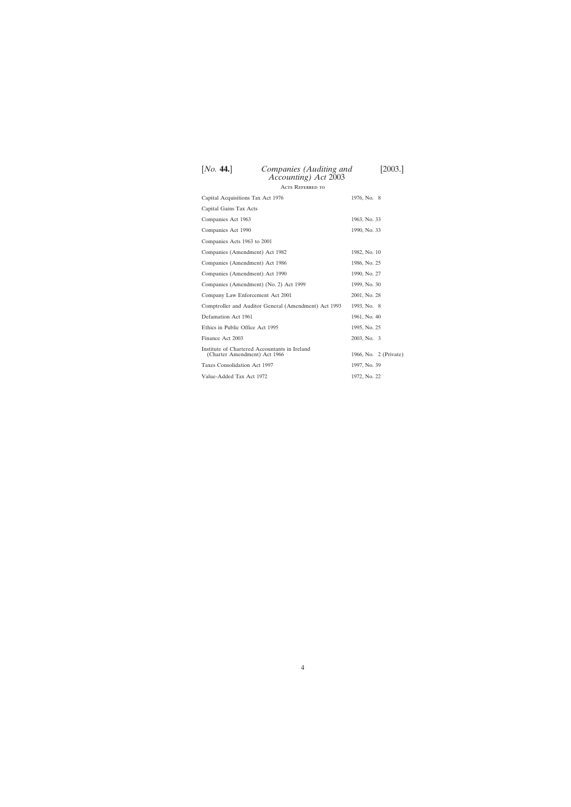| <b>ACTS REFERRED TO</b>                                                       |                       |
|-------------------------------------------------------------------------------|-----------------------|
| Capital Acquisitions Tax Act 1976                                             | 1976, No. 8           |
| Capital Gains Tax Acts                                                        |                       |
| Companies Act 1963                                                            | 1963, No. 33          |
| Companies Act 1990                                                            | 1990, No. 33          |
| Companies Acts 1963 to 2001                                                   |                       |
| Companies (Amendment) Act 1982                                                | 1982, No. 10          |
| Companies (Amendment) Act 1986                                                | 1986, No. 25          |
| Companies (Amendment) Act 1990                                                | 1990, No. 27          |
| Companies (Amendment) (No. 2) Act 1999                                        | 1999, No. 30          |
| Company Law Enforcement Act 2001                                              | 2001, No. 28          |
| Comptroller and Auditor General (Amendment) Act 1993                          | 1993, No. 8           |
| Defamation Act 1961                                                           | 1961, No. 40          |
| Ethics in Public Office Act 1995                                              | 1995, No. 25          |
| Finance Act 2003                                                              | 2003, No. 3           |
| Institute of Chartered Accountants in Ireland<br>(Charter Amendment) Act 1966 | 1966, No. 2 (Private) |
| Taxes Consolidation Act 1997                                                  | 1997, No. 39          |
| Value-Added Tax Act 1972                                                      | 1972, No. 22          |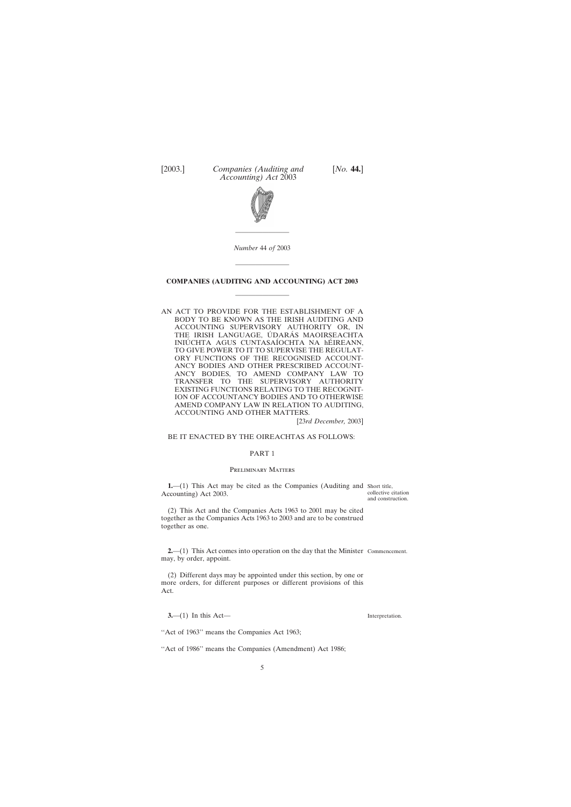<span id="page-4-0"></span>



*Number* 44 *of* 2003

————————

————————

# **COMPANIES (AUDITING AND ACCOUNTING) ACT 2003** ————————

AN ACT TO PROVIDE FOR THE ESTABLISHMENT OF A BODY TO BE KNOWN AS THE IRISH AUDITING AND ACCOUNTING SUPERVISORY AUTHORITY OR, IN THE IRISH LANGUAGE, UDARAS MAOIRSEACHTA INIÚ CHTA AGUS CUNTASAÍOCHTA NA hÉIREANN, TO GIVE POWER TO IT TO SUPERVISE THE REGULAT-ORY FUNCTIONS OF THE RECOGNISED ACCOUNT-ANCY BODIES AND OTHER PRESCRIBED ACCOUNT-ANCY BODIES, TO AMEND COMPANY LAW TO TRANSFER TO THE SUPERVISORY AUTHORITY EXISTING FUNCTIONS RELATING TO THE RECOGNIT-ION OF ACCOUNTANCY BODIES AND TO OTHERWISE AMEND COMPANY LAW IN RELATION TO AUDITING, ACCOUNTING AND OTHER MATTERS.

[23*rd December,* 2003]

#### BE IT ENACTED BY THE OIREACHTAS AS FOLLOWS:

#### PART 1

#### Preliminary Matters

**1.**—(1) This Act may be cited as the Companies (Auditing and Short title, Accounting) Act 2003.

collective citation and construction.

(2) This Act and the Companies Acts 1963 to 2001 may be cited together as the Companies Acts 1963 to 2003 and are to be construed together as one.

**2.**—(1) This Act comes into operation on the day that the Minister Commencement. may, by order, appoint.

(2) Different days may be appointed under this section, by one or more orders, for different purposes or different provisions of this Act.

**3.**—(1) In this Act—

''Act of 1963'' means the Companies Act 1963;

"Act of 1986" means the Companies (Amendment) Act 1986;

Interpretation.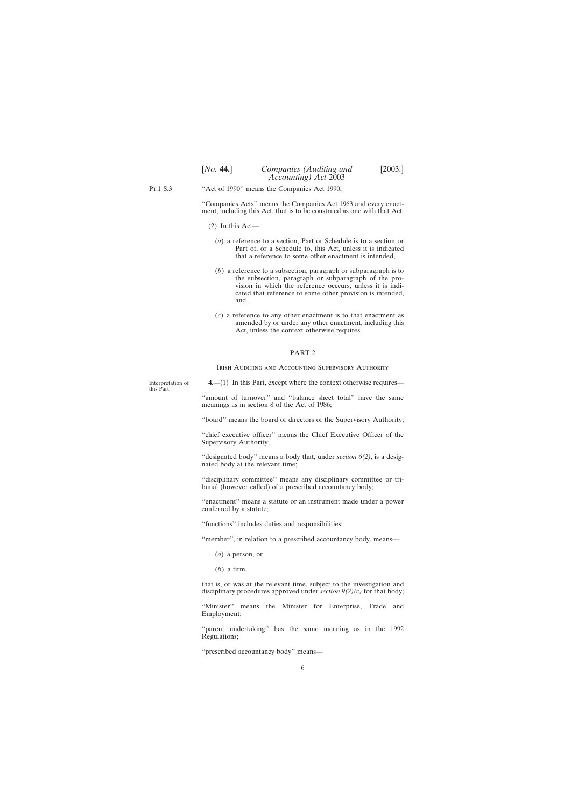<span id="page-5-0"></span>Pt.1 S.3 ''Act of 1990'' means the Companies Act 1990;

> ''Companies Acts'' means the Companies Act 1963 and every enactment, including this Act, that is to be construed as one with that Act.

- (2) In this Act—
	- (*a*) a reference to a section, Part or Schedule is to a section or Part of, or a Schedule to, this Act, unless it is indicated that a reference to some other enactment is intended,
	- (*b*) a reference to a subsection, paragraph or subparagraph is to the subsection, paragraph or subparagraph of the provision in which the reference occcurs, unless it is indicated that reference to some other provision is intended, and
	- (*c*) a reference to any other enactment is to that enactment as amended by or under any other enactment, including this Act, unless the context otherwise requires.

#### PART 2

IRISH AUDITING AND ACCOUNTING SUPERVISORY AUTHORITY

Interpretation of this Part.

**4.**—(1) In this Part, except where the context otherwise requires—

"amount of turnover" and "balance sheet total" have the same meanings as in section 8 of the Act of 1986;

''board'' means the board of directors of the Supervisory Authority;

"chief executive officer" means the Chief Executive Officer of the Supervisory Authority;

''designated body'' means a body that, under *section 6(2)*, is a designated body at the relevant time;

''disciplinary committee'' means any disciplinary committee or tribunal (however called) of a prescribed accountancy body;

''enactment'' means a statute or an instrument made under a power conferred by a statute;

''functions'' includes duties and responsibilities;

''member'', in relation to a prescribed accountancy body, means—

(*a*) a person, or

(*b*) a firm,

that is, or was at the relevant time, subject to the investigation and disciplinary procedures approved under *section 9(2)(c)* for that body;

"Minister" means the Minister for Enterprise, Trade and Employment;

"parent undertaking" has the same meaning as in the 1992 Regulations;

''prescribed accountancy body'' means—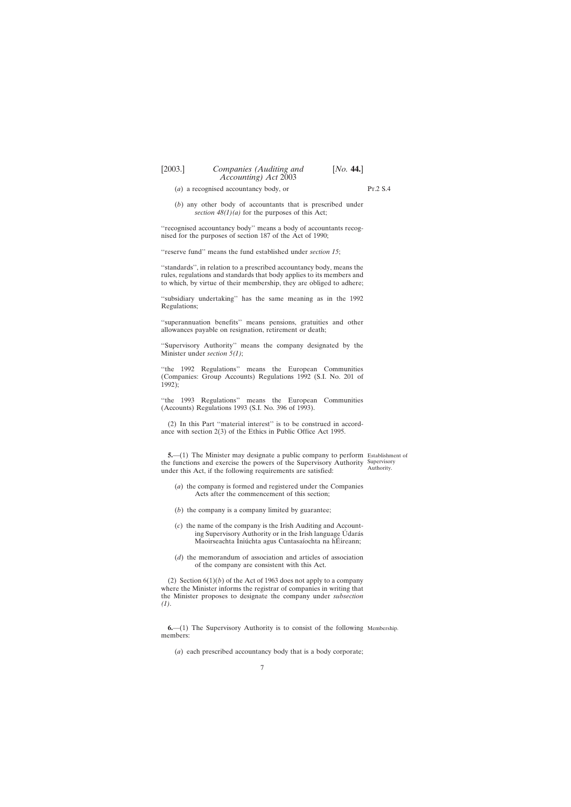- <span id="page-6-0"></span>(*a*) a recognised accountancy body, or
- (*b*) any other body of accountants that is prescribed under *section 48(1)(a)* for the purposes of this Act;

"recognised accountancy body" means a body of accountants recognised for the purposes of section 187 of the Act of 1990;

''reserve fund'' means the fund established under *section 15*;

''standards'', in relation to a prescribed accountancy body, means the rules, regulations and standards that body applies to its members and to which, by virtue of their membership, they are obliged to adhere;

''subsidiary undertaking'' has the same meaning as in the 1992 Regulations;

''superannuation benefits'' means pensions, gratuities and other allowances payable on resignation, retirement or death;

''Supervisory Authority'' means the company designated by the Minister under *section 5(1)*;

''the 1992 Regulations'' means the European Communities (Companies: Group Accounts) Regulations 1992 (S.I. No. 201 of 1992);

''the 1993 Regulations'' means the European Communities (Accounts) Regulations 1993 (S.I. No. 396 of 1993).

(2) In this Part ''material interest'' is to be construed in accordance with section 2(3) of the Ethics in Public Office Act 1995.

**5.**—(1) The Minister may designate a public company to perform Establishment of the functions and exercise the powers of the Supervisory Authority Supervisory under this Act, if the following requirements are satisfied:

Authority.

- (*a*) the company is formed and registered under the Companies Acts after the commencement of this section;
- (*b*) the company is a company limited by guarantee;
- (*c*) the name of the company is the Irish Auditing and Accounting Supervisory Authority or in the Irish language Údarás Maoirseachta Iniúchta agus Cuntasaíochta na hÉireann;
- (*d*) the memorandum of association and articles of association of the company are consistent with this Act.

(2) Section  $6(1)(b)$  of the Act of 1963 does not apply to a company where the Minister informs the registrar of companies in writing that the Minister proposes to designate the company under *subsection (1)*.

**6.**—(1) The Supervisory Authority is to consist of the following Membership.members:

(*a*) each prescribed accountancy body that is a body corporate;

Pt.2 S.4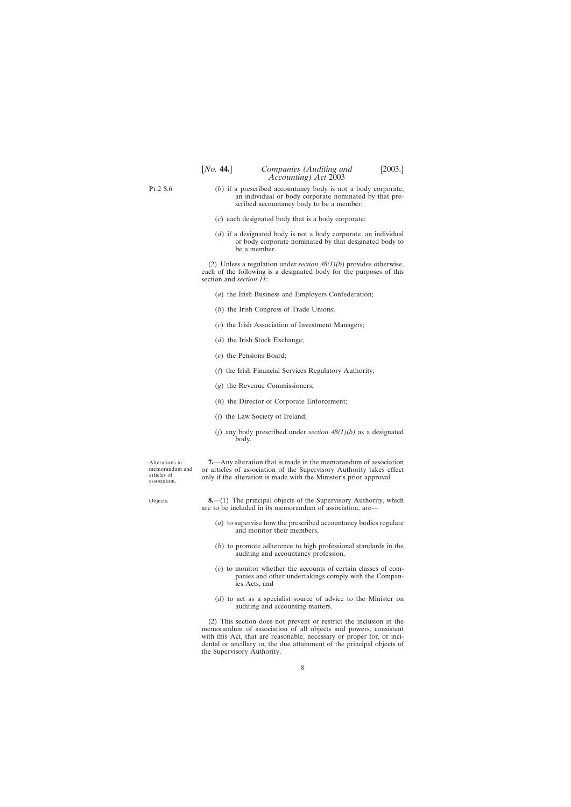- <span id="page-7-0"></span>(*b*) if a prescribed accountancy body is not a body corporate, an individual or body corporate nominated by that prescribed accountancy body to be a member;
- (*c*) each designated body that is a body corporate;
- (*d*) if a designated body is not a body corporate, an individual or body corporate nominated by that designated body to be a member.

(2) Unless a regulation under *section 48(1)(b)* provides otherwise, each of the following is a designated body for the purposes of this section and *section 11*:

- (*a*) the Irish Business and Employers Confederation;
- (*b*) the Irish Congress of Trade Unions;
- (*c*) the Irish Association of Investment Managers;
- (*d*) the Irish Stock Exchange;
- (*e*) the Pensions Board;
- (*f*) the Irish Financial Services Regulatory Authority;
- (*g*) the Revenue Commissioners;
- (*h*) the Director of Corporate Enforcement;
- (*i*) the Law Society of Ireland;
- (*j*) any body prescribed under *section 48(1)(b)* as a designated body.

Alterations in memorandum and articles of association.

Objects.

**7.**—Any alteration that is made in the memorandum of association or articles of association of the Supervisory Authority takes effect only if the alteration is made with the Minister's prior approval.

**8.**—(1) The principal objects of the Supervisory Authority, which are to be included in its memorandum of association, are—

- (*a*) to supervise how the prescribed accountancy bodies regulate and monitor their members,
- (*b*) to promote adherence to high professional standards in the auditing and accountancy profession,
- (*c*) to monitor whether the accounts of certain classes of companies and other undertakings comply with the Companies Acts, and
- (*d*) to act as a specialist source of advice to the Minister on auditing and accounting matters.

(2) This section does not prevent or restrict the inclusion in the memorandum of association of all objects and powers, consistent with this Act, that are reasonable, necessary or proper for, or incidental or ancillary to, the due attainment of the principal objects of the Supervisory Authority.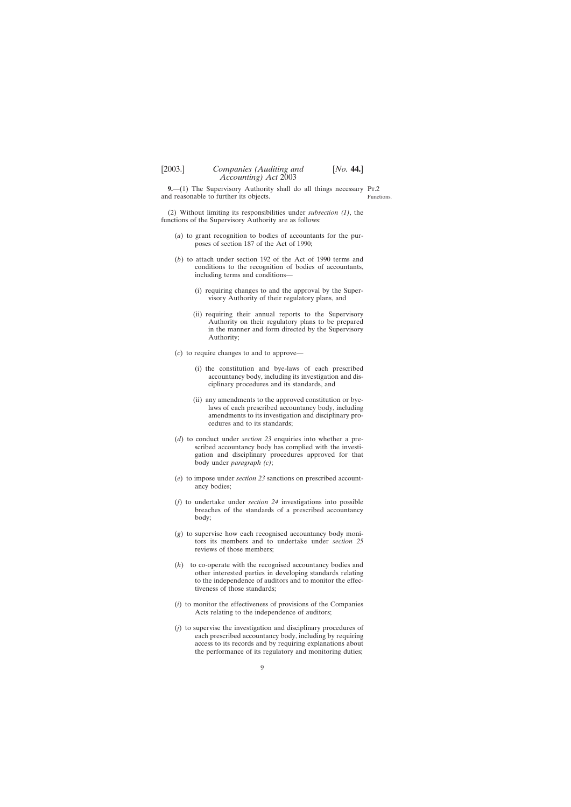<span id="page-8-0"></span>**9.**—(1) The Supervisory Authority shall do all things necessary Pr.2 and reasonable to further its objects.

Functions.

(2) Without limiting its responsibilities under *subsection (1)*, the functions of the Supervisory Authority are as follows:

- (*a*) to grant recognition to bodies of accountants for the purposes of section 187 of the Act of 1990;
- (*b*) to attach under section 192 of the Act of 1990 terms and conditions to the recognition of bodies of accountants, including terms and conditions—
	- (i) requiring changes to and the approval by the Supervisory Authority of their regulatory plans, and
	- (ii) requiring their annual reports to the Supervisory Authority on their regulatory plans to be prepared in the manner and form directed by the Supervisory Authority;
- (*c*) to require changes to and to approve—
	- (i) the constitution and bye-laws of each prescribed accountancy body, including its investigation and disciplinary procedures and its standards, and
	- (ii) any amendments to the approved constitution or byelaws of each prescribed accountancy body, including amendments to its investigation and disciplinary procedures and to its standards;
- (*d*) to conduct under *section 23* enquiries into whether a prescribed accountancy body has complied with the investigation and disciplinary procedures approved for that body under *paragraph (c)*;
- (*e*) to impose under *section 23* sanctions on prescribed accountancy bodies;
- (*f*) to undertake under *section 24* investigations into possible breaches of the standards of a prescribed accountancy body;
- (*g*) to supervise how each recognised accountancy body monitors its members and to undertake under *section 25* reviews of those members;
- (*h*) to co-operate with the recognised accountancy bodies and other interested parties in developing standards relating to the independence of auditors and to monitor the effectiveness of those standards;
- (*i*) to monitor the effectiveness of provisions of the Companies Acts relating to the independence of auditors;
- (*j*) to supervise the investigation and disciplinary procedures of each prescribed accountancy body, including by requiring access to its records and by requiring explanations about the performance of its regulatory and monitoring duties;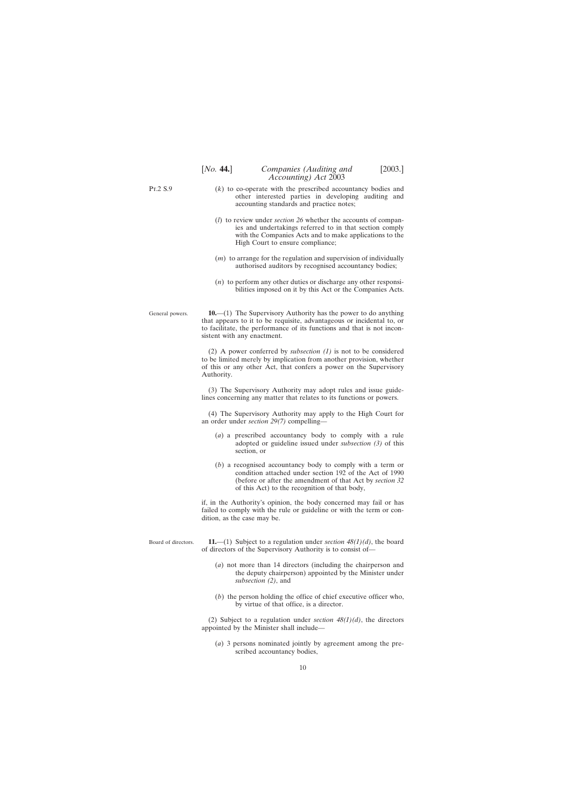<span id="page-9-0"></span>Pt.2 S.9

- (*k*) to co-operate with the prescribed accountancy bodies and other interested parties in developing auditing and accounting standards and practice notes;
- (*l*) to review under *section 26* whether the accounts of companies and undertakings referred to in that section comply with the Companies Acts and to make applications to the High Court to ensure compliance;
- (*m*) to arrange for the regulation and supervision of individually authorised auditors by recognised accountancy bodies;
- (*n*) to perform any other duties or discharge any other responsibilities imposed on it by this Act or the Companies Acts.

General powers.

**10.**—(1) The Supervisory Authority has the power to do anything that appears to it to be requisite, advantageous or incidental to, or to facilitate, the performance of its functions and that is not inconsistent with any enactment.

(2) A power conferred by *subsection (1)* is not to be considered to be limited merely by implication from another provision, whether of this or any other Act, that confers a power on the Supervisory Authority.

(3) The Supervisory Authority may adopt rules and issue guidelines concerning any matter that relates to its functions or powers.

(4) The Supervisory Authority may apply to the High Court for an order under *section 29(7)* compelling—

- (*a*) a prescribed accountancy body to comply with a rule adopted or guideline issued under *subsection (3)* of this section, or
- (*b*) a recognised accountancy body to comply with a term or condition attached under section 192 of the Act of 1990 (before or after the amendment of that Act by *section 32* of this Act) to the recognition of that body,

if, in the Authority's opinion, the body concerned may fail or has failed to comply with the rule or guideline or with the term or condition, as the case may be.

Board of directors.

**11.**—(1) Subject to a regulation under *section 48(1)(d)*, the board of directors of the Supervisory Authority is to consist of—

- (*a*) not more than 14 directors (including the chairperson and the deputy chairperson) appointed by the Minister under *subsection (2)*, and
- (*b*) the person holding the office of chief executive officer who, by virtue of that office, is a director.

(2) Subject to a regulation under *section 48(1)(d)*, the directors appointed by the Minister shall include—

(*a*) 3 persons nominated jointly by agreement among the prescribed accountancy bodies,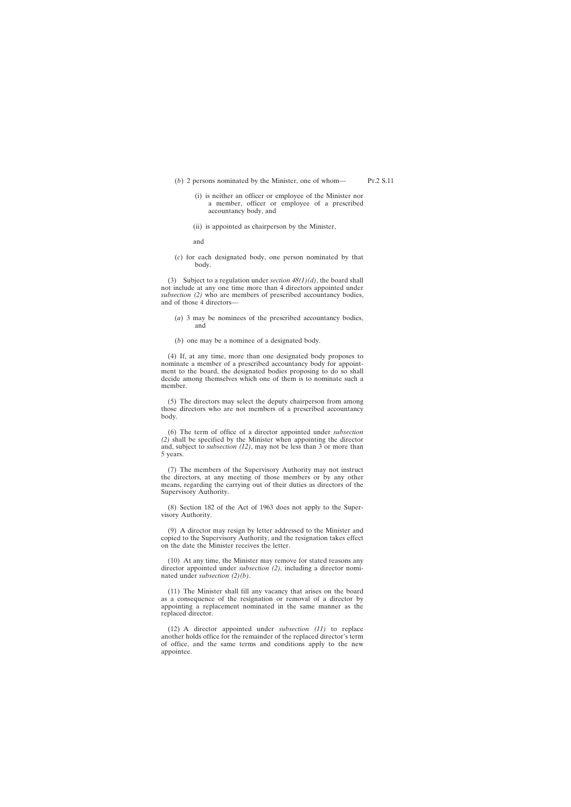(*b*) 2 persons nominated by the Minister, one of whom—

accountancy body, and

- (i) is neither an officer or employee of the Minister nor a member, officer or employee of a prescribed
- (ii) is appointed as chairperson by the Minister,

and

(*c*) for each designated body, one person nominated by that body.

(3) Subject to a regulation under *section 48(1)(d)*, the board shall not include at any one time more than 4 directors appointed under *subsection (2)* who are members of prescribed accountancy bodies, and of those 4 directors—

- (*a*) 3 may be nominees of the prescribed accountancy bodies, and
- (*b*) one may be a nominee of a designated body.

(4) If, at any time, more than one designated body proposes to nominate a member of a prescribed accountancy body for appointment to the board, the designated bodies proposing to do so shall decide among themselves which one of them is to nominate such a member.

(5) The directors may select the deputy chairperson from among those directors who are not members of a prescribed accountancy body.

(6) The term of office of a director appointed under *subsection (2)* shall be specified by the Minister when appointing the director and, subject to *subsection (12)*, may not be less than 3 or more than 5 years.

(7) The members of the Supervisory Authority may not instruct the directors, at any meeting of those members or by any other means, regarding the carrying out of their duties as directors of the Supervisory Authority.

(8) Section 182 of the Act of 1963 does not apply to the Supervisory Authority.

(9) A director may resign by letter addressed to the Minister and copied to the Supervisory Authority, and the resignation takes effect on the date the Minister receives the letter.

(10) At any time, the Minister may remove for stated reasons any director appointed under *subsection (2)*, including a director nominated under *subsection (2)(b)*.

(11) The Minister shall fill any vacancy that arises on the board as a consequence of the resignation or removal of a director by appointing a replacement nominated in the same manner as the replaced director.

(12) A director appointed under *subsection (11)* to replace another holds office for the remainder of the replaced director's term of office, and the same terms and conditions apply to the new appointee.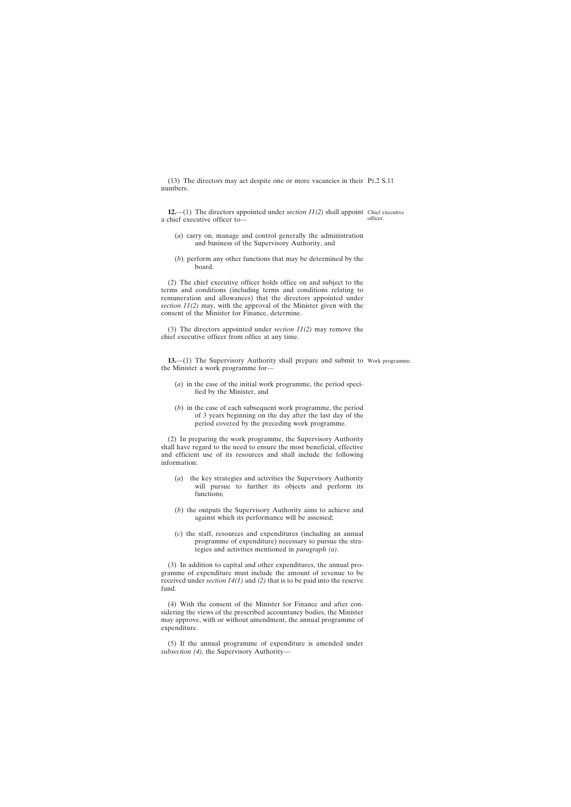<span id="page-11-0"></span>(13) The directors may act despite one or more vacancies in their Pt.2 S.11 numbers.

**12.**—(1) The directors appointed under *section 11(2)* shall appoint Chief executive a chief executive officer to—

officer.

- (*a*) carry on, manage and control generally the administration and business of the Supervisory Authority, and
- (*b*) perform any other functions that may be determined by the board.

(2) The chief executive officer holds office on and subject to the terms and conditions (including terms and conditions relating to remuneration and allowances) that the directors appointed under *section 11(2)* may, with the approval of the Minister given with the consent of the Minister for Finance, determine.

(3) The directors appointed under *section 11(2)* may remove the chief executive officer from office at any time.

**13.—(1)** The Supervisory Authority shall prepare and submit to Work programme. the Minister a work programme for—

- (*a*) in the case of the initial work programme, the period specified by the Minister, and
- (*b*) in the case of each subsequent work programme, the period of 3 years beginning on the day after the last day of the period covered by the preceding work programme.

(2) In preparing the work programme, the Supervisory Authority shall have regard to the need to ensure the most beneficial, effective and efficient use of its resources and shall include the following information:

- (*a*) the key strategies and activities the Supervisory Authority will pursue to further its objects and perform its functions;
- (*b*) the outputs the Supervisory Authority aims to achieve and against which its performance will be assessed;
- (*c*) the staff, resources and expenditures (including an annual programme of expenditure) necessary to pursue the strategies and activities mentioned in *paragraph (a)*.

(3) In addition to capital and other expenditures, the annual programme of expenditure must include the amount of revenue to be received under *section 14(1)* and *(2)* that is to be paid into the reserve fund.

(4) With the consent of the Minister for Finance and after considering the views of the prescribed accountancy bodies, the Minister may approve, with or without amendment, the annual programme of expenditure.

(5) If the annual programme of expenditure is amended under *subsection (4)*, the Supervisory Authority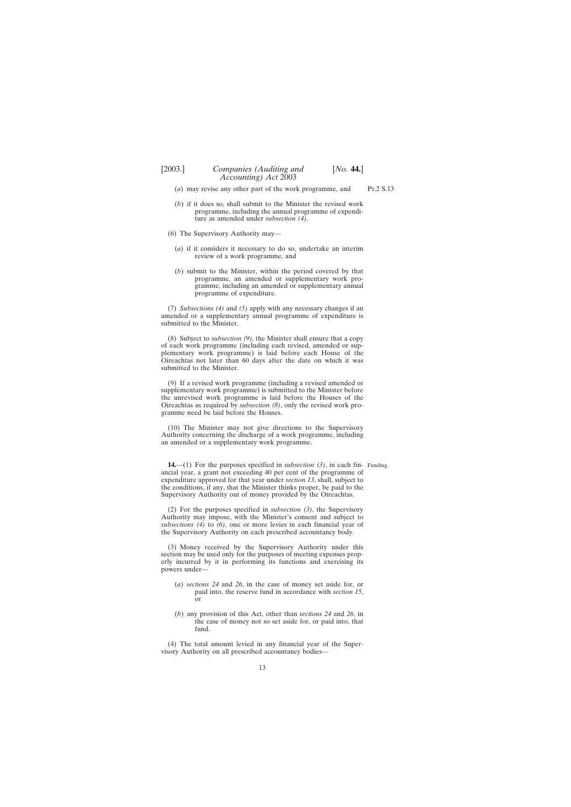(*b*) if it does so, shall submit to the Minister the revised work programme, including the annual programme of expenditure as amended under *subsection (4)*.

<span id="page-12-0"></span>(*a*) may revise any other part of the work programme, and

- (6) The Supervisory Authority may—
	- (*a*) if it considers it necessary to do so, undertake an interim review of a work programme, and
	- (*b*) submit to the Minister, within the period covered by that programme, an amended or supplementary work programme, including an amended or supplementary annual programme of expenditure.

(7) *Subsections (4)* and *(5)* apply with any necessary changes if an amended or a supplementary annual programme of expenditure is submitted to the Minister.

(8) Subject to *subsection (9)*, the Minister shall ensure that a copy of each work programme (including each revised, amended or supplementary work programme) is laid before each House of the Oireachtas not later than 60 days after the date on which it was submitted to the Minister.

(9) If a revised work programme (including a revised amended or supplementary work programme) is submitted to the Minister before the unrevised work programme is laid before the Houses of the Oireachtas as required by *subsection (8)*, only the revised work programme need be laid before the Houses.

(10) The Minister may not give directions to the Supervisory Authority concerning the discharge of a work programme, including an amended or a supplementary work programme.

**14.**—(1) For the purposes specified in *subsection (3)*, in each fin-Funding.ancial year, a grant not exceeding 40 per cent of the programme of expenditure approved for that year under *section 13*, shall, subject to the conditions, if any, that the Minister thinks proper, be paid to the Supervisory Authority out of money provided by the Oireachtas.

(2) For the purposes specified in *subsection (3)*, the Supervisory Authority may impose, with the Minister's consent and subject to *subsections (4)* to *(6)*, one or more levies in each financial year of the Supervisory Authority on each prescribed accountancy body.

(3) Money received by the Supervisory Authority under this section may be used only for the purposes of meeting expenses properly incurred by it in performing its functions and exercising its powers under—

- (*a*) *sections 24* and *26*, in the case of money set aside for, or paid into, the reserve fund in accordance with *section 15*, or
- (*b*) any provision of this Act, other than *sections 24* and *26*, in the case of money not so set aside for, or paid into, that fund.

(4) The total amount levied in any financial year of the Supervisory Authority on all prescribed accountancy bodies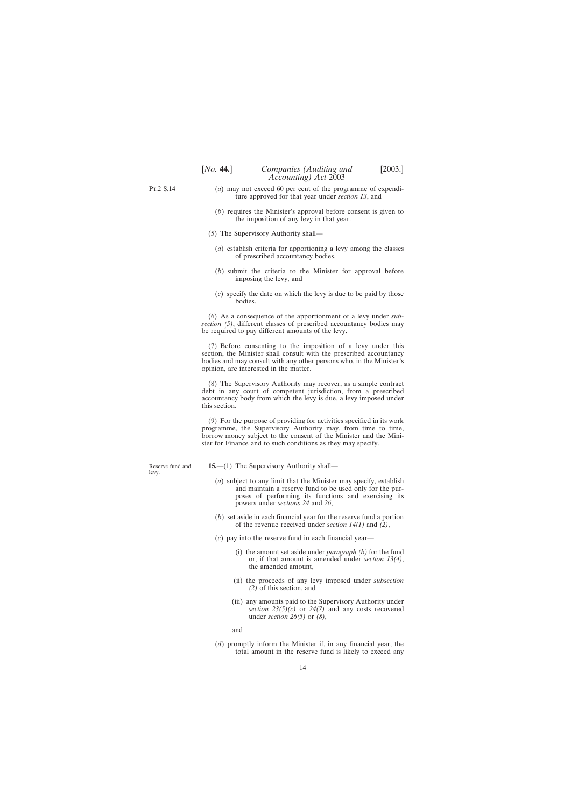<span id="page-13-0"></span>Pt.2 S.14

- (*a*) may not exceed 60 per cent of the programme of expenditure approved for that year under *section 13*, and
- (*b*) requires the Minister's approval before consent is given to the imposition of any levy in that year.
- (5) The Supervisory Authority shall—
	- (*a*) establish criteria for apportioning a levy among the classes of prescribed accountancy bodies,
	- (*b*) submit the criteria to the Minister for approval before imposing the levy, and
	- (*c*) specify the date on which the levy is due to be paid by those bodies.

(6) As a consequence of the apportionment of a levy under *subsection (5)*, different classes of prescribed accountancy bodies may be required to pay different amounts of the levy.

(7) Before consenting to the imposition of a levy under this section, the Minister shall consult with the prescribed accountancy bodies and may consult with any other persons who, in the Minister's opinion, are interested in the matter.

(8) The Supervisory Authority may recover, as a simple contract debt in any court of competent jurisdiction, from a prescribed accountancy body from which the levy is due, a levy imposed under this section.

(9) For the purpose of providing for activities specified in its work programme, the Supervisory Authority may, from time to time, borrow money subject to the consent of the Minister and the Minister for Finance and to such conditions as they may specify.

Reserve fund and levy.

- **15.**—(1) The Supervisory Authority shall—
	- (*a*) subject to any limit that the Minister may specify, establish and maintain a reserve fund to be used only for the purposes of performing its functions and exercising its powers under *sections 24* and *26*,
	- (*b*) set aside in each financial year for the reserve fund a portion of the revenue received under *section 14(1)* and *(2)*,
	- (*c*) pay into the reserve fund in each financial year—
		- (i) the amount set aside under *paragraph (b)* for the fund or, if that amount is amended under *section 13(4)*, the amended amount,
		- (ii) the proceeds of any levy imposed under *subsection (2)* of this section, and
		- (iii) any amounts paid to the Supervisory Authority under *section 23(5)(c)* or *24(7)* and any costs recovered under *section 26(5)* or *(8)*,

and

(*d*) promptly inform the Minister if, in any financial year, the total amount in the reserve fund is likely to exceed any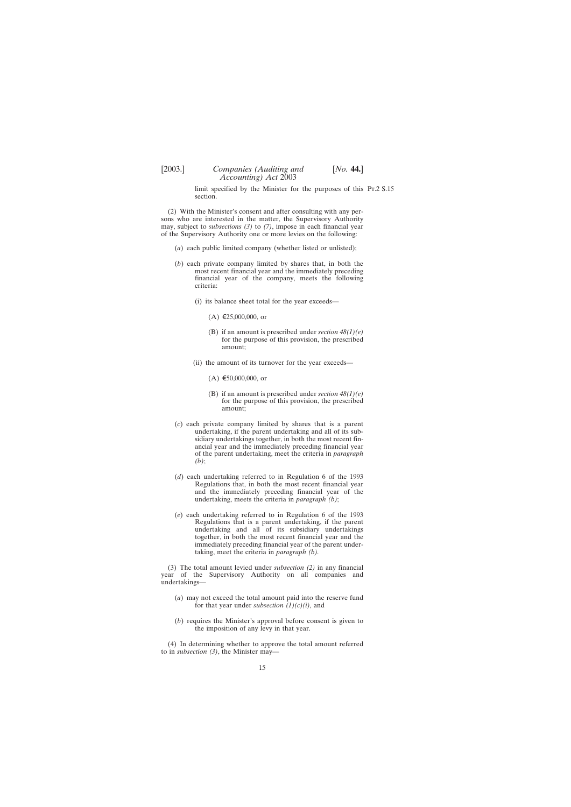limit specified by the Minister for the purposes of this Pt.2 S.15section.

(2) With the Minister's consent and after consulting with any persons who are interested in the matter, the Supervisory Authority may, subject to *subsections (3)* to *(7)*, impose in each financial year of the Supervisory Authority one or more levies on the following:

- (*a*) each public limited company (whether listed or unlisted);
- (*b*) each private company limited by shares that, in both the most recent financial year and the immediately preceding financial year of the company, meets the following criteria:
	- (i) its balance sheet total for the year exceeds—
		- $(A)$  €25,000,000, or
		- (B) if an amount is prescribed under *section 48(1)(e)* for the purpose of this provision, the prescribed amount;
	- (ii) the amount of its turnover for the year exceeds—
		- $(A) \in 50,000,000$ , or
		- (B) if an amount is prescribed under *section 48(1)(e)* for the purpose of this provision, the prescribed amount;
- (*c*) each private company limited by shares that is a parent undertaking, if the parent undertaking and all of its subsidiary undertakings together, in both the most recent financial year and the immediately preceding financial year of the parent undertaking, meet the criteria in *paragraph (b)*;
- (*d*) each undertaking referred to in Regulation 6 of the 1993 Regulations that, in both the most recent financial year and the immediately preceding financial year of the undertaking, meets the criteria in *paragraph (b)*;
- (*e*) each undertaking referred to in Regulation 6 of the 1993 Regulations that is a parent undertaking, if the parent undertaking and all of its subsidiary undertakings together, in both the most recent financial year and the immediately preceding financial year of the parent undertaking, meet the criteria in *paragraph (b).*

(3) The total amount levied under *subsection (2)* in any financial year of the Supervisory Authority on all companies and undertakings—

- (*a*) may not exceed the total amount paid into the reserve fund for that year under *subsection (1)(c)(i)*, and
- (*b*) requires the Minister's approval before consent is given to the imposition of any levy in that year.

(4) In determining whether to approve the total amount referred to in *subsection (3)*, the Minister may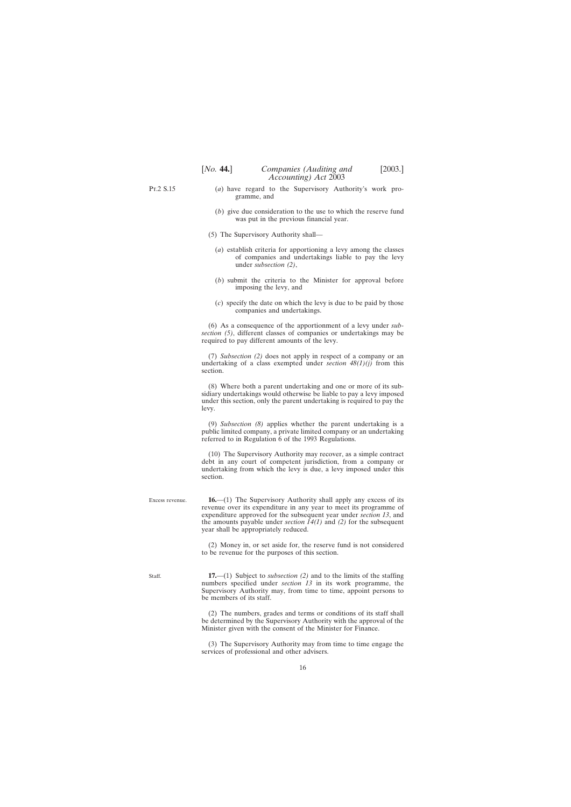<span id="page-15-0"></span>Pt.2 S.15

- (*a*) have regard to the Supervisory Authority's work programme, and
- (*b*) give due consideration to the use to which the reserve fund was put in the previous financial year.
- (5) The Supervisory Authority shall—
	- (*a*) establish criteria for apportioning a levy among the classes of companies and undertakings liable to pay the levy under *subsection (2)*,
	- (*b*) submit the criteria to the Minister for approval before imposing the levy, and
	- (*c*) specify the date on which the levy is due to be paid by those companies and undertakings.

(6) As a consequence of the apportionment of a levy under *subsection (5)*, different classes of companies or undertakings may be required to pay different amounts of the levy.

(7) *Subsection (2)* does not apply in respect of a company or an undertaking of a class exempted under *section*  $48(1)(i)$  from this section.

(8) Where both a parent undertaking and one or more of its subsidiary undertakings would otherwise be liable to pay a levy imposed under this section, only the parent undertaking is required to pay the levy.

(9) *Subsection (8)* applies whether the parent undertaking is a public limited company, a private limited company or an undertaking referred to in Regulation 6 of the 1993 Regulations.

(10) The Supervisory Authority may recover, as a simple contract debt in any court of competent jurisdiction, from a company or undertaking from which the levy is due, a levy imposed under this section.

**16.**—(1) The Supervisory Authority shall apply any excess of its revenue over its expenditure in any year to meet its programme of expenditure approved for the subsequent year under *section 13*, and the amounts payable under *section 14(1)* and *(2)* for the subsequent year shall be appropriately reduced.

(2) Money in, or set aside for, the reserve fund is not considered to be revenue for the purposes of this section.

Staff.

Excess revenue.

**17.**—(1) Subject to *subsection (2)* and to the limits of the staffing numbers specified under *section 13* in its work programme, the Supervisory Authority may, from time to time, appoint persons to be members of its staff.

(2) The numbers, grades and terms or conditions of its staff shall be determined by the Supervisory Authority with the approval of the Minister given with the consent of the Minister for Finance.

(3) The Supervisory Authority may from time to time engage the services of professional and other advisers.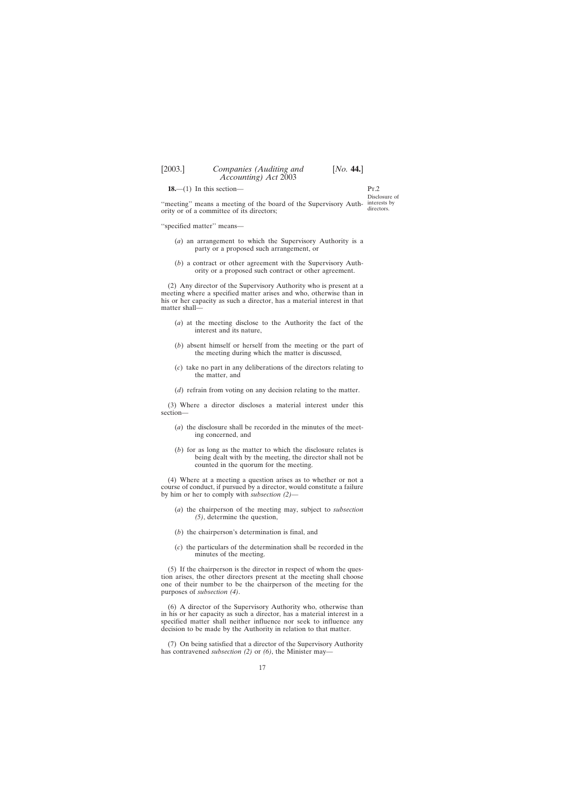<span id="page-16-0"></span>**18.**—(1) In this section—

 $P_T$ Disclosure of interests by directors.

"meeting" means a meeting of the board of the Supervisory Authority or of a committee of its directors;

''specified matter'' means—

- (*a*) an arrangement to which the Supervisory Authority is a party or a proposed such arrangement, or
- (*b*) a contract or other agreement with the Supervisory Authority or a proposed such contract or other agreement.

(2) Any director of the Supervisory Authority who is present at a meeting where a specified matter arises and who, otherwise than in his or her capacity as such a director, has a material interest in that matter shall—

- (*a*) at the meeting disclose to the Authority the fact of the interest and its nature,
- (*b*) absent himself or herself from the meeting or the part of the meeting during which the matter is discussed,
- (*c*) take no part in any deliberations of the directors relating to the matter, and
- (*d*) refrain from voting on any decision relating to the matter.

(3) Where a director discloses a material interest under this section—

- (*a*) the disclosure shall be recorded in the minutes of the meeting concerned, and
- (*b*) for as long as the matter to which the disclosure relates is being dealt with by the meeting, the director shall not be counted in the quorum for the meeting.

(4) Where at a meeting a question arises as to whether or not a course of conduct, if pursued by a director, would constitute a failure by him or her to comply with *subsection (2)*—

- (*a*) the chairperson of the meeting may, subject to *subsection (5)*, determine the question,
- (*b*) the chairperson's determination is final, and
- (*c*) the particulars of the determination shall be recorded in the minutes of the meeting.

(5) If the chairperson is the director in respect of whom the question arises, the other directors present at the meeting shall choose one of their number to be the chairperson of the meeting for the purposes of *subsection (4)*.

(6) A director of the Supervisory Authority who, otherwise than in his or her capacity as such a director, has a material interest in a specified matter shall neither influence nor seek to influence any decision to be made by the Authority in relation to that matter.

(7) On being satisfied that a director of the Supervisory Authority has contravened *subsection (2)* or *(6)*, the Minister may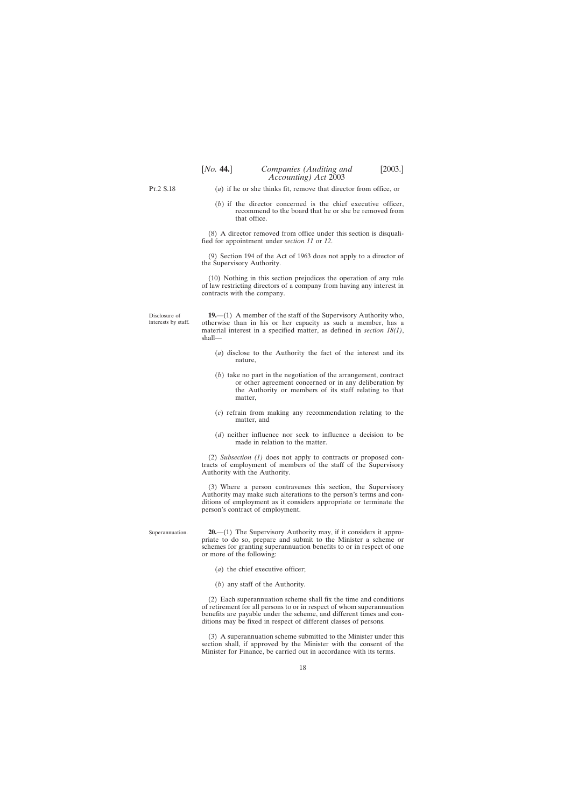<span id="page-17-0"></span>Pt.2 S.18

Superannuation.

- (*a*) if he or she thinks fit, remove that director from office, or
- (*b*) if the director concerned is the chief executive officer, recommend to the board that he or she be removed from that office.

(8) A director removed from office under this section is disqualified for appointment under *section 11* or *12*.

(9) Section 194 of the Act of 1963 does not apply to a director of the Supervisory Authority.

(10) Nothing in this section prejudices the operation of any rule of law restricting directors of a company from having any interest in contracts with the company.

Disclosure of interests by staff. **19.**—(1) A member of the staff of the Supervisory Authority who, otherwise than in his or her capacity as such a member, has a material interest in a specified matter, as defined in *section 18(1)*, shall—

- (*a*) disclose to the Authority the fact of the interest and its nature,
- (*b*) take no part in the negotiation of the arrangement, contract or other agreement concerned or in any deliberation by the Authority or members of its staff relating to that matter,
- (*c*) refrain from making any recommendation relating to the matter, and
- (*d*) neither influence nor seek to influence a decision to be made in relation to the matter.

(2) *Subsection (1)* does not apply to contracts or proposed contracts of employment of members of the staff of the Supervisory Authority with the Authority.

(3) Where a person contravenes this section, the Supervisory Authority may make such alterations to the person's terms and conditions of employment as it considers appropriate or terminate the person's contract of employment.

**20.**—(1) The Supervisory Authority may, if it considers it appropriate to do so, prepare and submit to the Minister a scheme or schemes for granting superannuation benefits to or in respect of one or more of the following:

- (*a*) the chief executive officer;
- (*b*) any staff of the Authority.

(2) Each superannuation scheme shall fix the time and conditions of retirement for all persons to or in respect of whom superannuation benefits are payable under the scheme, and different times and conditions may be fixed in respect of different classes of persons.

(3) A superannuation scheme submitted to the Minister under this section shall, if approved by the Minister with the consent of the Minister for Finance, be carried out in accordance with its terms.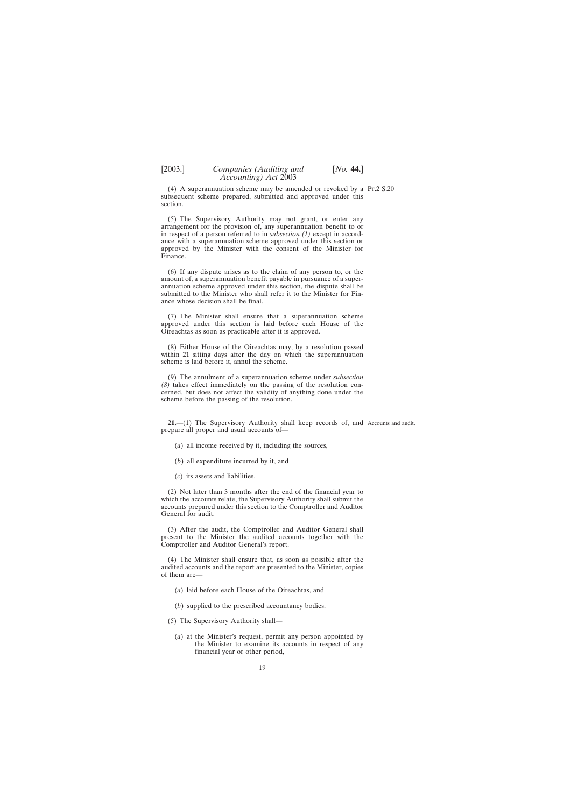<span id="page-18-0"></span>(4) A superannuation scheme may be amended or revoked by a Pt.2 S.20 subsequent scheme prepared, submitted and approved under this section.

(5) The Supervisory Authority may not grant, or enter any arrangement for the provision of, any superannuation benefit to or in respect of a person referred to in *subsection (1)* except in accordance with a superannuation scheme approved under this section or approved by the Minister with the consent of the Minister for Finance.

(6) If any dispute arises as to the claim of any person to, or the amount of, a superannuation benefit payable in pursuance of a superannuation scheme approved under this section, the dispute shall be submitted to the Minister who shall refer it to the Minister for Finance whose decision shall be final.

(7) The Minister shall ensure that a superannuation scheme approved under this section is laid before each House of the Oireachtas as soon as practicable after it is approved.

(8) Either House of the Oireachtas may, by a resolution passed within 21 sitting days after the day on which the superannuation scheme is laid before it, annul the scheme.

(9) The annulment of a superannuation scheme under *subsection (8)* takes effect immediately on the passing of the resolution concerned, but does not affect the validity of anything done under the scheme before the passing of the resolution.

**21.**—(1) The Supervisory Authority shall keep records of, and Accounts and audit. prepare all proper and usual accounts of—

- (*a*) all income received by it, including the sources,
- (*b*) all expenditure incurred by it, and
- (*c*) its assets and liabilities.

(2) Not later than 3 months after the end of the financial year to which the accounts relate, the Supervisory Authority shall submit the accounts prepared under this section to the Comptroller and Auditor General for audit.

(3) After the audit, the Comptroller and Auditor General shall present to the Minister the audited accounts together with the Comptroller and Auditor General's report.

(4) The Minister shall ensure that, as soon as possible after the audited accounts and the report are presented to the Minister, copies of them are—

- (*a*) laid before each House of the Oireachtas, and
- (*b*) supplied to the prescribed accountancy bodies.
- (5) The Supervisory Authority shall—
	- (*a*) at the Minister's request, permit any person appointed by the Minister to examine its accounts in respect of any financial year or other period,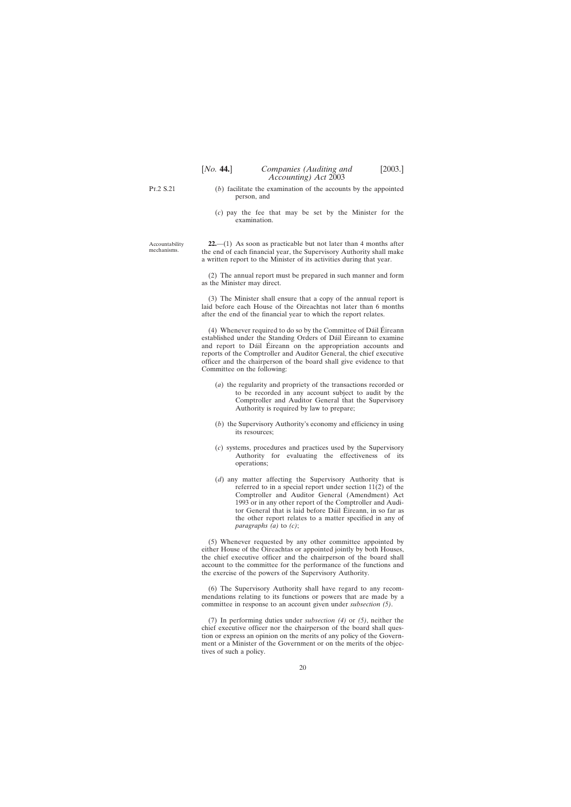<span id="page-19-0"></span>Pt.2 S.21

- (*b*) facilitate the examination of the accounts by the appointed person, and
- (*c*) pay the fee that may be set by the Minister for the examination.

Accountability mechanisms.

**22.**—(1) As soon as practicable but not later than 4 months after the end of each financial year, the Supervisory Authority shall make a written report to the Minister of its activities during that year.

(2) The annual report must be prepared in such manner and form as the Minister may direct.

(3) The Minister shall ensure that a copy of the annual report is laid before each House of the Oireachtas not later than 6 months after the end of the financial year to which the report relates.

(4) Whenever required to do so by the Committee of Dáil Éireann established under the Standing Orders of Dáil Éireann to examine and report to Dáil Éireann on the appropriation accounts and reports of the Comptroller and Auditor General, the chief executive officer and the chairperson of the board shall give evidence to that Committee on the following:

- (*a*) the regularity and propriety of the transactions recorded or to be recorded in any account subject to audit by the Comptroller and Auditor General that the Supervisory Authority is required by law to prepare;
- (*b*) the Supervisory Authority's economy and efficiency in using its resources;
- (*c*) systems, procedures and practices used by the Supervisory Authority for evaluating the effectiveness of its operations;
- (*d*) any matter affecting the Supervisory Authority that is referred to in a special report under section  $11(2)$  of the Comptroller and Auditor General (Amendment) Act 1993 or in any other report of the Comptroller and Auditor General that is laid before Dáil Éireann, in so far as the other report relates to a matter specified in any of *paragraphs (a)* to *(c)*;

(5) Whenever requested by any other committee appointed by either House of the Oireachtas or appointed jointly by both Houses, the chief executive officer and the chairperson of the board shall account to the committee for the performance of the functions and the exercise of the powers of the Supervisory Authority.

(6) The Supervisory Authority shall have regard to any recommendations relating to its functions or powers that are made by a committee in response to an account given under *subsection (5)*.

(7) In performing duties under *subsection (4)* or *(5)*, neither the chief executive officer nor the chairperson of the board shall question or express an opinion on the merits of any policy of the Government or a Minister of the Government or on the merits of the objectives of such a policy.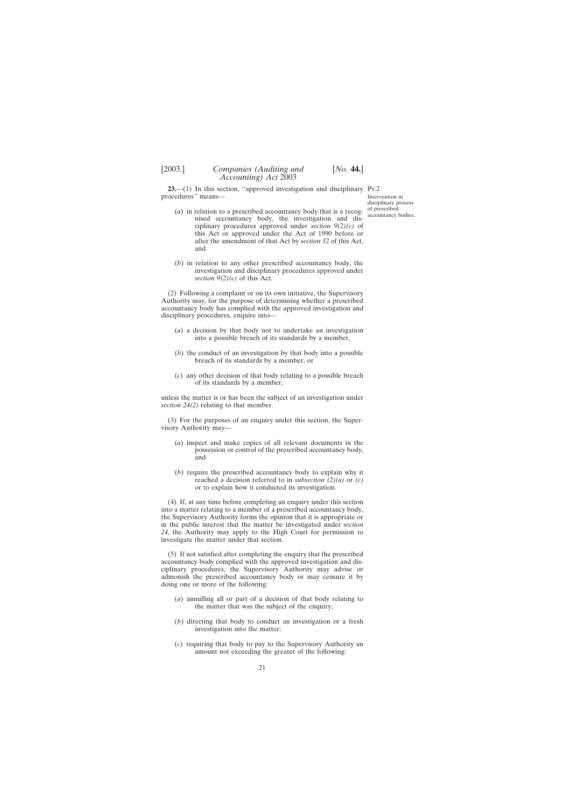<span id="page-20-0"></span>**23.**—(1) In this section, "approved investigation and disciplinary Pr.2 procedures'' means—

- (*a*) in relation to a prescribed accountancy body that is a recognised accountancy body, the investigation and disciplinary procedures approved under *section 9(2)(c)* of this Act or approved under the Act of 1990 before or after the amendment of that Act by *section 32* of this Act, and
- (*b*) in relation to any other prescribed accountancy body, the investigation and disciplinary procedures approved under *section*  $9(2)(c)$  of this Act.

(2) Following a complaint or on its own initiative, the Supervisory Authority may, for the purpose of determining whether a prescribed accountancy body has complied with the approved investigation and disciplinary procedures, enquire into—

- (*a*) a decision by that body not to undertake an investigation into a possible breach of its standards by a member,
- (*b*) the conduct of an investigation by that body into a possible breach of its standards by a member, or
- (*c*) any other decision of that body relating to a possible breach of its standards by a member,

unless the matter is or has been the subject of an investigation under *section 24(2)* relating to that member.

(3) For the purposes of an enquiry under this section, the Supervisory Authority may—

- (*a*) inspect and make copies of all relevant documents in the possession or control of the prescribed accountancy body, and
- (*b*) require the prescribed accountancy body to explain why it reached a decision referred to in *subsection (2)(a)* or *(c)* or to explain how it conducted its investigation.

(4) If, at any time before completing an enquiry under this section into a matter relating to a member of a prescribed accountancy body, the Supervisory Authority forms the opinion that it is appropriate or in the public interest that the matter be investigated under *section 24*, the Authority may apply to the High Court for permission to investigate the matter under that section.

(5) If not satisfied after completing the enquiry that the prescribed accountancy body complied with the approved investigation and disciplinary procedures, the Supervisory Authority may advise or admonish the prescribed accountancy body or may censure it by doing one or more of the following:

- (*a*) annulling all or part of a decision of that body relating to the matter that was the subject of the enquiry;
- (*b*) directing that body to conduct an investigation or a fresh investigation into the matter;
- (*c*) requiring that body to pay to the Supervisory Authority an amount not exceeding the greater of the following: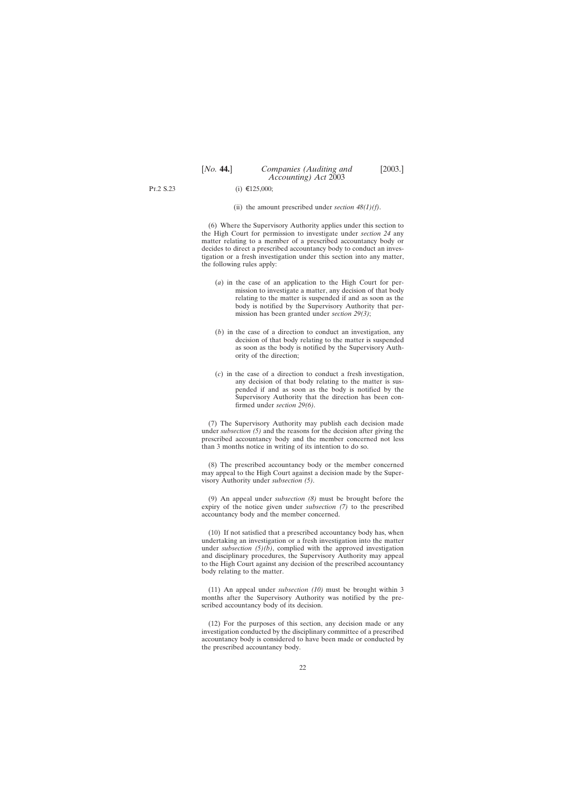Pt.2 S.23

 $(i) \in 125,000$ ;

(ii) the amount prescribed under *section 48(1)(f)*.

(6) Where the Supervisory Authority applies under this section to the High Court for permission to investigate under *section 24* any matter relating to a member of a prescribed accountancy body or decides to direct a prescribed accountancy body to conduct an investigation or a fresh investigation under this section into any matter, the following rules apply:

- (*a*) in the case of an application to the High Court for permission to investigate a matter, any decision of that body relating to the matter is suspended if and as soon as the body is notified by the Supervisory Authority that permission has been granted under *section 29(3)*;
- (*b*) in the case of a direction to conduct an investigation, any decision of that body relating to the matter is suspended as soon as the body is notified by the Supervisory Authority of the direction;
- (*c*) in the case of a direction to conduct a fresh investigation, any decision of that body relating to the matter is suspended if and as soon as the body is notified by the Supervisory Authority that the direction has been confirmed under *section 29(6)*.

(7) The Supervisory Authority may publish each decision made under *subsection (5)* and the reasons for the decision after giving the prescribed accountancy body and the member concerned not less than 3 months notice in writing of its intention to do so.

(8) The prescribed accountancy body or the member concerned may appeal to the High Court against a decision made by the Supervisory Authority under *subsection (5)*.

(9) An appeal under *subsection (8)* must be brought before the expiry of the notice given under *subsection (7)* to the prescribed accountancy body and the member concerned.

(10) If not satisfied that a prescribed accountancy body has, when undertaking an investigation or a fresh investigation into the matter under *subsection (5)(b)*, complied with the approved investigation and disciplinary procedures, the Supervisory Authority may appeal to the High Court against any decision of the prescribed accountancy body relating to the matter.

(11) An appeal under *subsection (10)* must be brought within 3 months after the Supervisory Authority was notified by the prescribed accountancy body of its decision.

(12) For the purposes of this section, any decision made or any investigation conducted by the disciplinary committee of a prescribed accountancy body is considered to have been made or conducted by the prescribed accountancy body.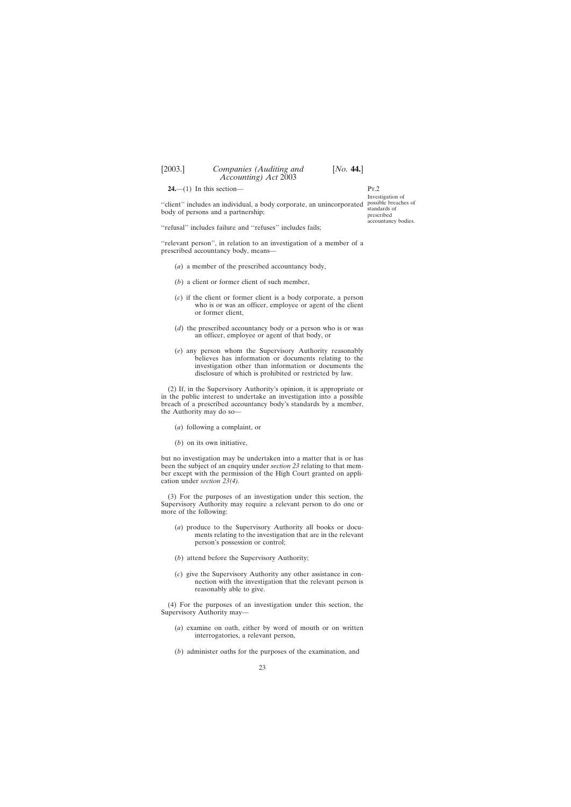<span id="page-22-0"></span>**24.**—(1) In this section—

"client" includes an individual, a body corporate, an unincorporated possible breaches of body of persons and a partnership;

''refusal'' includes failure and ''refuses'' includes fails;

''relevant person'', in relation to an investigation of a member of a prescribed accountancy body, means—

- (*a*) a member of the prescribed accountancy body,
- (*b*) a client or former client of such member,
- (*c*) if the client or former client is a body corporate, a person who is or was an officer, employee or agent of the client or former client,
- (*d*) the prescribed accountancy body or a person who is or was an officer, employee or agent of that body, or
- (*e*) any person whom the Supervisory Authority reasonably believes has information or documents relating to the investigation other than information or documents the disclosure of which is prohibited or restricted by law.

(2) If, in the Supervisory Authority's opinion, it is appropriate or in the public interest to undertake an investigation into a possible breach of a prescribed accountancy body's standards by a member, the Authority may do so—

- (*a*) following a complaint, or
- (*b*) on its own initiative,

but no investigation may be undertaken into a matter that is or has been the subject of an enquiry under *section 23* relating to that member except with the permission of the High Court granted on application under *section 23(4).*

(3) For the purposes of an investigation under this section, the Supervisory Authority may require a relevant person to do one or more of the following:

- (*a*) produce to the Supervisory Authority all books or documents relating to the investigation that are in the relevant person's possession or control;
- (*b*) attend before the Supervisory Authority;
- (*c*) give the Supervisory Authority any other assistance in connection with the investigation that the relevant person is reasonably able to give.

(4) For the purposes of an investigation under this section, the Supervisory Authority may—

- (*a*) examine on oath, either by word of mouth or on written interrogatories, a relevant person,
- (*b*) administer oaths for the purposes of the examination, and

Pt.2 Investigation of standards of prescribed accountancy bodies.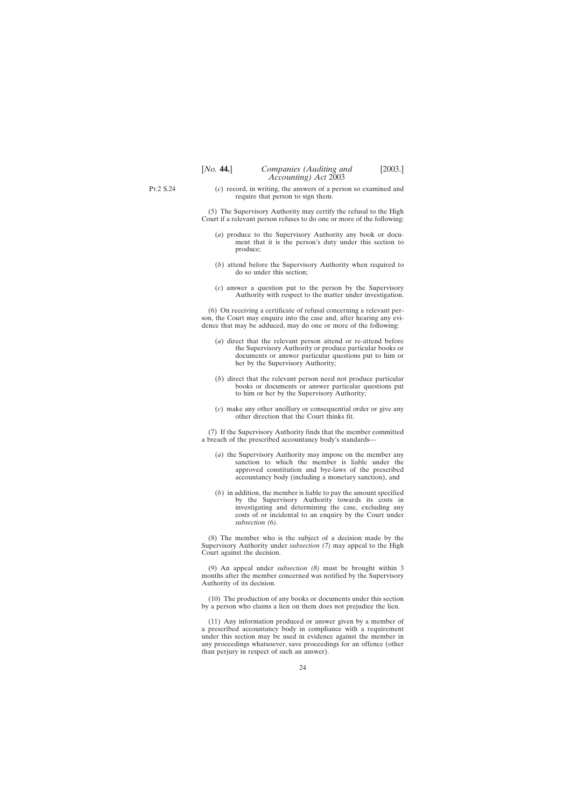- Pt.2 S.24
- (*c*) record, in writing, the answers of a person so examined and require that person to sign them.

(5) The Supervisory Authority may certify the refusal to the High Court if a relevant person refuses to do one or more of the following:

- (*a*) produce to the Supervisory Authority any book or document that it is the person's duty under this section to produce;
- (*b*) attend before the Supervisory Authority when required to do so under this section;
- (*c*) answer a question put to the person by the Supervisory Authority with respect to the matter under investigation.

(6) On receiving a certificate of refusal concerning a relevant person, the Court may enquire into the case and, after hearing any evidence that may be adduced, may do one or more of the following:

- (*a*) direct that the relevant person attend or re-attend before the Supervisory Authority or produce particular books or documents or answer particular questions put to him or her by the Supervisory Authority;
- (*b*) direct that the relevant person need not produce particular books or documents or answer particular questions put to him or her by the Supervisory Authority;
- (*c*) make any other ancillary or consequential order or give any other direction that the Court thinks fit.

(7) If the Supervisory Authority finds that the member committed a breach of the prescribed accountancy body's standards—

- (*a*) the Supervisory Authority may impose on the member any sanction to which the member is liable under the approved constitution and bye-laws of the prescribed accountancy body (including a monetary sanction), and
- (*b*) in addition, the member is liable to pay the amount specified by the Supervisory Authority towards its costs in investigating and determining the case, excluding any costs of or incidental to an enquiry by the Court under *subsection (6)*.

(8) The member who is the subject of a decision made by the Supervisory Authority under *subsection (7)* may appeal to the High Court against the decision.

(9) An appeal under *subsection (8)* must be brought within 3 months after the member concerned was notified by the Supervisory Authority of its decision.

(10) The production of any books or documents under this section by a person who claims a lien on them does not prejudice the lien.

(11) Any information produced or answer given by a member of a prescribed accountancy body in compliance with a requirement under this section may be used in evidence against the member in any proceedings whatsoever, save proceedings for an offence (other than perjury in respect of such an answer).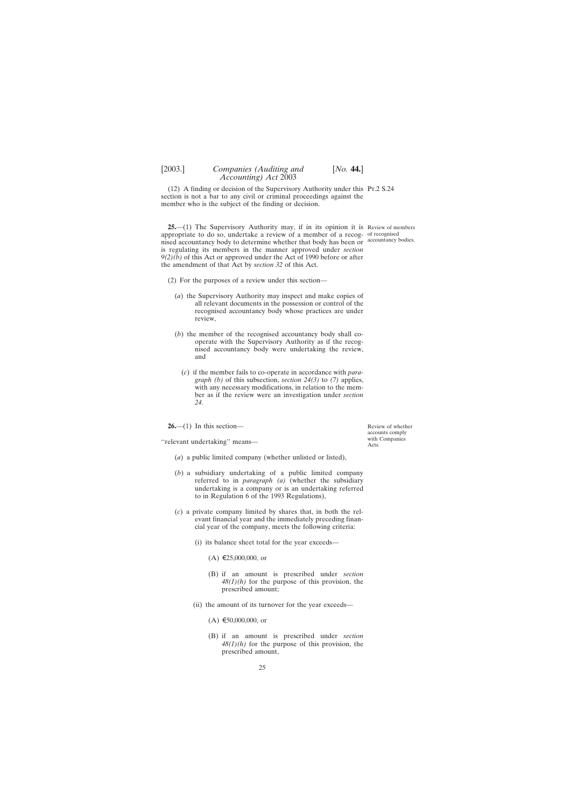<span id="page-24-0"></span>(12) A finding or decision of the Supervisory Authority under this Pt.2 S.24 section is not a bar to any civil or criminal proceedings against the member who is the subject of the finding or decision.

**25.**—(1) The Supervisory Authority may, if in its opinion it is Review of members appropriate to do so, undertake a review of a member of a recog-of recognised nised accountancy body to determine whether that body has been or accountancy bodies. is regulating its members in the manner approved under *section 9(2)(b)* of this Act or approved under the Act of 1990 before or after the amendment of that Act by *section 32* of this Act.

- (2) For the purposes of a review under this section—
	- (*a*) the Supervisory Authority may inspect and make copies of all relevant documents in the possession or control of the recognised accountancy body whose practices are under review,
	- (*b*) the member of the recognised accountancy body shall cooperate with the Supervisory Authority as if the recognised accountancy body were undertaking the review, and
		- (*c*) if the member fails to co-operate in accordance with *paragraph (b)* of this subsection, *section 24(3)* to *(7)* applies, with any necessary modifications, in relation to the member as if the review were an investigation under *section 24*.

**26.**—(1) In this section—

''relevant undertaking'' means—

- (*a*) a public limited company (whether unlisted or listed),
- (*b*) a subsidiary undertaking of a public limited company referred to in *paragraph (a)* (whether the subsidiary undertaking is a company or is an undertaking referred to in Regulation 6 of the 1993 Regulations),
- (*c*) a private company limited by shares that, in both the relevant financial year and the immediately preceding financial year of the company, meets the following criteria:
	- (i) its balance sheet total for the year exceeds—
		- $(A) \t{£}25,000,000,$  or
		- (B) if an amount is prescribed under *section 48(1)(h)* for the purpose of this provision, the prescribed amount;
	- (ii) the amount of its turnover for the year exceeds—
		- $(A) \epsilon 50,000,000$ , or
		- (B) if an amount is prescribed under *section 48(1)(h)* for the purpose of this provision, the prescribed amount,

Review of whether accounts comply with Companies Acts.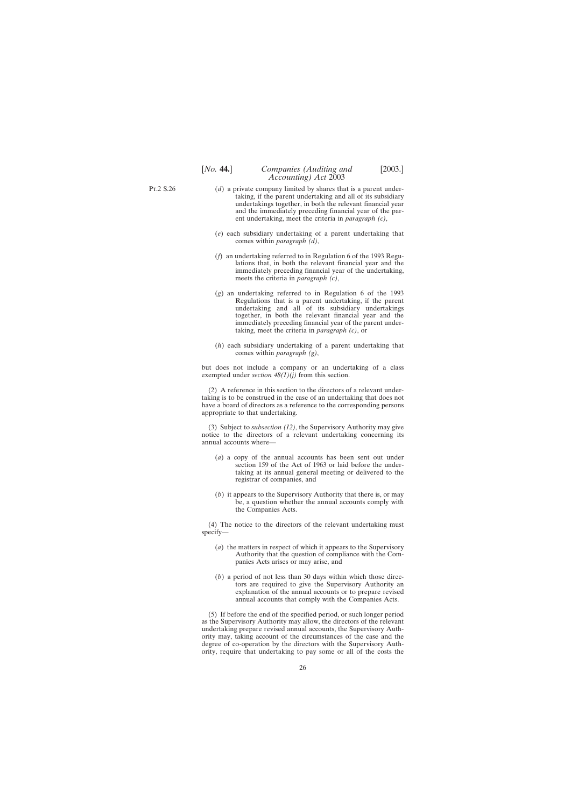Pt.2 S.26

- (*d*) a private company limited by shares that is a parent undertaking, if the parent undertaking and all of its subsidiary undertakings together, in both the relevant financial year and the immediately preceding financial year of the parent undertaking, meet the criteria in *paragraph (c)*,
- (*e*) each subsidiary undertaking of a parent undertaking that comes within *paragraph (d)*,
- (*f*) an undertaking referred to in Regulation 6 of the 1993 Regulations that, in both the relevant financial year and the immediately preceding financial year of the undertaking, meets the criteria in *paragraph (c)*,
- (*g*) an undertaking referred to in Regulation 6 of the 1993 Regulations that is a parent undertaking, if the parent undertaking and all of its subsidiary undertakings together, in both the relevant financial year and the immediately preceding financial year of the parent undertaking, meet the criteria in *paragraph (c)*, or
- (*h*) each subsidiary undertaking of a parent undertaking that comes within *paragraph (g)*,

but does not include a company or an undertaking of a class exempted under *section*  $48(1)(i)$  from this section.

(2) A reference in this section to the directors of a relevant undertaking is to be construed in the case of an undertaking that does not have a board of directors as a reference to the corresponding persons appropriate to that undertaking.

(3) Subject to *subsection (12)*, the Supervisory Authority may give notice to the directors of a relevant undertaking concerning its annual accounts where—

- (*a*) a copy of the annual accounts has been sent out under section 159 of the Act of 1963 or laid before the undertaking at its annual general meeting or delivered to the registrar of companies, and
- (*b*) it appears to the Supervisory Authority that there is, or may be, a question whether the annual accounts comply with the Companies Acts.

(4) The notice to the directors of the relevant undertaking must specify—

- (*a*) the matters in respect of which it appears to the Supervisory Authority that the question of compliance with the Companies Acts arises or may arise, and
- (*b*) a period of not less than 30 days within which those directors are required to give the Supervisory Authority an explanation of the annual accounts or to prepare revised annual accounts that comply with the Companies Acts.

(5) If before the end of the specified period, or such longer period as the Supervisory Authority may allow, the directors of the relevant undertaking prepare revised annual accounts, the Supervisory Authority may, taking account of the circumstances of the case and the degree of co-operation by the directors with the Supervisory Authority, require that undertaking to pay some or all of the costs the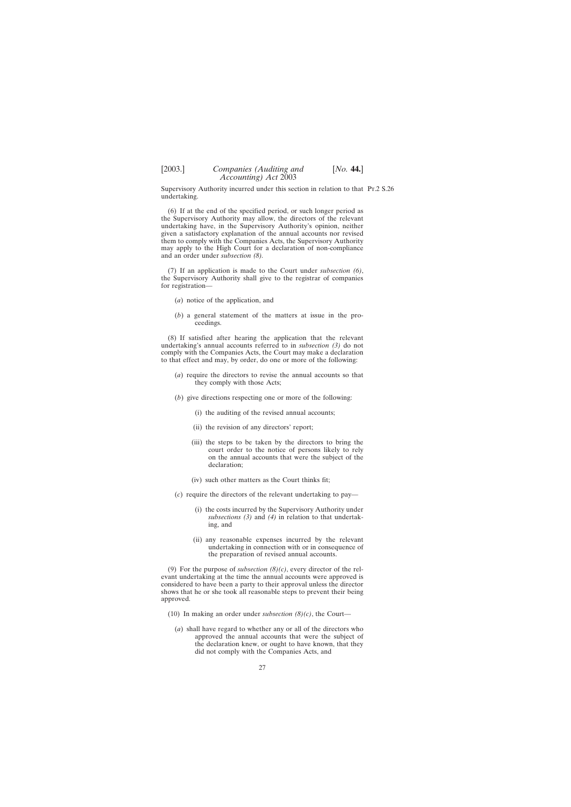Supervisory Authority incurred under this section in relation to that Pr.2 S.26 undertaking.

(6) If at the end of the specified period, or such longer period as the Supervisory Authority may allow, the directors of the relevant undertaking have, in the Supervisory Authority's opinion, neither given a satisfactory explanation of the annual accounts nor revised them to comply with the Companies Acts, the Supervisory Authority may apply to the High Court for a declaration of non-compliance and an order under *subsection (8).*

(7) If an application is made to the Court under *subsection (6)*, the Supervisory Authority shall give to the registrar of companies for registration—

- (*a*) notice of the application, and
- (*b*) a general statement of the matters at issue in the proceedings.

(8) If satisfied after hearing the application that the relevant undertaking's annual accounts referred to in *subsection (3)* do not comply with the Companies Acts, the Court may make a declaration to that effect and may, by order, do one or more of the following:

- (*a*) require the directors to revise the annual accounts so that they comply with those Acts;
- (*b*) give directions respecting one or more of the following:
	- (i) the auditing of the revised annual accounts;
	- (ii) the revision of any directors' report;
	- (iii) the steps to be taken by the directors to bring the court order to the notice of persons likely to rely on the annual accounts that were the subject of the declaration;
	- (iv) such other matters as the Court thinks fit;
- (*c*) require the directors of the relevant undertaking to pay—
	- (i) the costs incurred by the Supervisory Authority under *subsections (3)* and *(4)* in relation to that undertaking, and
	- (ii) any reasonable expenses incurred by the relevant undertaking in connection with or in consequence of the preparation of revised annual accounts.

(9) For the purpose of *subsection (8)(c)*, every director of the relevant undertaking at the time the annual accounts were approved is considered to have been a party to their approval unless the director shows that he or she took all reasonable steps to prevent their being approved.

- (10) In making an order under *subsection (8)(c)*, the Court—
	- (*a*) shall have regard to whether any or all of the directors who approved the annual accounts that were the subject of the declaration knew, or ought to have known, that they did not comply with the Companies Acts, and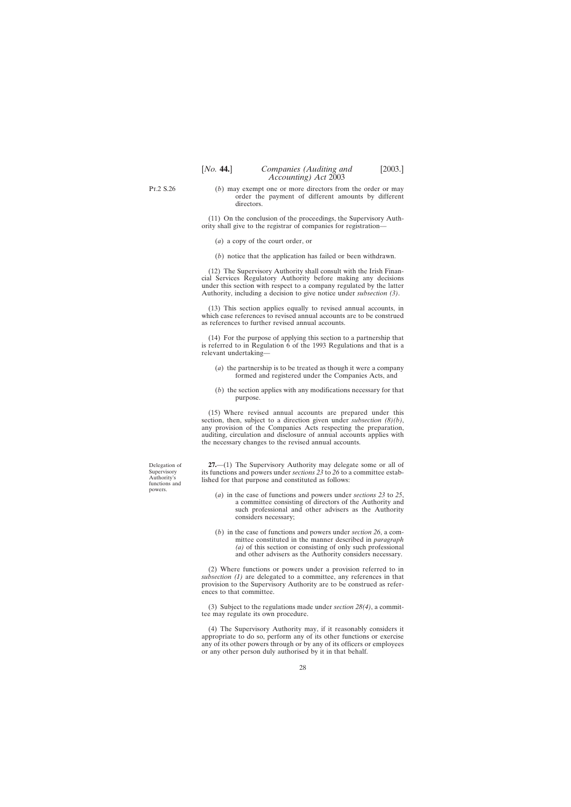<span id="page-27-0"></span>Pt.2 S.26

(*b*) may exempt one or more directors from the order or may order the payment of different amounts by different directors.

(11) On the conclusion of the proceedings, the Supervisory Authority shall give to the registrar of companies for registration—

(*a*) a copy of the court order, or

(*b*) notice that the application has failed or been withdrawn.

(12) The Supervisory Authority shall consult with the Irish Financial Services Regulatory Authority before making any decisions under this section with respect to a company regulated by the latter Authority, including a decision to give notice under *subsection (3)*.

(13) This section applies equally to revised annual accounts, in which case references to revised annual accounts are to be construed as references to further revised annual accounts.

(14) For the purpose of applying this section to a partnership that is referred to in Regulation 6 of the 1993 Regulations and that is a relevant undertaking—

- (*a*) the partnership is to be treated as though it were a company formed and registered under the Companies Acts, and
- (*b*) the section applies with any modifications necessary for that purpose.

(15) Where revised annual accounts are prepared under this section, then, subject to a direction given under *subsection (8)(b)*, any provision of the Companies Acts respecting the preparation, auditing, circulation and disclosure of annual accounts applies with the necessary changes to the revised annual accounts.

**27.**—(1) The Supervisory Authority may delegate some or all of its functions and powers under *sections 23* to *26* to a committee established for that purpose and constituted as follows:

- (*a*) in the case of functions and powers under *sections 23* to *25*, a committee consisting of directors of the Authority and such professional and other advisers as the Authority considers necessary;
- (*b*) in the case of functions and powers under *section 26*, a committee constituted in the manner described in *paragraph (a)* of this section or consisting of only such professional and other advisers as the Authority considers necessary.

(2) Where functions or powers under a provision referred to in *subsection (1)* are delegated to a committee, any references in that provision to the Supervisory Authority are to be construed as references to that committee.

(3) Subject to the regulations made under *section 28(4)*, a committee may regulate its own procedure.

(4) The Supervisory Authority may, if it reasonably considers it appropriate to do so, perform any of its other functions or exercise any of its other powers through or by any of its officers or employees or any other person duly authorised by it in that behalf.

Delegation of Supervisory Authority's functions and powers.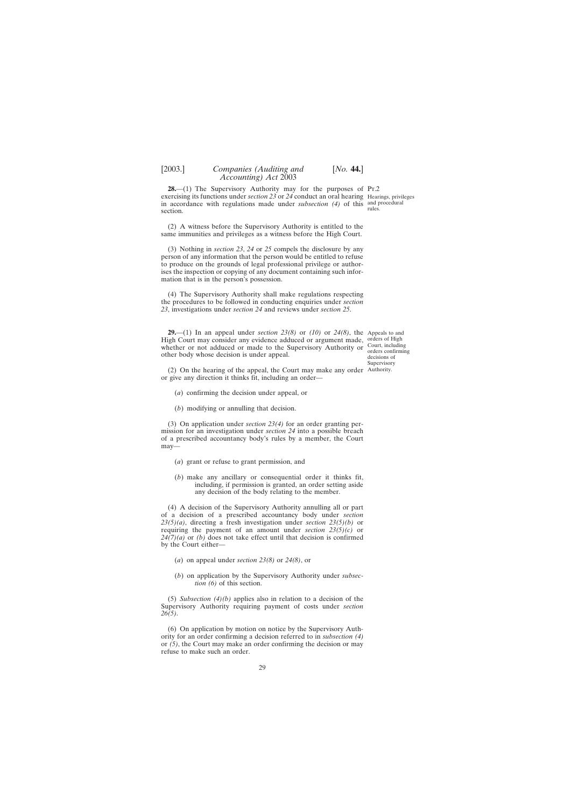rules.

<span id="page-28-0"></span>**28.**—(1) The Supervisory Authority may for the purposes of Pr.2 exercising its functions under *section 23* or 24 conduct an oral hearing Hearings, privileges in accordance with regulations made under *subsection (4)* of this and procedural section.

(2) A witness before the Supervisory Authority is entitled to the same immunities and privileges as a witness before the High Court.

(3) Nothing in *section 23*, *24* or *25* compels the disclosure by any person of any information that the person would be entitled to refuse to produce on the grounds of legal professional privilege or authorises the inspection or copying of any document containing such information that is in the person's possession.

(4) The Supervisory Authority shall make regulations respecting the procedures to be followed in conducting enquiries under *section 23*, investigations under *section 24* and reviews under *section 25*.

**29.**—(1) In an appeal under *section 23(8)* or *(10)* or *24(8)*, the Appeals to and High Court may consider any evidence adduced or argument made, whether or not adduced or made to the Supervisory Authority or other body whose decision is under appeal.

(2) On the hearing of the appeal, the Court may make any order Authority.or give any direction it thinks fit, including an order—

(*a*) confirming the decision under appeal, or

(*b*) modifying or annulling that decision.

(3) On application under *section 23(4)* for an order granting permission for an investigation under *section 24* into a possible breach of a prescribed accountancy body's rules by a member, the Court may—

- (*a*) grant or refuse to grant permission, and
- (*b*) make any ancillary or consequential order it thinks fit, including, if permission is granted, an order setting aside any decision of the body relating to the member.

(4) A decision of the Supervisory Authority annulling all or part of a decision of a prescribed accountancy body under *section 23(5)(a)*, directing a fresh investigation under *section 23(5)(b)* or requiring the payment of an amount under *section 23(5)(c)* or *24(7)(a)* or *(b)* does not take effect until that decision is confirmed by the Court either—

- (*a*) on appeal under *section 23(8)* or *24(8)*, or
- (*b*) on application by the Supervisory Authority under *subsection (6)* of this section.

(5) *Subsection (4)(b)* applies also in relation to a decision of the Supervisory Authority requiring payment of costs under *section 26(5)*.

(6) On application by motion on notice by the Supervisory Authority for an order confirming a decision referred to in *subsection (4)* or *(5)*, the Court may make an order confirming the decision or may refuse to make such an order.

orders of High Court, including orders confirming decisions of Supervisory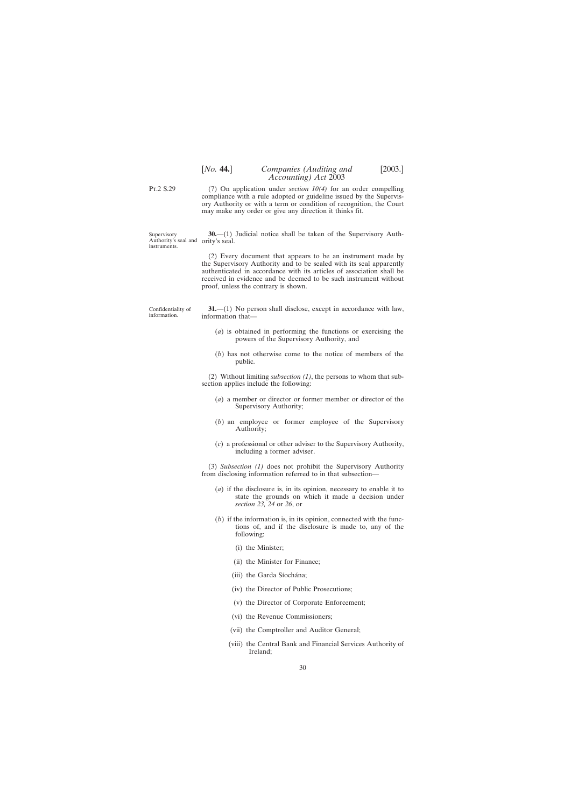# [*No.* **44.**] *Companies (Auditing and* [2003.] *Accounting) Act* 2003

<span id="page-29-0"></span>Pt.2 S.29

(7) On application under *section 10(4)* for an order compelling compliance with a rule adopted or guideline issued by the Supervisory Authority or with a term or condition of recognition, the Court may make any order or give any direction it thinks fit.

Supervisory Authority's seal and ority's seal. instruments.

**30.**—(1) Judicial notice shall be taken of the Supervisory Auth-

(2) Every document that appears to be an instrument made by the Supervisory Authority and to be sealed with its seal apparently authenticated in accordance with its articles of association shall be received in evidence and be deemed to be such instrument without proof, unless the contrary is shown.

Confidentiality of information.

**31.**—(1) No person shall disclose, except in accordance with law, information that-

- (*a*) is obtained in performing the functions or exercising the powers of the Supervisory Authority, and
- (*b*) has not otherwise come to the notice of members of the public.

(2) Without limiting *subsection (1)*, the persons to whom that subsection applies include the following:

- (*a*) a member or director or former member or director of the Supervisory Authority;
- (*b*) an employee or former employee of the Supervisory Authority;
- (*c*) a professional or other adviser to the Supervisory Authority, including a former adviser.

(3) *Subsection (1)* does not prohibit the Supervisory Authority from disclosing information referred to in that subsection—

- (*a*) if the disclosure is, in its opinion, necessary to enable it to state the grounds on which it made a decision under *section 23, 24* or *26*, or
- (*b*) if the information is, in its opinion, connected with the functions of, and if the disclosure is made to, any of the following:
	- (i) the Minister;
	- (ii) the Minister for Finance;
	- (iii) the Garda Síochána;
	- (iv) the Director of Public Prosecutions;
	- (v) the Director of Corporate Enforcement;
	- (vi) the Revenue Commissioners;
	- (vii) the Comptroller and Auditor General;
	- (viii) the Central Bank and Financial Services Authority of Ireland;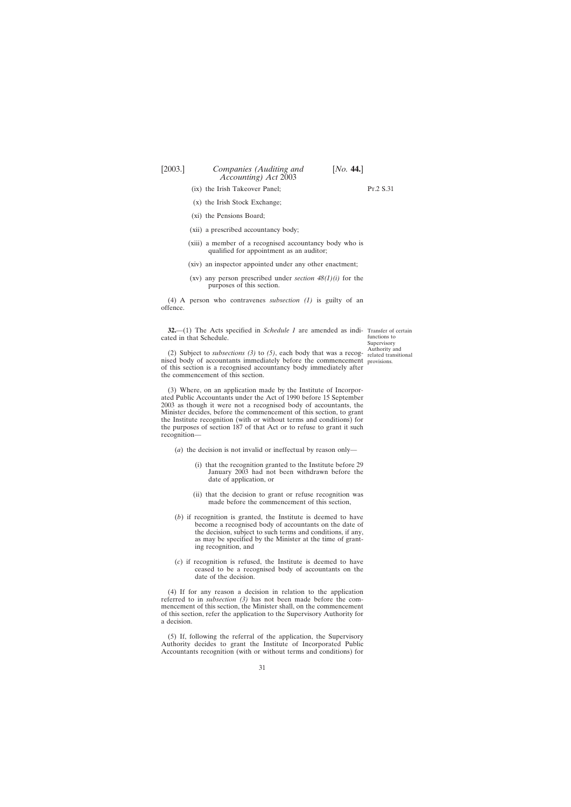- <span id="page-30-0"></span>(ix) the Irish Takeover Panel;
- (x) the Irish Stock Exchange;
- (xi) the Pensions Board;
- (xii) a prescribed accountancy body;
- (xiii) a member of a recognised accountancy body who is qualified for appointment as an auditor;
- (xiv) an inspector appointed under any other enactment;
- (xv) any person prescribed under *section 48(1)(i)* for the purposes of this section.

(4) A person who contravenes *subsection (1)* is guilty of an offence.

**32.**—(1) The Acts specified in *Schedule 1* are amended as indi- Transfer of certain cated in that Schedule.

functions to Supervisory<br>Authority and related transitional

(2) Subject to *subsections* (3) to (5), each body that was a recog- $\frac{\text{Authority and}}{\text{related transit}}$ nised body of accountants immediately before the commencement provisions.of this section is a recognised accountancy body immediately after the commencement of this section.

(3) Where, on an application made by the Institute of Incorporated Public Accountants under the Act of 1990 before 15 September 2003 as though it were not a recognised body of accountants, the Minister decides, before the commencement of this section, to grant the Institute recognition (with or without terms and conditions) for the purposes of section 187 of that Act or to refuse to grant it such recognition—

- (*a*) the decision is not invalid or ineffectual by reason only—
	- (i) that the recognition granted to the Institute before 29 January 2003 had not been withdrawn before the date of application, or
	- (ii) that the decision to grant or refuse recognition was made before the commencement of this section,
- (*b*) if recognition is granted, the Institute is deemed to have become a recognised body of accountants on the date of the decision, subject to such terms and conditions, if any, as may be specified by the Minister at the time of granting recognition, and
- (*c*) if recognition is refused, the Institute is deemed to have ceased to be a recognised body of accountants on the date of the decision.

(4) If for any reason a decision in relation to the application referred to in *subsection (3)* has not been made before the commencement of this section, the Minister shall, on the commencement of this section, refer the application to the Supervisory Authority for a decision.

(5) If, following the referral of the application, the Supervisory Authority decides to grant the Institute of Incorporated Public Accountants recognition (with or without terms and conditions) for

Pt.2 S.31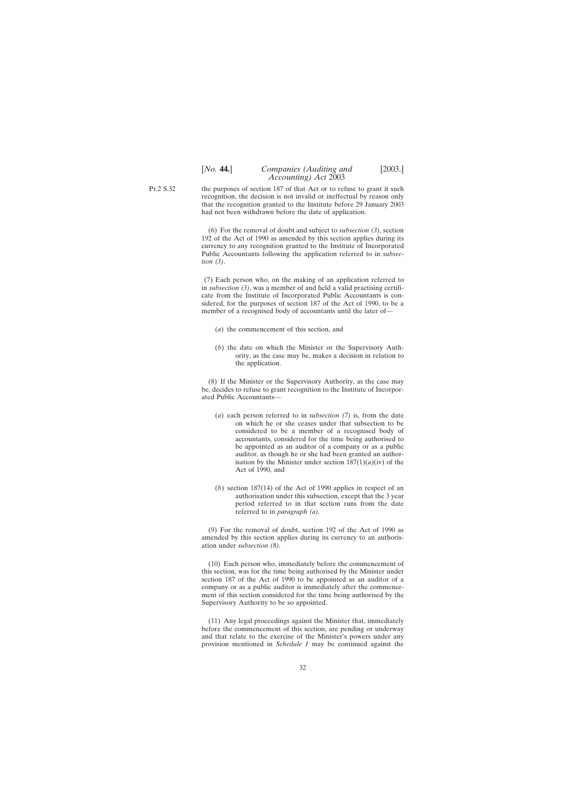# [*No.* **44.**] *Companies (Auditing and* [2003.] *Accounting) Act* 2003

Pt.2 S.32 the purposes of section 187 of that Act or to refuse to grant it such recognition, the decision is not invalid or ineffectual by reason only that the recognition granted to the Institute before 29 January 2003 had not been withdrawn before the date of application.

> (6) For the removal of doubt and subject to *subsection (3)*, section 192 of the Act of 1990 as amended by this section applies during its currency to any recognition granted to the Institute of Incorporated Public Accountants following the application referred to in *subsection (3)*.

> (7) Each person who, on the making of an application referred to in *subsection (3)*, was a member of and held a valid practising certificate from the Institute of Incorporated Public Accountants is considered, for the purposes of section 187 of the Act of 1990, to be a member of a recognised body of accountants until the later of—

- (*a*) the commencement of this section, and
- (*b*) the date on which the Minister or the Supervisory Authority, as the case may be, makes a decision in relation to the application.

(8) If the Minister or the Supervisory Authority, as the case may be, decides to refuse to grant recognition to the Institute of Incorporated Public Accountants—

- (*a*) each person referred to in *subsection (7)* is, from the date on which he or she ceases under that subsection to be considered to be a member of a recognised body of accountants, considered for the time being authorised to be appointed as an auditor of a company or as a public auditor, as though he or she had been granted an authorisation by the Minister under section  $187(1)(a)(iv)$  of the Act of 1990, and
- (*b*) section 187(14) of the Act of 1990 applies in respect of an authorisation under this subsection, except that the 3 year period referred to in that section runs from the date referred to in *paragraph (a)*.

(9) For the removal of doubt, section 192 of the Act of 1990 as amended by this section applies during its currency to an authorisation under *subsection (8)*.

(10) Each person who, immediately before the commencement of this section, was for the time being authorised by the Minister under section 187 of the Act of 1990 to be appointed as an auditor of a company or as a public auditor is immediately after the commencement of this section considered for the time being authorised by the Supervisory Authority to be so appointed.

(11) Any legal proceedings against the Minister that, immediately before the commencement of this section, are pending or underway and that relate to the exercise of the Minister's powers under any provision mentioned in *Schedule 1* may be continued against the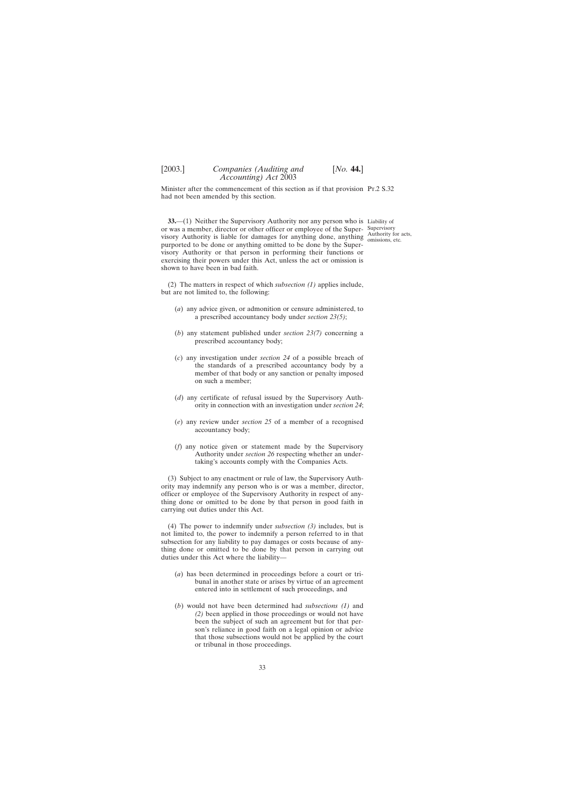<span id="page-32-0"></span>Minister after the commencement of this section as if that provision Pr.2 S.32 had not been amended by this section.

**33.**—(1) Neither the Supervisory Authority nor any person who is Liability of or was a member, director or other officer or employee of the Super- Supervisory visory Authority is liable for damages for anything done, anything  $\frac{\text{Authority}}{\text{omisions of}}$ purported to be done or anything omitted to be done by the Supervisory Authority or that person in performing their functions or exercising their powers under this Act, unless the act or omission is shown to have been in bad faith.

omissions, etc.

(2) The matters in respect of which *subsection (1)* applies include, but are not limited to, the following:

- (*a*) any advice given, or admonition or censure administered, to a prescribed accountancy body under *section 23(5)*;
- (*b*) any statement published under *section 23(7)* concerning a prescribed accountancy body;
- (*c*) any investigation under *section 24* of a possible breach of the standards of a prescribed accountancy body by a member of that body or any sanction or penalty imposed on such a member;
- (*d*) any certificate of refusal issued by the Supervisory Authority in connection with an investigation under *section 24*;
- (*e*) any review under *section 25* of a member of a recognised accountancy body;
- (*f*) any notice given or statement made by the Supervisory Authority under *section 26* respecting whether an undertaking's accounts comply with the Companies Acts.

(3) Subject to any enactment or rule of law, the Supervisory Authority may indemnify any person who is or was a member, director, officer or employee of the Supervisory Authority in respect of anything done or omitted to be done by that person in good faith in carrying out duties under this Act.

(4) The power to indemnify under *subsection (3)* includes, but is not limited to, the power to indemnify a person referred to in that subsection for any liability to pay damages or costs because of anything done or omitted to be done by that person in carrying out duties under this Act where the liability—

- (*a*) has been determined in proceedings before a court or tribunal in another state or arises by virtue of an agreement entered into in settlement of such proceedings, and
- (*b*) would not have been determined had *subsections (1)* and *(2)* been applied in those proceedings or would not have been the subject of such an agreement but for that person's reliance in good faith on a legal opinion or advice that those subsections would not be applied by the court or tribunal in those proceedings.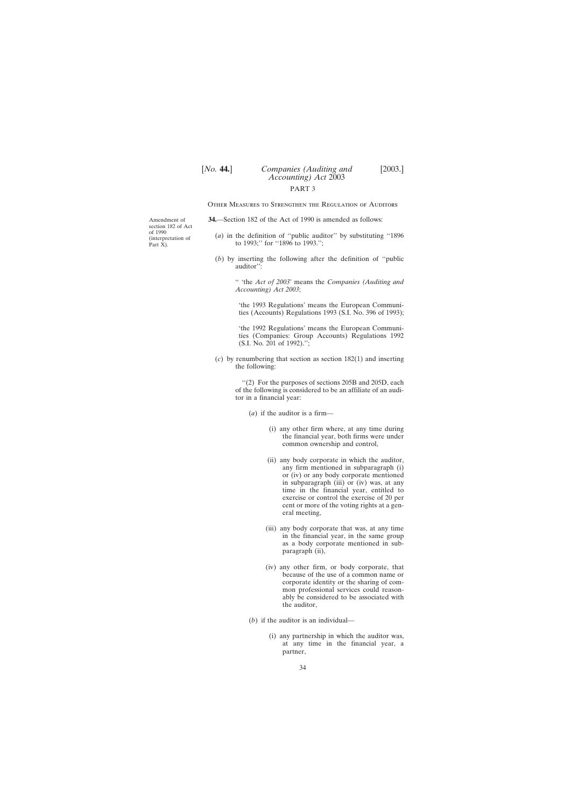# [*No.* **44.**] *Companies (Auditing and* [2003.] *Accounting) Act* 2003 PART 3

Other Measures to Strengthen the Regulation of Auditors

**34.**—Section 182 of the Act of 1990 is amended as follows:

- (*a*) in the definition of ''public auditor'' by substituting ''1896 to 1993;'' for ''1896 to 1993.'';
- (*b*) by inserting the following after the definition of ''public auditor'':

'' 'the *Act of 2003*' means the *Companies (Auditing and Accounting) Act 2003*;

'the 1993 Regulations' means the European Communities (Accounts) Regulations 1993 (S.I. No. 396 of 1993);

'the 1992 Regulations' means the European Communities (Companies: Group Accounts) Regulations 1992 (S.I. No. 201 of 1992).'';

(*c*) by renumbering that section as section 182(1) and inserting the following:

> ''(2) For the purposes of sections 205B and 205D, each of the following is considered to be an affiliate of an auditor in a financial year:

(*a*) if the auditor is a firm—

- (i) any other firm where, at any time during the financial year, both firms were under common ownership and control,
- (ii) any body corporate in which the auditor, any firm mentioned in subparagraph (i) or (iv) or any body corporate mentioned in subparagraph (iii) or (iv) was, at any time in the financial year, entitled to exercise or control the exercise of 20 per cent or more of the voting rights at a general meeting,
- (iii) any body corporate that was, at any time in the financial year, in the same group as a body corporate mentioned in subparagraph (ii),
- (iv) any other firm, or body corporate, that because of the use of a common name or corporate identity or the sharing of common professional services could reasonably be considered to be associated with the auditor,
- (*b*) if the auditor is an individual—
	- (i) any partnership in which the auditor was, at any time in the financial year, a partner,

<span id="page-33-0"></span>Amendment of section 182 of Act of 1990 (interpretation of Part X).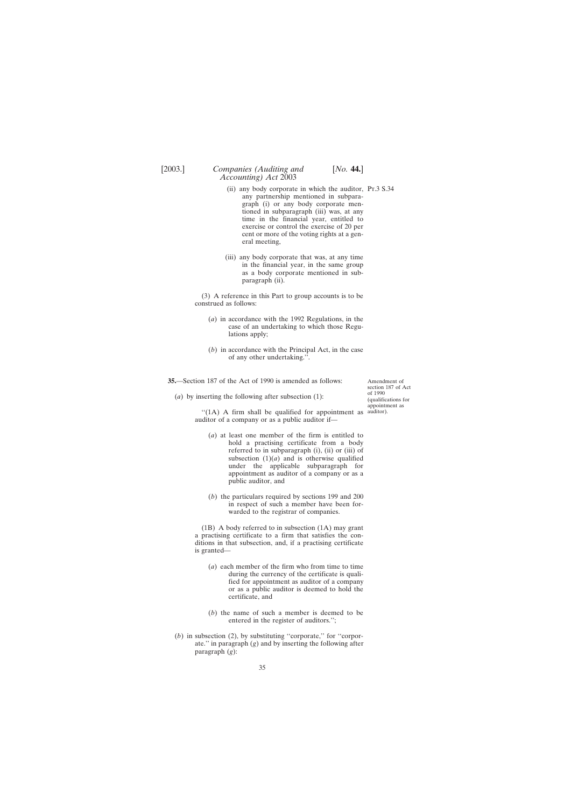- <span id="page-34-0"></span>(ii) any body corporate in which the auditor, Pt.3 S.34 any partnership mentioned in subparagraph (i) or any body corporate mentioned in subparagraph (iii) was, at any time in the financial year, entitled to exercise or control the exercise of 20 per cent or more of the voting rights at a general meeting,
- (iii) any body corporate that was, at any time in the financial year, in the same group as a body corporate mentioned in subparagraph (ii).

(3) A reference in this Part to group accounts is to be construed as follows:

- (*a*) in accordance with the 1992 Regulations, in the case of an undertaking to which those Regulations apply;
- (*b*) in accordance with the Principal Act, in the case of any other undertaking.''.

**35.**—Section 187 of the Act of 1990 is amended as follows:

(*a*) by inserting the following after subsection (1):

Amendment of section 187 of Act of 1990 (qualifications for appointment as

"(1A) A firm shall be qualified for appointment as auditor). auditor of a company or as a public auditor if—

- (*a*) at least one member of the firm is entitled to hold a practising certificate from a body referred to in subparagraph (i), (ii) or (iii) of subsection  $(1)(a)$  and is otherwise qualified under the applicable subparagraph for appointment as auditor of a company or as a public auditor, and
- (*b*) the particulars required by sections 199 and 200 in respect of such a member have been forwarded to the registrar of companies.

(1B) A body referred to in subsection (1A) may grant a practising certificate to a firm that satisfies the conditions in that subsection, and, if a practising certificate is granted—

- (*a*) each member of the firm who from time to time during the currency of the certificate is qualified for appointment as auditor of a company or as a public auditor is deemed to hold the certificate, and
- (*b*) the name of such a member is deemed to be entered in the register of auditors.'';
- (*b*) in subsection (2), by substituting ''corporate,'' for ''corporate.'' in paragraph (*g*) and by inserting the following after paragraph (*g*):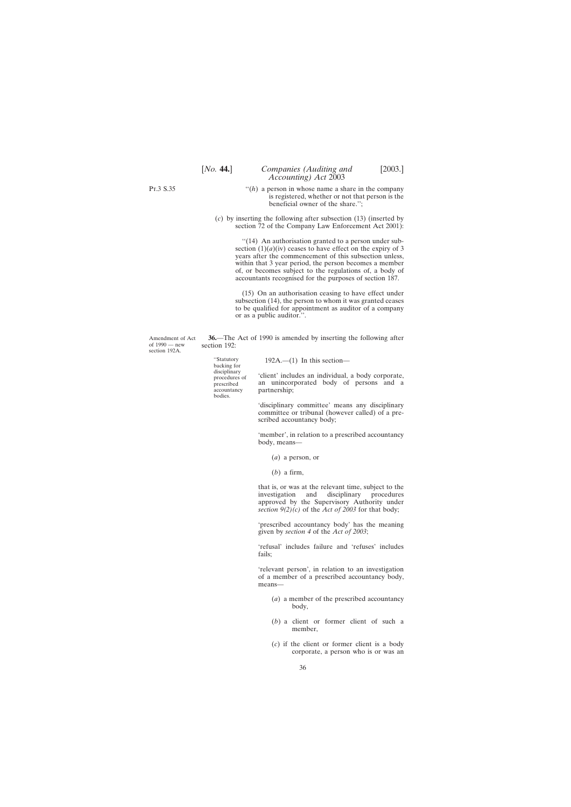- $f(h)$  a person in whose name a share in the company is registered, whether or not that person is the beneficial owner of the share.'';
- <span id="page-35-0"></span>(*c*) by inserting the following after subsection (13) (inserted by section 72 of the Company Law Enforcement Act 2001):

''(14) An authorisation granted to a person under subsection  $(1)(a)(iv)$  ceases to have effect on the expiry of 3 years after the commencement of this subsection unless, within that 3 year period, the person becomes a member of, or becomes subject to the regulations of, a body of accountants recognised for the purposes of section 187.

(15) On an authorisation ceasing to have effect under subsection (14), the person to whom it was granted ceases to be qualified for appointment as auditor of a company or as a public auditor.''.

Amendment of Act of 1990 — new section 192A. **36.**—The Act of 1990 is amended by inserting the following after section 192:

accountancy partnership; bodies.

"Statutory 192A.— $(1)$  In this section—<br>backing for

disciplinary<br>procedures of client' includes an individual, a body corporate,<br>prescribed an unincorporated body of persons and a prescribed an unincorporated body of persons and a accountancy partnership:

> 'disciplinary committee' means any disciplinary committee or tribunal (however called) of a prescribed accountancy body;

> 'member', in relation to a prescribed accountancy body, means—

- (*a*) a person, or
- (*b*) a firm,

that is, or was at the relevant time, subject to the investigation and disciplinary procedures investigation and disciplinary approved by the Supervisory Authority under *section 9(2)(c)* of the *Act of 2003* for that body;

'prescribed accountancy body' has the meaning given by *section 4* of the *Act of 2003*;

'refusal' includes failure and 'refuses' includes fails;

'relevant person', in relation to an investigation of a member of a prescribed accountancy body, means—

- (*a*) a member of the prescribed accountancy body,
- (*b*) a client or former client of such a member,
- (*c*) if the client or former client is a body corporate, a person who is or was an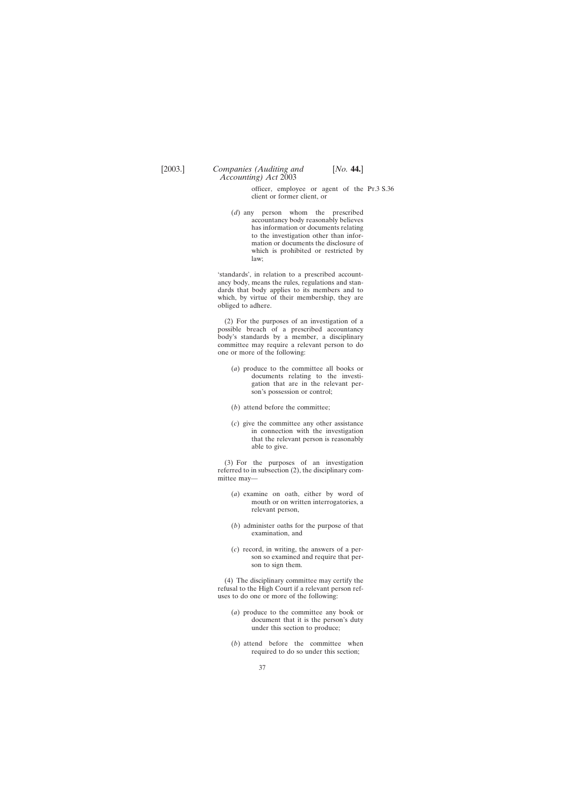officer, employee or agent of the Pt.3 S.36client or former client, or

(*d*) any person whom the prescribed accountancy body reasonably believes has information or documents relating to the investigation other than information or documents the disclosure of which is prohibited or restricted by law;

*Accounting) Act* 2003

'standards', in relation to a prescribed accountancy body, means the rules, regulations and standards that body applies to its members and to which, by virtue of their membership, they are obliged to adhere.

(2) For the purposes of an investigation of a possible breach of a prescribed accountancy body's standards by a member, a disciplinary committee may require a relevant person to do one or more of the following:

- (*a*) produce to the committee all books or documents relating to the investigation that are in the relevant person's possession or control;
- (*b*) attend before the committee;
- (*c*) give the committee any other assistance in connection with the investigation that the relevant person is reasonably able to give.

(3) For the purposes of an investigation referred to in subsection (2), the disciplinary committee may—

- (*a*) examine on oath, either by word of mouth or on written interrogatories, a relevant person,
- (*b*) administer oaths for the purpose of that examination, and
- (*c*) record, in writing, the answers of a person so examined and require that person to sign them.

(4) The disciplinary committee may certify the refusal to the High Court if a relevant person refuses to do one or more of the following:

- (*a*) produce to the committee any book or document that it is the person's duty under this section to produce;
- (*b*) attend before the committee when required to do so under this section;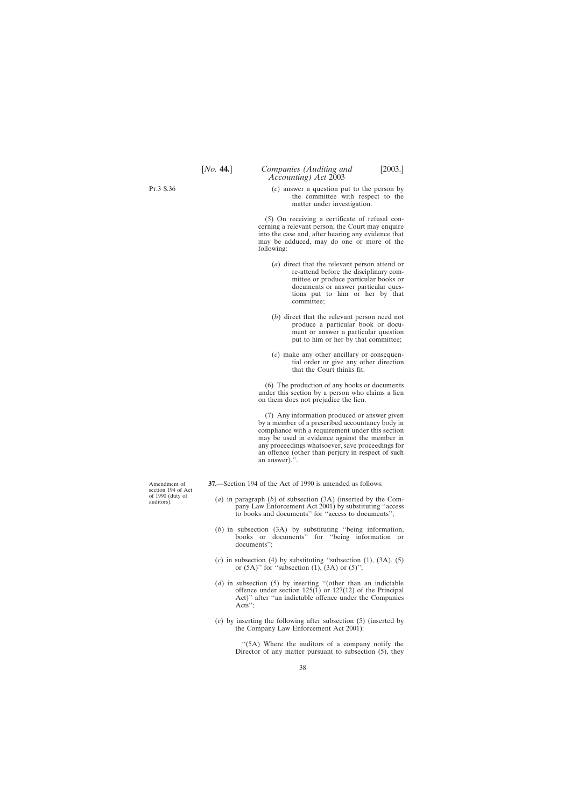<span id="page-37-0"></span>Pt.3 S.36

(*c*) answer a question put to the person by the committee with respect to the matter under investigation.

(5) On receiving a certificate of refusal concerning a relevant person, the Court may enquire into the case and, after hearing any evidence that may be adduced, may do one or more of the following:

- (*a*) direct that the relevant person attend or re-attend before the disciplinary committee or produce particular books or documents or answer particular questions put to him or her by that committee;
- (*b*) direct that the relevant person need not produce a particular book or document or answer a particular question put to him or her by that committee;
- (*c*) make any other ancillary or consequential order or give any other direction that the Court thinks fit.

(6) The production of any books or documents under this section by a person who claims a lien on them does not prejudice the lien.

(7) Any information produced or answer given by a member of a prescribed accountancy body in compliance with a requirement under this section may be used in evidence against the member in any proceedings whatsoever, save proceedings for an offence (other than perjury in respect of such an answer).''.

**37.**—Section 194 of the Act of 1990 is amended as follows:

- (*a*) in paragraph (*b*) of subsection (3A) (inserted by the Company Law Enforcement Act 2001) by substituting ''access to books and documents'' for ''access to documents'';
- (*b*) in subsection (3A) by substituting ''being information, books or documents'' for ''being information or documents'';
- $(c)$  in subsection (4) by substituting "subsection (1),  $(3A)$ ,  $(5)$ or  $(5A)$ " for "subsection  $(1)$ ,  $(3A)$  or  $(5)$ ";
- (*d*) in subsection (5) by inserting ''(other than an indictable offence under section  $125(1)$  or  $127(12)$  of the Principal Act)'' after ''an indictable offence under the Companies Acts'';
- (*e*) by inserting the following after subsection (5) (inserted by the Company Law Enforcement Act 2001):

"(5A) Where the auditors of a company notify the Director of any matter pursuant to subsection (5), they

Amendment of section 194 of Act of 1990 (duty of auditors).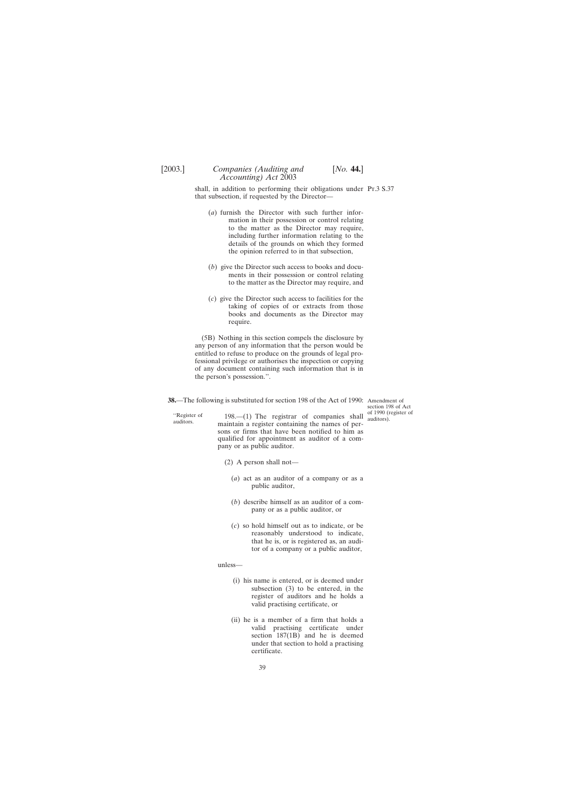<span id="page-38-0"></span>shall, in addition to performing their obligations under Pt.3 S.37 that subsection, if requested by the Director—

- (*a*) furnish the Director with such further information in their possession or control relating to the matter as the Director may require, including further information relating to the details of the grounds on which they formed the opinion referred to in that subsection,
- (*b*) give the Director such access to books and documents in their possession or control relating to the matter as the Director may require, and
- (*c*) give the Director such access to facilities for the taking of copies of or extracts from those books and documents as the Director may require.

(5B) Nothing in this section compels the disclosure by any person of any information that the person would be entitled to refuse to produce on the grounds of legal professional privilege or authorises the inspection or copying of any document containing such information that is in the person's possession.''.

**38.**—The following is substituted for section 198 of the Act of 1990: Amendment of

"Register of 198.—(1) The registrar of companies shall auditors.<br>auditors. maintain a register containing the names of persons or firms that have been notified to him as qualified for appointment as auditor of a company or as public auditor.

- (2) A person shall not—
	- (*a*) act as an auditor of a company or as a public auditor,
	- (*b*) describe himself as an auditor of a company or as a public auditor, or
	- (*c*) so hold himself out as to indicate, or be reasonably understood to indicate, that he is, or is registered as, an auditor of a company or a public auditor,

unless—

- (i) his name is entered, or is deemed under subsection (3) to be entered, in the register of auditors and he holds a valid practising certificate, or
- (ii) he is a member of a firm that holds a valid practising certificate under section 187(1B) and he is deemed under that section to hold a practising certificate.

section 198 of Act of 1990 (register of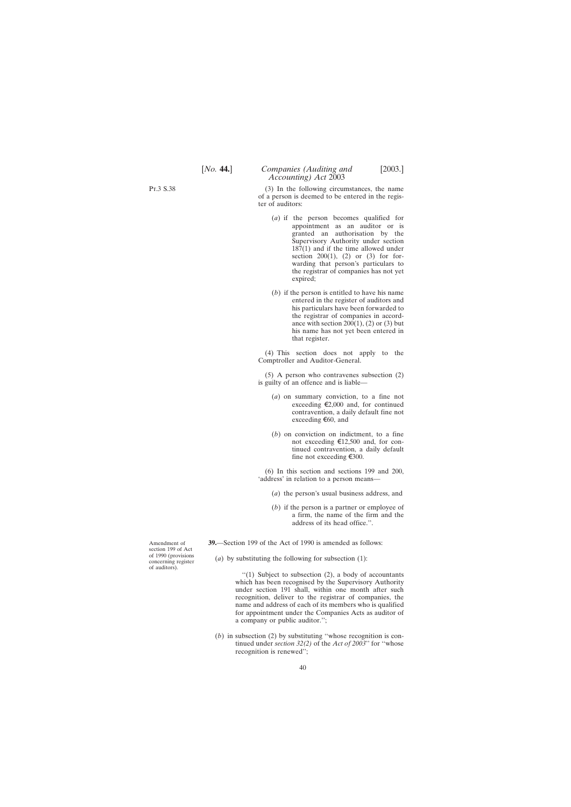<span id="page-39-0"></span>Pt.3 S.38

(3) In the following circumstances, the name of a person is deemed to be entered in the register of auditors:

- (*a*) if the person becomes qualified for appointment as an auditor or is granted an authorisation by the Supervisory Authority under section 187(1) and if the time allowed under section  $200(1)$ ,  $(2)$  or  $(3)$  for forwarding that person's particulars to the registrar of companies has not yet expired;
- (*b*) if the person is entitled to have his name entered in the register of auditors and his particulars have been forwarded to the registrar of companies in accordance with section  $200(1)$ ,  $(2)$  or  $(3)$  but his name has not yet been entered in that register.

(4) This section does not apply to the Comptroller and Auditor-General.

(5) A person who contravenes subsection (2) is guilty of an offence and is liable—

- (*a*) on summary conviction, to a fine not exceeding  $\epsilon$ 2,000 and, for continued contravention, a daily default fine not exceeding  $\epsilon$ 60, and
- (*b*) on conviction on indictment, to a fine not exceeding  $\text{£}12,500$  and, for continued contravention, a daily default fine not exceeding  $\epsilon$ 300.

(6) In this section and sections 199 and 200, 'address' in relation to a person means—

- (*a*) the person's usual business address, and
- (*b*) if the person is a partner or employee of a firm, the name of the firm and the address of its head office.''.

**39.**—Section 199 of the Act of 1990 is amended as follows:

(*a*) by substituting the following for subsection (1):

''(1) Subject to subsection (2), a body of accountants which has been recognised by the Supervisory Authority under section 191 shall, within one month after such recognition, deliver to the registrar of companies, the name and address of each of its members who is qualified for appointment under the Companies Acts as auditor of a company or public auditor.'';

(*b*) in subsection (2) by substituting ''whose recognition is continued under *section 32(2)* of the *Act of 2003*'' for ''whose recognition is renewed'';

Amendment of section 199 of Act of 1990 (provisions concerning register of auditors).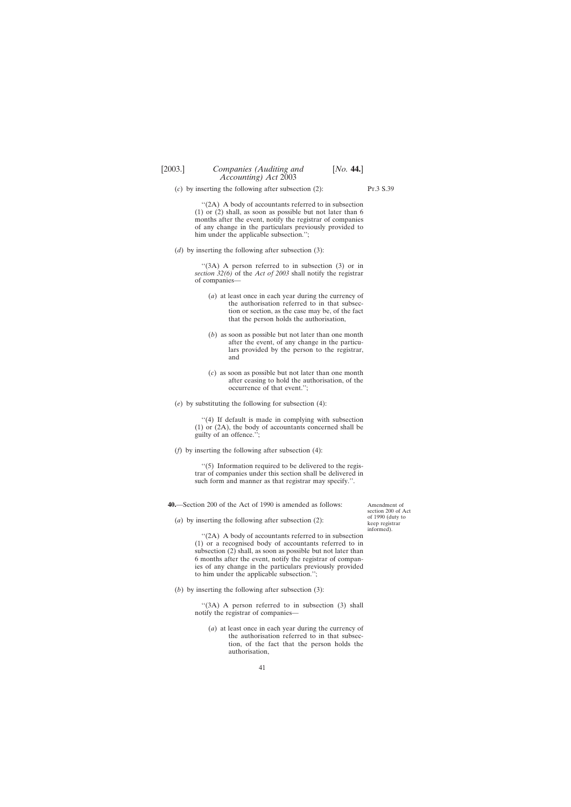<span id="page-40-0"></span>(*c*) by inserting the following after subsection (2):

Pt.3 S.39

"(2A) A body of accountants referred to in subsection (1) or (2) shall, as soon as possible but not later than 6 months after the event, notify the registrar of companies of any change in the particulars previously provided to him under the applicable subsection.'';

(*d*) by inserting the following after subsection (3):

''(3A) A person referred to in subsection (3) or in *section 32(6)* of the *Act of 2003* shall notify the registrar of companies—

- (*a*) at least once in each year during the currency of the authorisation referred to in that subsection or section, as the case may be, of the fact that the person holds the authorisation,
- (*b*) as soon as possible but not later than one month after the event, of any change in the particulars provided by the person to the registrar, and
- (*c*) as soon as possible but not later than one month after ceasing to hold the authorisation, of the occurrence of that event.'';
- (*e*) by substituting the following for subsection (4):

''(4) If default is made in complying with subsection (1) or (2A), the body of accountants concerned shall be guilty of an offence.'';

(*f*) by inserting the following after subsection (4):

''(5) Information required to be delivered to the registrar of companies under this section shall be delivered in such form and manner as that registrar may specify.''.

**40.**—Section 200 of the Act of 1990 is amended as follows:

(*a*) by inserting the following after subsection (2):

''(2A) A body of accountants referred to in subsection (1) or a recognised body of accountants referred to in subsection (2) shall, as soon as possible but not later than 6 months after the event, notify the registrar of companies of any change in the particulars previously provided to him under the applicable subsection.'';

(*b*) by inserting the following after subsection (3):

"(3A) A person referred to in subsection (3) shall notify the registrar of companies—

(*a*) at least once in each year during the currency of the authorisation referred to in that subsection, of the fact that the person holds the authorisation,

Amendment of section 200 of Act of 1990 (duty to keep registrar informed).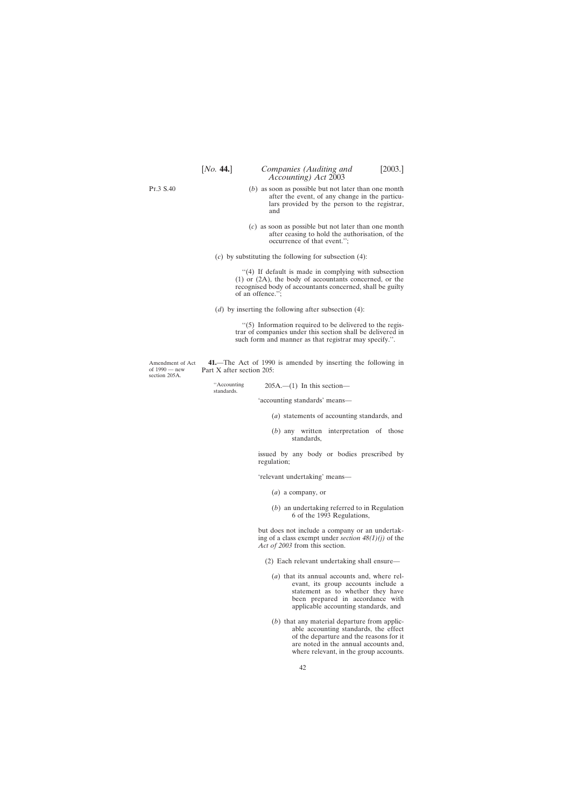<span id="page-41-0"></span>Pt.3 S.40

- (*b*) as soon as possible but not later than one month after the event, of any change in the particulars provided by the person to the registrar, and
- (*c*) as soon as possible but not later than one month after ceasing to hold the authorisation, of the occurrence of that event.'';
- (*c*) by substituting the following for subsection (4):

''(4) If default is made in complying with subsection (1) or (2A), the body of accountants concerned, or the recognised body of accountants concerned, shall be guilty of an offence.'';

(*d*) by inserting the following after subsection (4):

 $\cdot$ (5) Information required to be delivered to the registrar of companies under this section shall be delivered in such form and manner as that registrar may specify.''.

Amendment of Act of 1990 — new section 205A.

**41.**—The Act of 1990 is amended by inserting the following in Part X after section 205:

"Accounting  $205A$ .—(1) In this section—

'accounting standards' means—

- (*a*) statements of accounting standards, and
- (*b*) any written interpretation of those standards,

issued by any body or bodies prescribed by regulation;

'relevant undertaking' means—

- (*a*) a company, or
- (*b*) an undertaking referred to in Regulation 6 of the 1993 Regulations,

but does not include a company or an undertaking of a class exempt under *section 48(1)(j)* of the *Act of 2003* from this section.

- (2) Each relevant undertaking shall ensure—
	- (*a*) that its annual accounts and, where relevant, its group accounts include a statement as to whether they have been prepared in accordance with applicable accounting standards, and
	- (*b*) that any material departure from applicable accounting standards, the effect of the departure and the reasons for it are noted in the annual accounts and, where relevant, in the group accounts.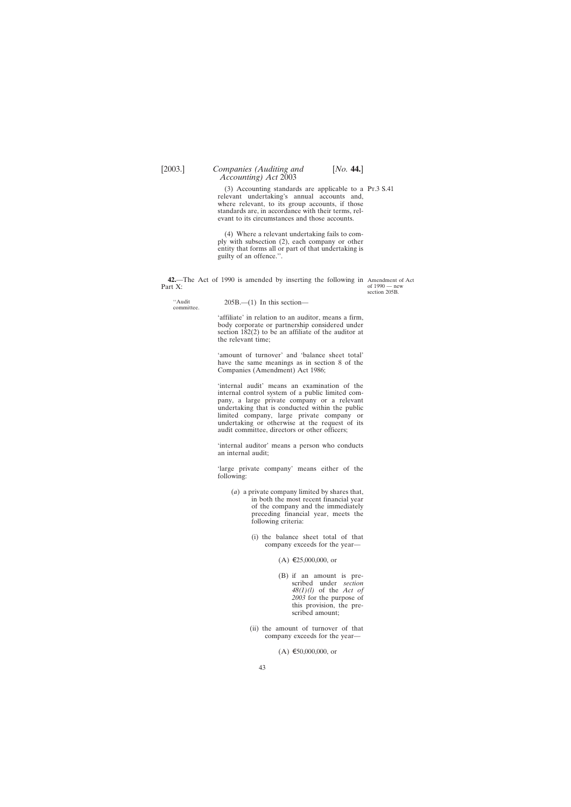<span id="page-42-0"></span>(3) Accounting standards are applicable to a Pt.3 S.41 relevant undertaking's annual accounts and, where relevant, to its group accounts, if those standards are, in accordance with their terms, relevant to its circumstances and those accounts.

(4) Where a relevant undertaking fails to comply with subsection (2), each company or other entity that forms all or part of that undertaking is guilty of an offence.''.

**42.**—The Act of 1990 is amended by inserting the following in Amendment of Act Part X:

of 1990 — new section 205B.

''Audit 205B.—(1) In this section— committee.

'affiliate' in relation to an auditor, means a firm, body corporate or partnership considered under section 182(2) to be an affiliate of the auditor at the relevant time;

'amount of turnover' and 'balance sheet total' have the same meanings as in section 8 of the Companies (Amendment) Act 1986;

'internal audit' means an examination of the internal control system of a public limited company, a large private company or a relevant undertaking that is conducted within the public limited company, large private company or undertaking or otherwise at the request of its audit committee, directors or other officers;

'internal auditor' means a person who conducts an internal audit;

'large private company' means either of the following:

- (*a*) a private company limited by shares that, in both the most recent financial year of the company and the immediately preceding financial year, meets the following criteria:
	- (i) the balance sheet total of that company exceeds for the year—
		- $(A) \in 25,000,000$ , or
		- (B) if an amount is prescribed under *section 48(1)(l)* of the *Act of 2003* for the purpose of this provision, the prescribed amount;
	- (ii) the amount of turnover of that company exceeds for the year—

 $(A) \epsilon 50,000,000$ , or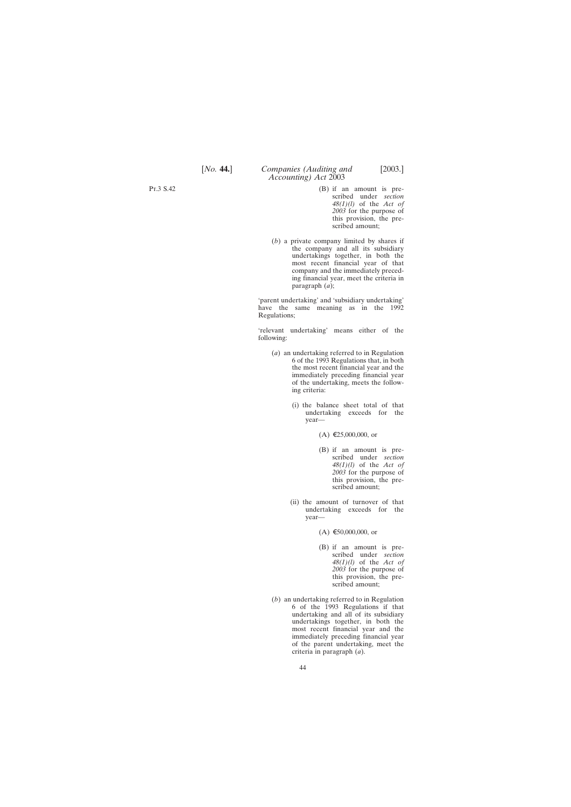# [*No.* **44.**] *Companies (Auditing and* [2003.] *Accounting) Act* 2003

- (B) if an amount is prescribed under *section 48(1)(l)* of the *Act of 2003* for the purpose of this provision, the prescribed amount;
- (*b*) a private company limited by shares if the company and all its subsidiary undertakings together, in both the most recent financial year of that company and the immediately preceding financial year, meet the criteria in paragraph (*a*);

'parent undertaking' and 'subsidiary undertaking' have the same meaning as in the 1992 Regulations;

'relevant undertaking' means either of the following:

- (*a*) an undertaking referred to in Regulation 6 of the 1993 Regulations that, in both the most recent financial year and the immediately preceding financial year of the undertaking, meets the following criteria:
	- (i) the balance sheet total of that undertaking exceeds for the year—
		- $(A)$  €25,000,000, or
		- (B) if an amount is prescribed under *section 48(1)(l)* of the *Act of 2003* for the purpose of this provision, the prescribed amount;
	- (ii) the amount of turnover of that undertaking exceeds for the year—

 $(A) \epsilon 50,000,000$ , or

- (B) if an amount is prescribed under *section 48(1)(l)* of the *Act of 2003* for the purpose of this provision, the prescribed amount;
- (*b*) an undertaking referred to in Regulation 6 of the 1993 Regulations if that undertaking and all of its subsidiary undertakings together, in both the most recent financial year and the immediately preceding financial year of the parent undertaking, meet the criteria in paragraph (*a*).

Pt.3 S.42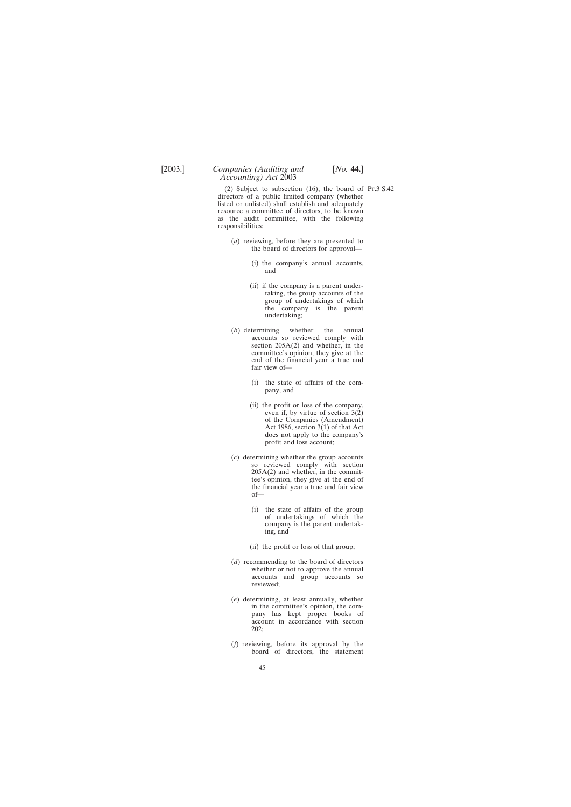(2) Subject to subsection (16), the board of Pt.3 S.42directors of a public limited company (whether listed or unlisted) shall establish and adequately resource a committee of directors, to be known as the audit committee, with the following responsibilities:

- (*a*) reviewing, before they are presented to the board of directors for approval—
	- (i) the company's annual accounts, and
	- (ii) if the company is a parent undertaking, the group accounts of the group of undertakings of which the company is the parent undertaking;
- (*b*) determining whether the annual accounts so reviewed comply with section 205A(2) and whether, in the committee's opinion, they give at the end of the financial year a true and fair view of—
	- (i) the state of affairs of the company, and
	- (ii) the profit or loss of the company, even if, by virtue of section 3(2) of the Companies (Amendment) Act 1986, section 3(1) of that Act does not apply to the company's profit and loss account;
- (*c*) determining whether the group accounts so reviewed comply with section 205A(2) and whether, in the committee's opinion, they give at the end of the financial year a true and fair view of—
	- (i) the state of affairs of the group of undertakings of which the company is the parent undertaking, and
	- (ii) the profit or loss of that group;
- (*d*) recommending to the board of directors whether or not to approve the annual accounts and group accounts so reviewed;
- (*e*) determining, at least annually, whether in the committee's opinion, the company has kept proper books of account in accordance with section 202;
- (*f*) reviewing, before its approval by the board of directors, the statement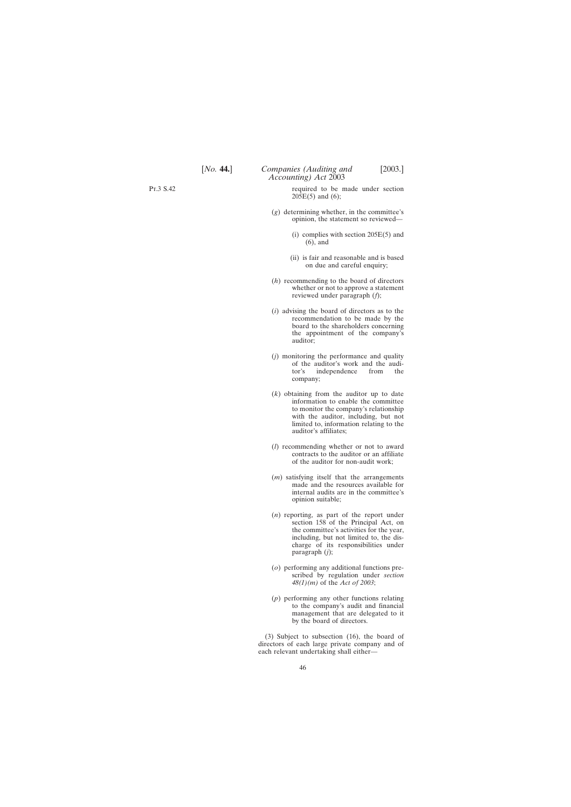Pt.3 S.42

required to be made under section  $20\bar{5}E(5)$  and (6);

- (*g*) determining whether, in the committee's opinion, the statement so reviewed—
	- (i) complies with section 205E(5) and (6), and
	- (ii) is fair and reasonable and is based on due and careful enquiry;
- (*h*) recommending to the board of directors whether or not to approve a statement reviewed under paragraph (*f*);
- (*i*) advising the board of directors as to the recommendation to be made by the board to the shareholders concerning the appointment of the company's auditor;
- (*j*) monitoring the performance and quality of the auditor's work and the audi-<br>tor's independence from the independence from the company;
- (*k*) obtaining from the auditor up to date information to enable the committee to monitor the company's relationship with the auditor, including, but not limited to, information relating to the auditor's affiliates;
- (*l*) recommending whether or not to award contracts to the auditor or an affiliate of the auditor for non-audit work;
- (*m*) satisfying itself that the arrangements made and the resources available for internal audits are in the committee's opinion suitable;
- (*n*) reporting, as part of the report under section 158 of the Principal Act, on the committee's activities for the year, including, but not limited to, the discharge of its responsibilities under paragraph (*j*);
- (*o*) performing any additional functions prescribed by regulation under *section 48(1)(m)* of the *Act of 2003*;
- (*p*) performing any other functions relating to the company's audit and financial management that are delegated to it by the board of directors.

(3) Subject to subsection (16), the board of directors of each large private company and of each relevant undertaking shall either—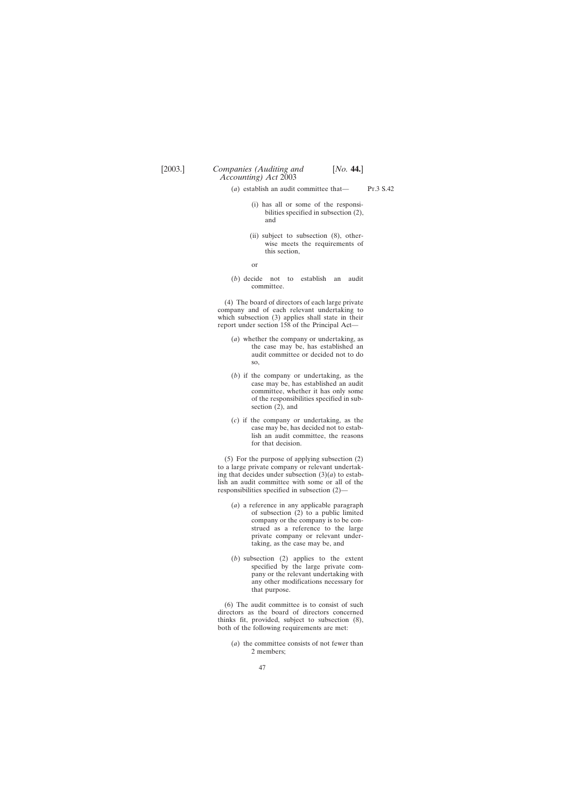- (*a*) establish an audit committee that—
- Pt.3 S.42
- (i) has all or some of the responsibilities specified in subsection (2), and
- (ii) subject to subsection (8), otherwise meets the requirements of this section,

or

(*b*) decide not to establish an audit committee.

(4) The board of directors of each large private company and of each relevant undertaking to which subsection (3) applies shall state in their report under section 158 of the Principal Act—

- (*a*) whether the company or undertaking, as the case may be, has established an audit committee or decided not to do so,
- (*b*) if the company or undertaking, as the case may be, has established an audit committee, whether it has only some of the responsibilities specified in subsection (2), and
- (*c*) if the company or undertaking, as the case may be, has decided not to establish an audit committee, the reasons for that decision.

(5) For the purpose of applying subsection (2) to a large private company or relevant undertaking that decides under subsection  $(3)(a)$  to establish an audit committee with some or all of the responsibilities specified in subsection (2)—

- (*a*) a reference in any applicable paragraph of subsection (2) to a public limited company or the company is to be construed as a reference to the large private company or relevant undertaking, as the case may be, and
- (*b*) subsection (2) applies to the extent specified by the large private company or the relevant undertaking with any other modifications necessary for that purpose.

(6) The audit committee is to consist of such directors as the board of directors concerned thinks fit, provided, subject to subsection (8), both of the following requirements are met:

(*a*) the committee consists of not fewer than 2 members;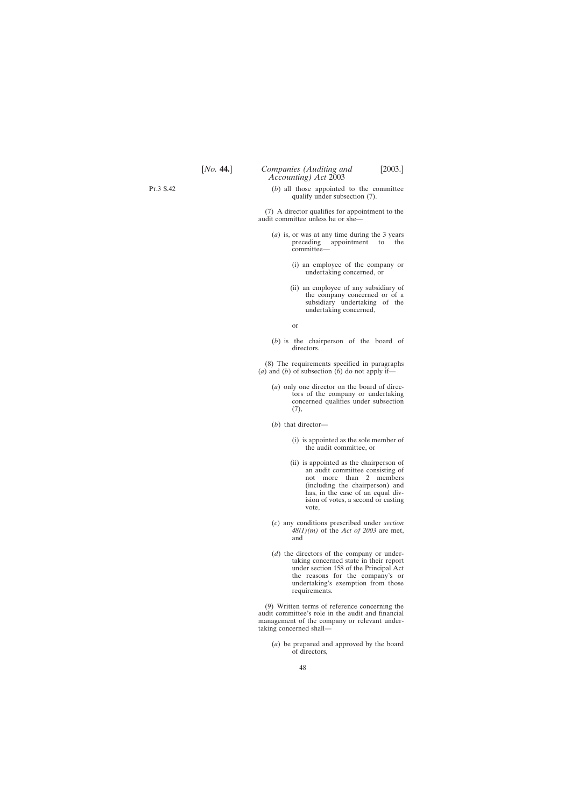(*b*) all those appointed to the committee qualify under subsection (7).

(7) A director qualifies for appointment to the audit committee unless he or she—

- (*a*) is, or was at any time during the 3 years preceding appointment to the committee—
	- (i) an employee of the company or undertaking concerned, or
	- (ii) an employee of any subsidiary of the company concerned or of a subsidiary undertaking of the undertaking concerned,

or

(*b*) is the chairperson of the board of directors.

(8) The requirements specified in paragraphs (*a*) and (*b*) of subsection  $(6)$  do not apply if-

- (*a*) only one director on the board of directors of the company or undertaking concerned qualifies under subsection (7),
- (*b*) that director—
	- (i) is appointed as the sole member of the audit committee, or
	- (ii) is appointed as the chairperson of an audit committee consisting of not more than 2 members (including the chairperson) and has, in the case of an equal division of votes, a second or casting vote,
- (*c*) any conditions prescribed under *section 48(1)(m)* of the *Act of 2003* are met, and
- (*d*) the directors of the company or undertaking concerned state in their report under section 158 of the Principal Act the reasons for the company's or undertaking's exemption from those requirements.

(9) Written terms of reference concerning the audit committee's role in the audit and financial management of the company or relevant undertaking concerned shall—

(*a*) be prepared and approved by the board of directors,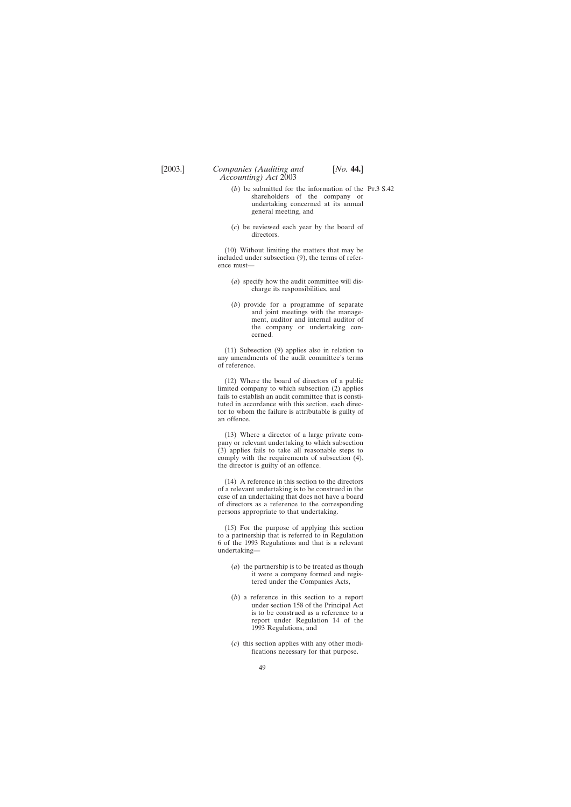- (*b*) be submitted for the information of the Pt.3 S.42shareholders of the company or undertaking concerned at its annual general meeting, and
- (*c*) be reviewed each year by the board of directors.

(10) Without limiting the matters that may be included under subsection (9), the terms of reference must—

- (*a*) specify how the audit committee will discharge its responsibilities, and
- (*b*) provide for a programme of separate and joint meetings with the management, auditor and internal auditor of the company or undertaking concerned.

(11) Subsection (9) applies also in relation to any amendments of the audit committee's terms of reference.

(12) Where the board of directors of a public limited company to which subsection (2) applies fails to establish an audit committee that is constituted in accordance with this section, each director to whom the failure is attributable is guilty of an offence.

(13) Where a director of a large private company or relevant undertaking to which subsection (3) applies fails to take all reasonable steps to comply with the requirements of subsection (4), the director is guilty of an offence.

(14) A reference in this section to the directors of a relevant undertaking is to be construed in the case of an undertaking that does not have a board of directors as a reference to the corresponding persons appropriate to that undertaking.

(15) For the purpose of applying this section to a partnership that is referred to in Regulation 6 of the 1993 Regulations and that is a relevant undertaking—

- (*a*) the partnership is to be treated as though it were a company formed and registered under the Companies Acts,
- (*b*) a reference in this section to a report under section 158 of the Principal Act is to be construed as a reference to a report under Regulation 14 of the 1993 Regulations, and
- (*c*) this section applies with any other modifications necessary for that purpose.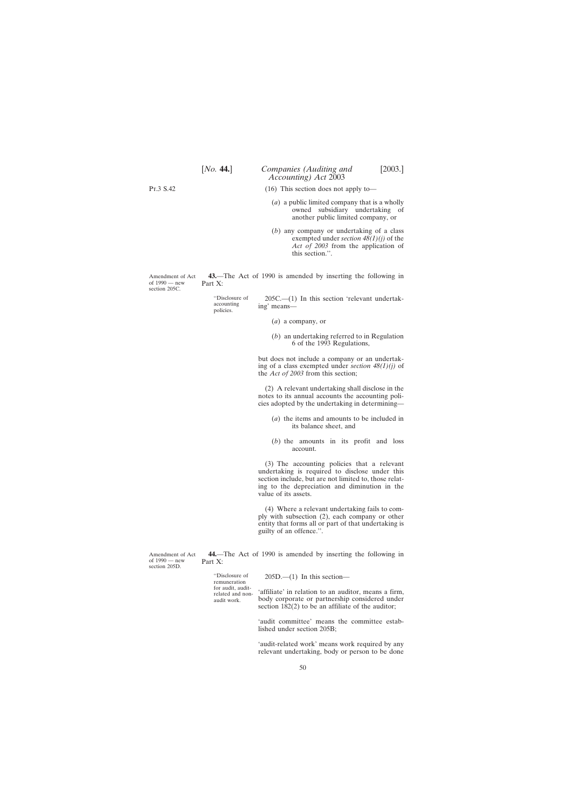<span id="page-49-0"></span>Pt.3 S.42

(16) This section does not apply to—

*Accounting) Act* 2003

- (*a*) a public limited company that is a wholly owned subsidiary undertaking of another public limited company, or
- (*b*) any company or undertaking of a class exempted under *section 48(1)(j)* of the *Act of 2003* from the application of this section.''.

**43.**—The Act of 1990 is amended by inserting the following in Part X:

''Disclosure of 205C.—(1) In this section 'relevant undertak-<br>accounting ing' means—

- (*a*) a company, or
- (*b*) an undertaking referred to in Regulation 6 of the 1993 Regulations,

but does not include a company or an undertaking of a class exempted under *section 48(1)(j)* of the *Act of 2003* from this section;

(2) A relevant undertaking shall disclose in the notes to its annual accounts the accounting policies adopted by the undertaking in determining—

- (*a*) the items and amounts to be included in its balance sheet, and
- (*b*) the amounts in its profit and loss account.

(3) The accounting policies that a relevant undertaking is required to disclose under this section include, but are not limited to, those relating to the depreciation and diminution in the value of its assets.

(4) Where a relevant undertaking fails to comply with subsection (2), each company or other entity that forms all or part of that undertaking is guilty of an offence.''.

**44.**—The Act of 1990 is amended by inserting the following in Part X:

"Disclosure of 205D.—(1) In this section—<br>remuneration<br>for audit audit

for audit, audit-<br>related and non-<br>audit work. body corporate or partnership considered under body corporate or partnership considered under section 182(2) to be an affiliate of the auditor;

> 'audit committee' means the committee established under section 205B;

> 'audit-related work' means work required by any relevant undertaking, body or person to be done

Amendment of Act of 1990 — new section 205C.

Amendment of Act of 1990 — new section 205D.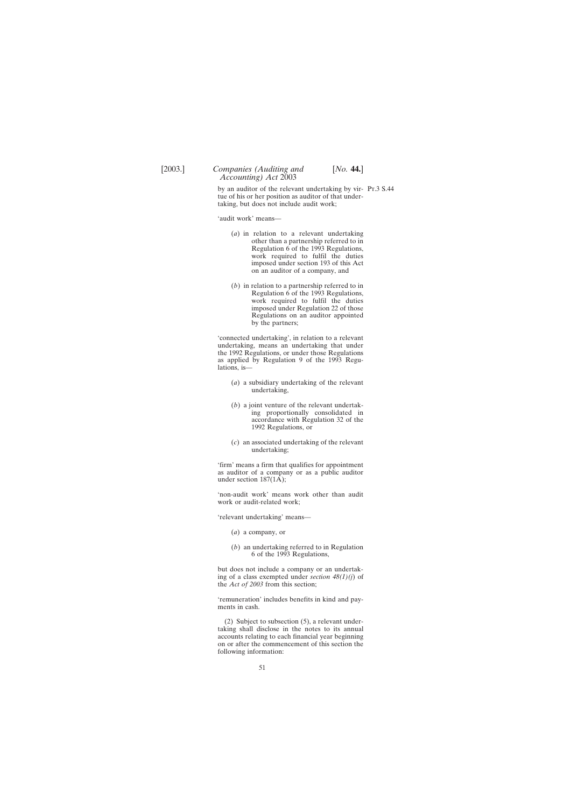by an auditor of the relevant undertaking by vir-Pt.3 S.44tue of his or her position as auditor of that undertaking, but does not include audit work;

'audit work' means—

- (*a*) in relation to a relevant undertaking other than a partnership referred to in Regulation 6 of the 1993 Regulations, work required to fulfil the duties imposed under section 193 of this Act on an auditor of a company, and
- (*b*) in relation to a partnership referred to in Regulation 6 of the 1993 Regulations, work required to fulfil the duties imposed under Regulation 22 of those Regulations on an auditor appointed by the partners;

'connected undertaking', in relation to a relevant undertaking, means an undertaking that under the 1992 Regulations, or under those Regulations as applied by Regulation 9 of the 1993 Regulations, is—

- (*a*) a subsidiary undertaking of the relevant undertaking,
- (*b*) a joint venture of the relevant undertaking proportionally consolidated in accordance with Regulation 32 of the 1992 Regulations, or
- (*c*) an associated undertaking of the relevant undertaking;

'firm' means a firm that qualifies for appointment as auditor of a company or as a public auditor under section  $187(1\overline{A})$ ;

'non-audit work' means work other than audit work or audit-related work;

'relevant undertaking' means—

- (*a*) a company, or
- (*b*) an undertaking referred to in Regulation 6 of the 1993 Regulations,

but does not include a company or an undertaking of a class exempted under *section 48(1)(j*) of the *Act of 2003* from this section;

'remuneration' includes benefits in kind and payments in cash.

(2) Subject to subsection (5), a relevant undertaking shall disclose in the notes to its annual accounts relating to each financial year beginning on or after the commencement of this section the following information: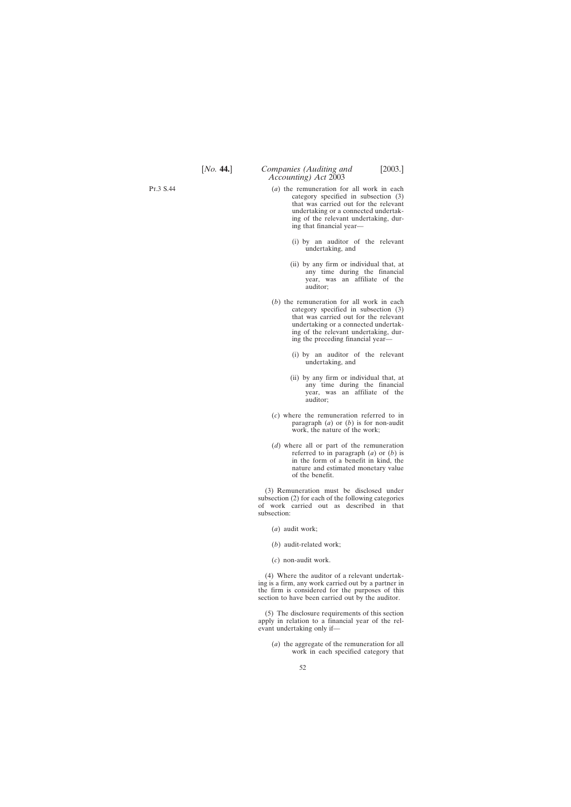- (*a*) the remuneration for all work in each category specified in subsection (3) that was carried out for the relevant undertaking or a connected undertaking of the relevant undertaking, during that financial year—
	- (i) by an auditor of the relevant undertaking, and
	- (ii) by any firm or individual that, at any time during the financial year, was an affiliate of the auditor;
- (*b*) the remuneration for all work in each category specified in subsection (3) that was carried out for the relevant undertaking or a connected undertaking of the relevant undertaking, during the preceding financial year—
	- (i) by an auditor of the relevant undertaking, and
	- (ii) by any firm or individual that, at any time during the financial year, was an affiliate of the auditor;
- (*c*) where the remuneration referred to in paragraph (*a*) or (*b*) is for non-audit work, the nature of the work;
- (*d*) where all or part of the remuneration referred to in paragraph (*a*) or (*b*) is in the form of a benefit in kind, the nature and estimated monetary value of the benefit.

(3) Remuneration must be disclosed under subsection (2) for each of the following categories of work carried out as described in that subsection:

- (*a*) audit work;
- (*b*) audit-related work;
- (*c*) non-audit work.

(4) Where the auditor of a relevant undertaking is a firm, any work carried out by a partner in the firm is considered for the purposes of this section to have been carried out by the auditor.

(5) The disclosure requirements of this section apply in relation to a financial year of the relevant undertaking only if—

(*a*) the aggregate of the remuneration for all work in each specified category that

Pt.3 S.44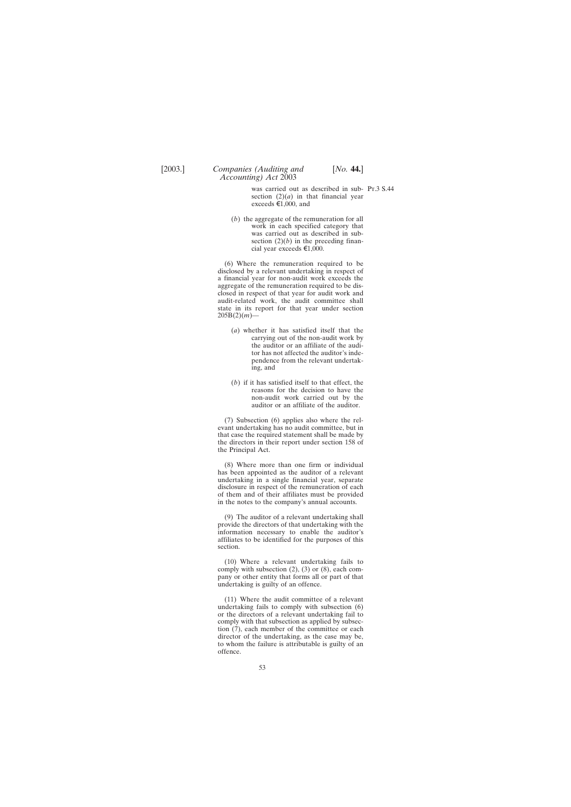was carried out as described in sub-Pt.3 S.44section  $(2)(a)$  in that financial year exceeds  $\epsilon 1,000$ , and

(*b*) the aggregate of the remuneration for all work in each specified category that was carried out as described in subsection  $(2)(b)$  in the preceding financial year exceeds  $\epsilon$ 1,000.

*Accounting) Act* 2003

(6) Where the remuneration required to be disclosed by a relevant undertaking in respect of a financial year for non-audit work exceeds the aggregate of the remuneration required to be disclosed in respect of that year for audit work and audit-related work, the audit committee shall state in its report for that year under section  $205B(2)(m)$ 

- (*a*) whether it has satisfied itself that the carrying out of the non-audit work by the auditor or an affiliate of the auditor has not affected the auditor's independence from the relevant undertaking, and
- (*b*) if it has satisfied itself to that effect, the reasons for the decision to have the non-audit work carried out by the auditor or an affiliate of the auditor.

(7) Subsection (6) applies also where the relevant undertaking has no audit committee, but in that case the required statement shall be made by the directors in their report under section 158 of the Principal Act.

(8) Where more than one firm or individual has been appointed as the auditor of a relevant undertaking in a single financial year, separate disclosure in respect of the remuneration of each of them and of their affiliates must be provided in the notes to the company's annual accounts.

(9) The auditor of a relevant undertaking shall provide the directors of that undertaking with the information necessary to enable the auditor's affiliates to be identified for the purposes of this section.

(10) Where a relevant undertaking fails to comply with subsection  $(2)$ ,  $(3)$  or  $(8)$ , each company or other entity that forms all or part of that undertaking is guilty of an offence.

(11) Where the audit committee of a relevant undertaking fails to comply with subsection (6) or the directors of a relevant undertaking fail to comply with that subsection as applied by subsection (7), each member of the committee or each director of the undertaking, as the case may be, to whom the failure is attributable is guilty of an offence.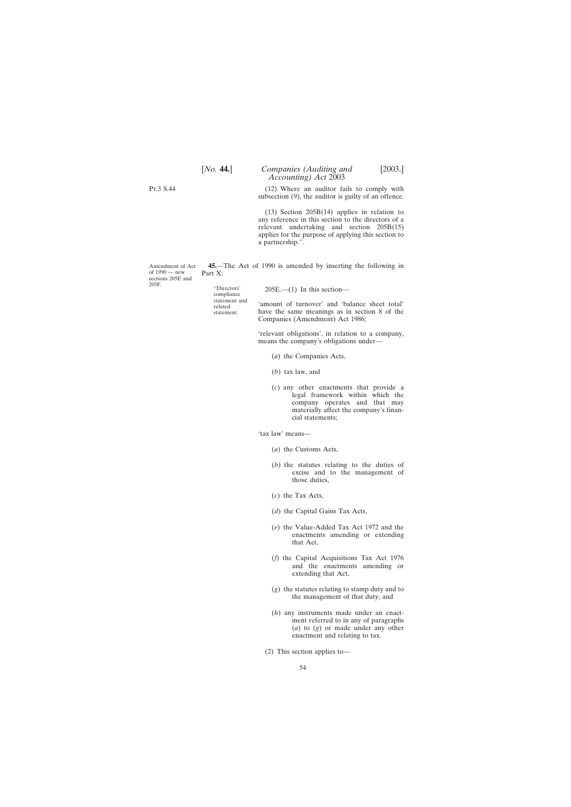<span id="page-53-0"></span>Pt.3 S.44

Amendment of Act of 1990 — new sections 205E and

205F.

(12) Where an auditor fails to comply with subsection (9), the auditor is guilty of an offence.

(13) Section 205B(14) applies in relation to any reference in this section to the directors of a relevant undertaking and section 205B(15) applies for the purpose of applying this section to a partnership.''.

**45.**—The Act of 1990 is amended by inserting the following in Part X:

''Directors' 205E.—(1) In this section— compliance

statement and 'amount of turnover' and 'balance sheet total' related statement. have the same meanings as in section 8 of the Companies (Amendment) Act 1986;

> 'relevant obligations', in relation to a company, means the company's obligations under—

- (*a*) the Companies Acts,
- (*b*) tax law, and
- (*c*) any other enactments that provide a legal framework within which the company operates and that may materially affect the company's financial statements;

'tax law' means—

- (*a*) the Customs Acts,
- (*b*) the statutes relating to the duties of excise and to the management of those duties,
- (*c*) the Tax Acts,
- (*d*) the Capital Gains Tax Acts,
- (*e*) the Value-Added Tax Act 1972 and the enactments amending or extending that Act,
- (*f*) the Capital Acquisitions Tax Act 1976 and the enactments amending or extending that Act,
- (*g*) the statutes relating to stamp duty and to the management of that duty, and
- (*h*) any instruments made under an enactment referred to in any of paragraphs (*a*) to (*g*) or made under any other enactment and relating to tax.
- (2) This section applies to—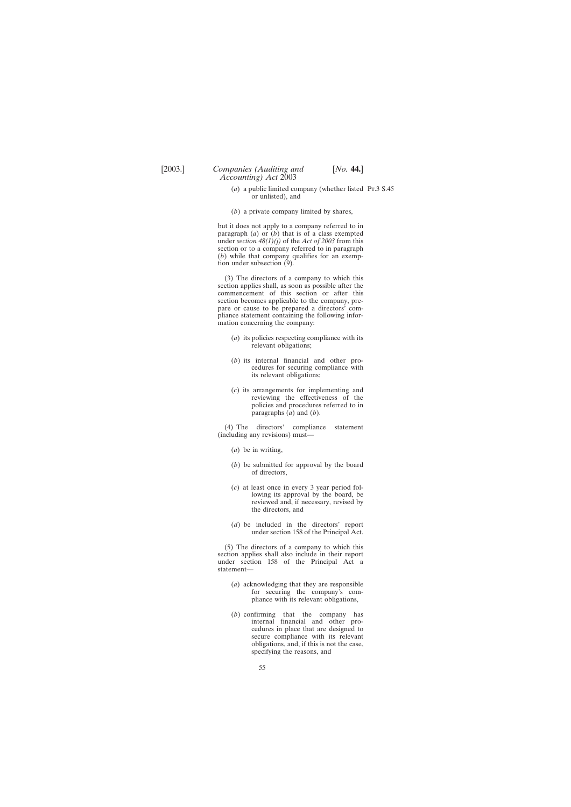- (*a*) a public limited company (whether listed Pt.3 S.45or unlisted), and
- (*b*) a private company limited by shares,

but it does not apply to a company referred to in paragraph  $(a)$  or  $(b)$  that is of a class exempted under *section 48(1)(j)* of the *Act of 2003* from this section or to a company referred to in paragraph (*b*) while that company qualifies for an exemption under subsection (9).

(3) The directors of a company to which this section applies shall, as soon as possible after the commencement of this section or after this section becomes applicable to the company, prepare or cause to be prepared a directors' compliance statement containing the following information concerning the company:

- (*a*) its policies respecting compliance with its relevant obligations;
- (*b*) its internal financial and other procedures for securing compliance with its relevant obligations;
- (*c*) its arrangements for implementing and reviewing the effectiveness of the policies and procedures referred to in paragraphs  $(a)$  and  $(b)$ .

(4) The directors' compliance statement (including any revisions) must—

- (*a*) be in writing,
- (*b*) be submitted for approval by the board of directors,
- (*c*) at least once in every 3 year period following its approval by the board, be reviewed and, if necessary, revised by the directors, and
- (*d*) be included in the directors' report under section 158 of the Principal Act.

(5) The directors of a company to which this section applies shall also include in their report under section 158 of the Principal Act a statement—

- (*a*) acknowledging that they are responsible for securing the company's compliance with its relevant obligations,
- (*b*) confirming that the company has internal financial and other procedures in place that are designed to secure compliance with its relevant obligations, and, if this is not the case, specifying the reasons, and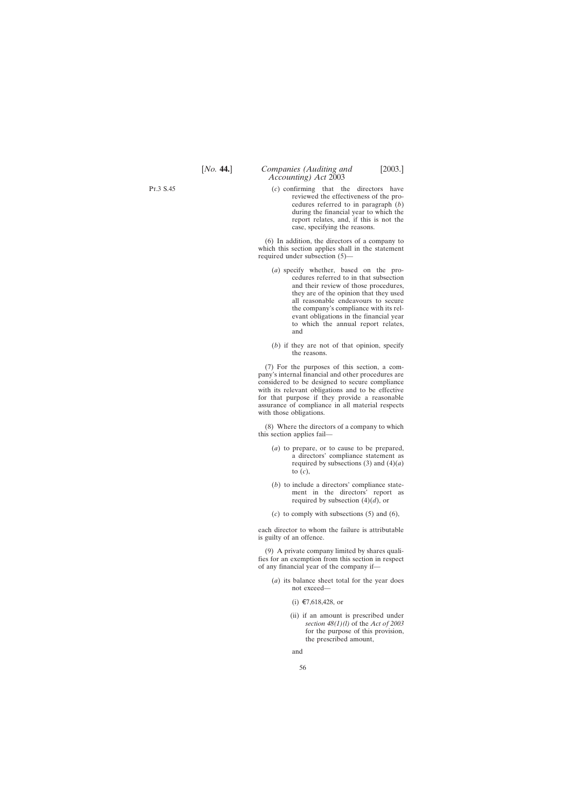(*c*) confirming that the directors have reviewed the effectiveness of the procedures referred to in paragraph (*b*) during the financial year to which the report relates, and, if this is not the case, specifying the reasons.

(6) In addition, the directors of a company to which this section applies shall in the statement required under subsection (5)—

- (*a*) specify whether, based on the procedures referred to in that subsection and their review of those procedures, they are of the opinion that they used all reasonable endeavours to secure the company's compliance with its relevant obligations in the financial year to which the annual report relates, and
- (*b*) if they are not of that opinion, specify the reasons.

(7) For the purposes of this section, a company's internal financial and other procedures are considered to be designed to secure compliance with its relevant obligations and to be effective for that purpose if they provide a reasonable assurance of compliance in all material respects with those obligations.

(8) Where the directors of a company to which this section applies fail—

- (*a*) to prepare, or to cause to be prepared, a directors' compliance statement as required by subsections  $(3)$  and  $(4)(a)$ to (*c*),
- (*b*) to include a directors' compliance statement in the directors' report as required by subsection (4)(*d*), or
- (*c*) to comply with subsections (5) and (6),

each director to whom the failure is attributable is guilty of an offence.

(9) A private company limited by shares qualifies for an exemption from this section in respect of any financial year of the company if—

- (*a*) its balance sheet total for the year does not exceed—
	- (i) €7,618,428, or
	- (ii) if an amount is prescribed under *section 48(1)(l)* of the *Act of 2003* for the purpose of this provision, the prescribed amount,

and

Pt.3 S.45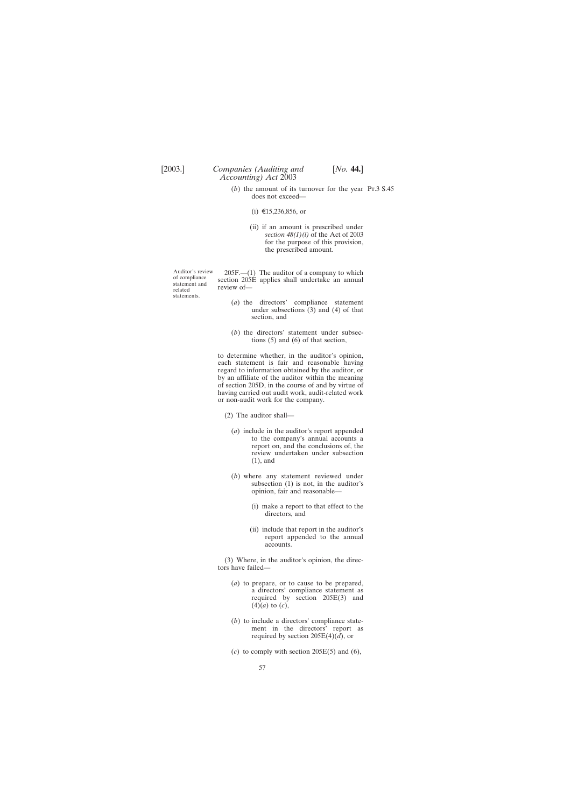- (*b*) the amount of its turnover for the year Pt.3 S.45does not exceed—
	- (i) €15,236,856, or
	- (ii) if an amount is prescribed under *section 48(1)(l)* of the Act of 2003 for the purpose of this provision, the prescribed amount.

statements.

Auditor's review 205F.—(1) The auditor of a company to which of compliance section 205E applies shall undertake an annual related review of review of-

- (*a*) the directors' compliance statement under subsections (3) and (4) of that section, and
- (*b*) the directors' statement under subsections (5) and (6) of that section,

to determine whether, in the auditor's opinion, each statement is fair and reasonable having regard to information obtained by the auditor, or by an affiliate of the auditor within the meaning of section 205D, in the course of and by virtue of having carried out audit work, audit-related work or non-audit work for the company.

(2) The auditor shall—

- (*a*) include in the auditor's report appended to the company's annual accounts a report on, and the conclusions of, the review undertaken under subsection (1), and
- (*b*) where any statement reviewed under subsection (1) is not, in the auditor's opinion, fair and reasonable—
	- (i) make a report to that effect to the directors, and
	- (ii) include that report in the auditor's report appended to the annual accounts.

(3) Where, in the auditor's opinion, the directors have failed—

- (*a*) to prepare, or to cause to be prepared, a directors' compliance statement as required by section 205E(3) and  $(4)(a)$  to  $(c)$ ,
- (*b*) to include a directors' compliance statement in the directors' report as required by section  $205E(4)(\bar{d})$ , or
- $(c)$  to comply with section 205E(5) and (6),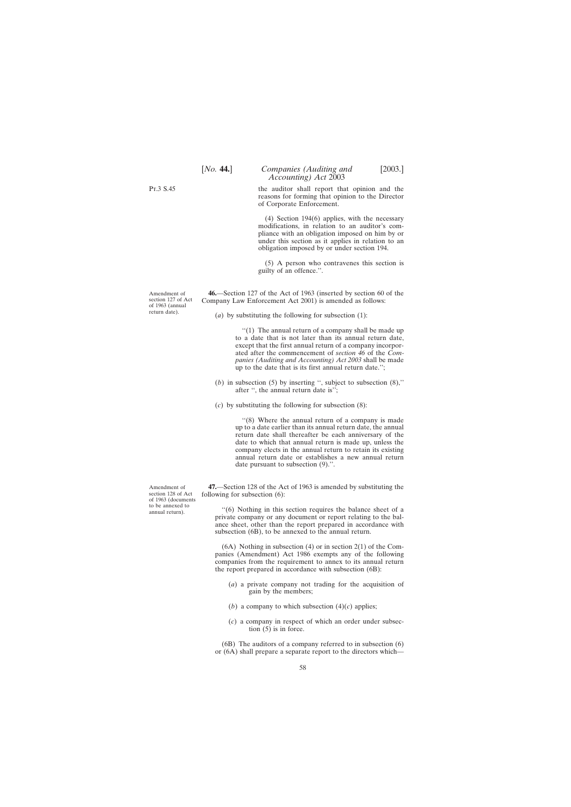[*No.* **44.**] *Companies (Auditing and* [2003.] *Accounting) Act* 2003

the auditor shall report that opinion and the reasons for forming that opinion to the Director of Corporate Enforcement.

(4) Section 194(6) applies, with the necessary modifications, in relation to an auditor's compliance with an obligation imposed on him by or under this section as it applies in relation to an obligation imposed by or under section 194.

(5) A person who contravenes this section is guilty of an offence.''.

**46.**—Section 127 of the Act of 1963 (inserted by section 60 of the Company Law Enforcement Act 2001) is amended as follows:

(*a*) by substituting the following for subsection (1):

''(1) The annual return of a company shall be made up to a date that is not later than its annual return date, except that the first annual return of a company incorporated after the commencement of *section 46* of the *Companies (Auditing and Accounting) Act 2003* shall be made up to the date that is its first annual return date.'';

(*b*) in subsection (5) by inserting '', subject to subsection (8),'' after '', the annual return date is'';

(*c*) by substituting the following for subsection (8):

''(8) Where the annual return of a company is made up to a date earlier than its annual return date, the annual return date shall thereafter be each anniversary of the date to which that annual return is made up, unless the company elects in the annual return to retain its existing annual return date or establishes a new annual return date pursuant to subsection (9).''.

**47.**—Section 128 of the Act of 1963 is amended by substituting the following for subsection (6):

''(6) Nothing in this section requires the balance sheet of a private company or any document or report relating to the balance sheet, other than the report prepared in accordance with subsection (6B), to be annexed to the annual return.

(6A) Nothing in subsection (4) or in section 2(1) of the Companies (Amendment) Act 1986 exempts any of the following companies from the requirement to annex to its annual return the report prepared in accordance with subsection (6B):

- (*a*) a private company not trading for the acquisition of gain by the members;
- (*b*) a company to which subsection  $(4)(c)$  applies;
- (*c*) a company in respect of which an order under subsection (5) is in force.

(6B) The auditors of a company referred to in subsection (6) or (6A) shall prepare a separate report to the directors which—

Amendment of section 128 of Act of 1963 (documents to be annexed to annual return).

58

<span id="page-57-0"></span>Pt.3 S.45

Amendment of section 127 of Act of 1963 (annual return date).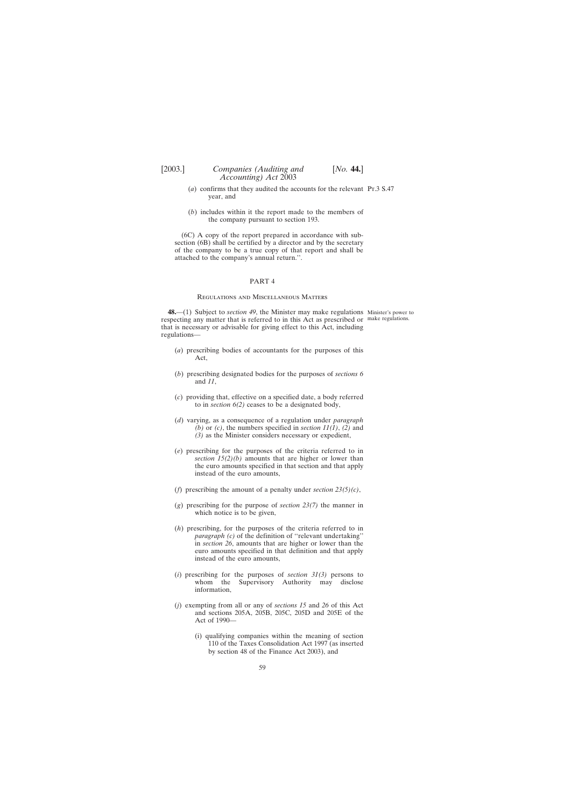- <span id="page-58-0"></span>(*a*) confirms that they audited the accounts for the relevant Pt.3 S.47 year, and
- (*b*) includes within it the report made to the members of the company pursuant to section 193.

(6C) A copy of the report prepared in accordance with subsection (6B) shall be certified by a director and by the secretary of the company to be a true copy of that report and shall be attached to the company's annual return.''.

#### PART 4

#### Regulations and Miscellaneous Matters

**48.**—(1) Subject to *section 49*, the Minister may make regulations Minister's power to respecting any matter that is referred to in this Act as prescribed or make regulations.that is necessary or advisable for giving effect to this Act, including regulations—

- (*a*) prescribing bodies of accountants for the purposes of this Act,
- (*b*) prescribing designated bodies for the purposes of *sections 6* and *11*,
- (*c*) providing that, effective on a specified date, a body referred to in *section 6(2)* ceases to be a designated body,
- (*d*) varying, as a consequence of a regulation under *paragraph (b)* or *(c)*, the numbers specified in *section 11(1)*, *(2)* and *(3)* as the Minister considers necessary or expedient,
- (*e*) prescribing for the purposes of the criteria referred to in *section 15(2)(b)* amounts that are higher or lower than the euro amounts specified in that section and that apply instead of the euro amounts,
- (*f*) prescribing the amount of a penalty under *section 23(5)(c)*,
- (*g*) prescribing for the purpose of *section 23(7)* the manner in which notice is to be given,
- (*h*) prescribing, for the purposes of the criteria referred to in *paragraph (c)* of the definition of "relevant undertaking" in *section 26*, amounts that are higher or lower than the euro amounts specified in that definition and that apply instead of the euro amounts,
- (*i*) prescribing for the purposes of *section*  $31(3)$  persons to whom the Supervisory Authority may disclose whom the Supervisory Authority may disclose information,
- (*j*) exempting from all or any of *sections 15* and *26* of this Act and sections 205A, 205B, 205C, 205D and 205E of the Act of 1990—
	- (i) qualifying companies within the meaning of section 110 of the Taxes Consolidation Act 1997 (as inserted by section 48 of the Finance Act 2003), and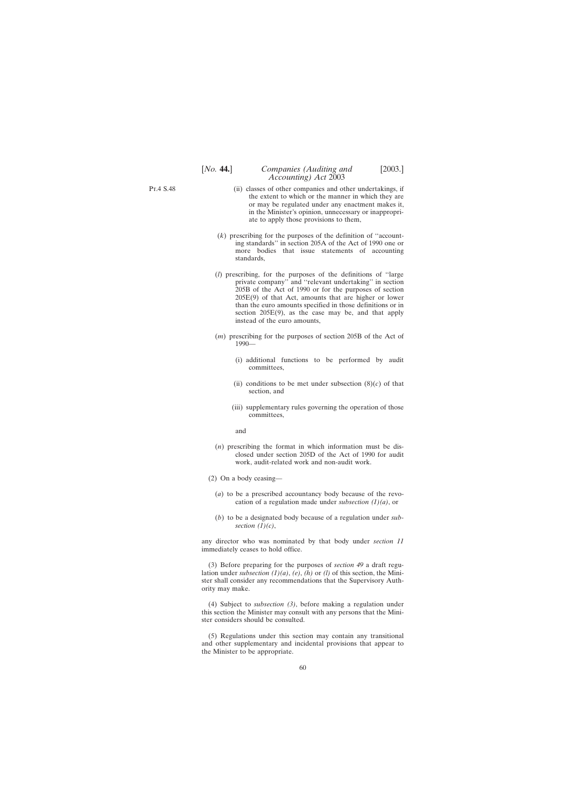- Pt.4 S.48
- (ii) classes of other companies and other undertakings, if the extent to which or the manner in which they are or may be regulated under any enactment makes it, in the Minister's opinion, unnecessary or inappropriate to apply those provisions to them,
- (*k*) prescribing for the purposes of the definition of ''accounting standards'' in section 205A of the Act of 1990 one or more bodies that issue statements of accounting standards,
- (*l*) prescribing, for the purposes of the definitions of ''large private company'' and ''relevant undertaking'' in section 205B of the Act of 1990 or for the purposes of section 205E(9) of that Act, amounts that are higher or lower than the euro amounts specified in those definitions or in section  $205E(9)$ , as the case may be, and that apply instead of the euro amounts,
- (*m*) prescribing for the purposes of section 205B of the Act of 1990—
	- (i) additional functions to be performed by audit committees,
	- (ii) conditions to be met under subsection  $(8)(c)$  of that section, and
	- (iii) supplementary rules governing the operation of those committees,

and

- (*n*) prescribing the format in which information must be disclosed under section 205D of the Act of 1990 for audit work, audit-related work and non-audit work.
- (2) On a body ceasing—
	- (*a*) to be a prescribed accountancy body because of the revocation of a regulation made under *subsection (1)(a)*, or
	- (*b*) to be a designated body because of a regulation under *subsection (1)(c)*,

any director who was nominated by that body under *section 11* immediately ceases to hold office.

(3) Before preparing for the purposes of *section 49* a draft regulation under *subsection (1)(a)*, *(e)*, *(h)* or *(l)* of this section, the Minister shall consider any recommendations that the Supervisory Authority may make.

(4) Subject to *subsection (3)*, before making a regulation under this section the Minister may consult with any persons that the Minister considers should be consulted.

(5) Regulations under this section may contain any transitional and other supplementary and incidental provisions that appear to the Minister to be appropriate.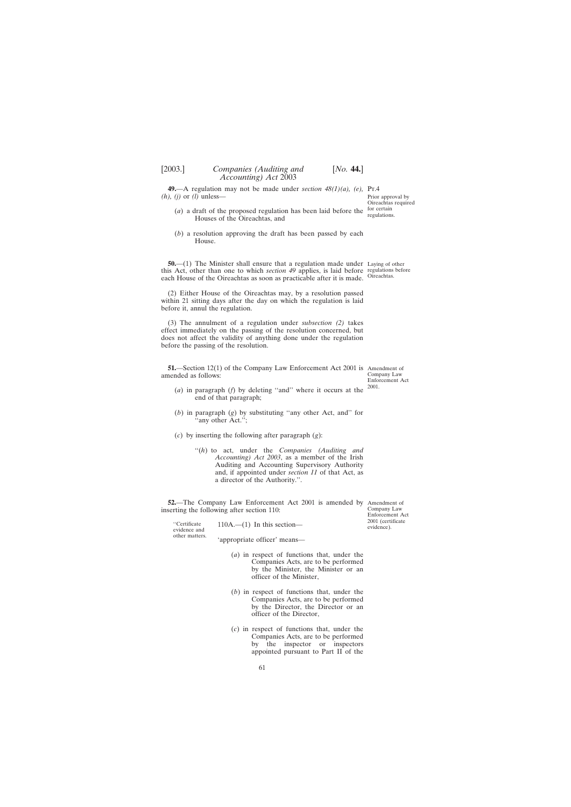<span id="page-60-0"></span>**49.**—A regulation may not be made under *section 48(1)(a)*, *(e)*, Pr.4 *(h), (j)* or *(l)* unless— Prior approval by Oireachtas required

- (*a*) a draft of the proposed regulation has been laid before the  $\frac{\text{for certain}}{\text{reculation}}$ Houses of the Oireachtas, and regulations.
- (*b*) a resolution approving the draft has been passed by each House.

**50.**—(1) The Minister shall ensure that a regulation made under Laying of other this Act, other than one to which *section 49* applies, is laid before each House of the Oireachtas as soon as practicable after it is made. regulations before Oireachtas.

(2) Either House of the Oireachtas may, by a resolution passed within 21 sitting days after the day on which the regulation is laid before it, annul the regulation.

(3) The annulment of a regulation under *subsection (2)* takes effect immediately on the passing of the resolution concerned, but does not affect the validity of anything done under the regulation before the passing of the resolution.

**51.**—Section 12(1) of the Company Law Enforcement Act 2001 is Amendment of amended as follows:

Company Law Enforcement Act 2001.

- (*a*) in paragraph (*f*) by deleting ''and'' where it occurs at the end of that paragraph;
- (*b*) in paragraph (*g*) by substituting ''any other Act, and'' for any other Act.";
- (*c*) by inserting the following after paragraph (*g*):
	- ''(*h*) to act, under the *Companies (Auditing and Accounting) Act 2003*, as a member of the Irish Auditing and Accounting Supervisory Authority and, if appointed under *section 11* of that Act, as a director of the Authority.''.

**52.**—The Company Law Enforcement Act 2001 is amended by Amendment of inserting the following after section 110:

"Certificate  $110A$ .—(1) In this section—<br>evidence and

other matters. 'appropriate officer' means—

- (*a*) in respect of functions that, under the Companies Acts, are to be performed by the Minister, the Minister or an officer of the Minister,
- (*b*) in respect of functions that, under the Companies Acts, are to be performed by the Director, the Director or an officer of the Director,
- (*c*) in respect of functions that, under the Companies Acts, are to be performed by the inspector or inspectors appointed pursuant to Part II of the

Company Law Enforcement Act 2001 (certificate evidence).

61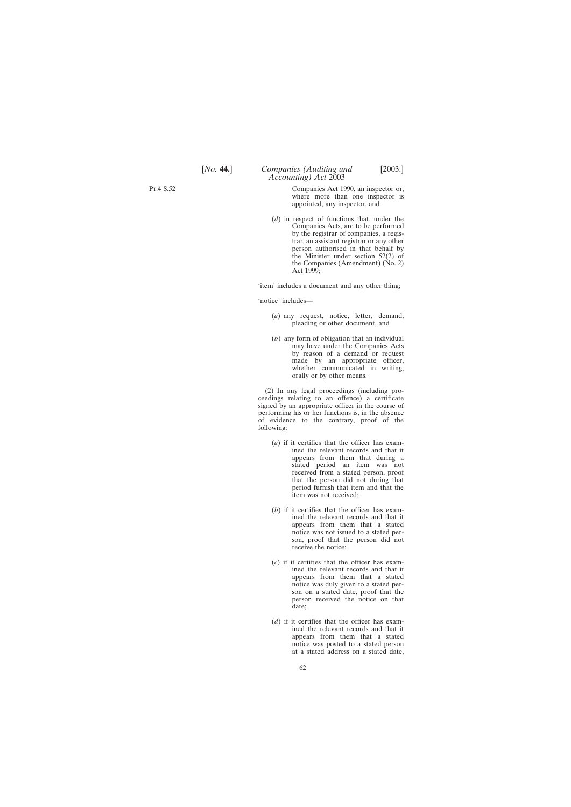Companies Act 1990, an inspector or, where more than one inspector is appointed, any inspector, and

*Accounting) Act* 2003

(*d*) in respect of functions that, under the Companies Acts, are to be performed by the registrar of companies, a registrar, an assistant registrar or any other person authorised in that behalf by the Minister under section 52(2) of the Companies (Amendment) (No. 2) Act 1999;

'item' includes a document and any other thing;

'notice' includes—

- (*a*) any request, notice, letter, demand, pleading or other document, and
- (*b*) any form of obligation that an individual may have under the Companies Acts by reason of a demand or request made by an appropriate officer, whether communicated in writing, orally or by other means.

(2) In any legal proceedings (including proceedings relating to an offence) a certificate signed by an appropriate officer in the course of performing his or her functions is, in the absence of evidence to the contrary, proof of the following:

- (*a*) if it certifies that the officer has examined the relevant records and that it appears from them that during a stated period an item was not received from a stated person, proof that the person did not during that period furnish that item and that the item was not received;
- (*b*) if it certifies that the officer has examined the relevant records and that it appears from them that a stated notice was not issued to a stated person, proof that the person did not receive the notice;
- (*c*) if it certifies that the officer has examined the relevant records and that it appears from them that a stated notice was duly given to a stated person on a stated date, proof that the person received the notice on that date;
- (*d*) if it certifies that the officer has examined the relevant records and that it appears from them that a stated notice was posted to a stated person at a stated address on a stated date,

Pt.4 S.52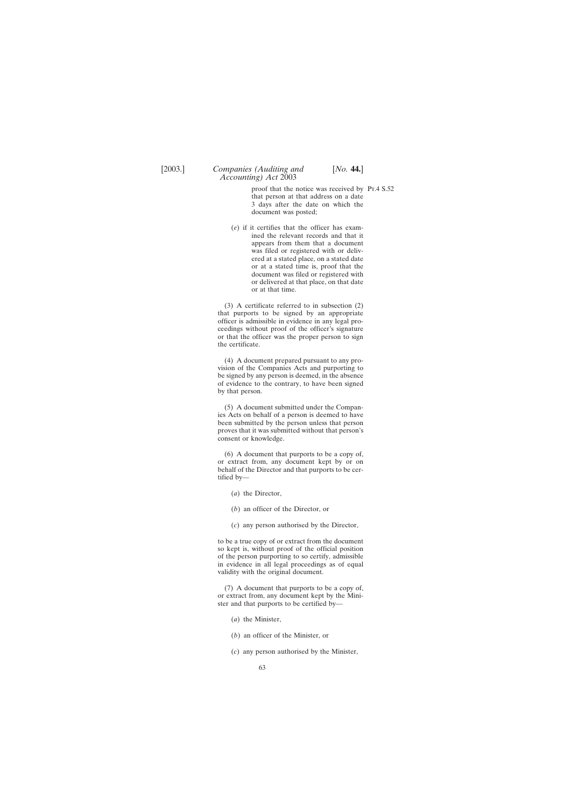proof that the notice was received by Pt.4 S.52that person at that address on a date 3 days after the date on which the document was posted;

(*e*) if it certifies that the officer has examined the relevant records and that it appears from them that a document was filed or registered with or delivered at a stated place, on a stated date or at a stated time is, proof that the document was filed or registered with or delivered at that place, on that date or at that time.

(3) A certificate referred to in subsection (2) that purports to be signed by an appropriate officer is admissible in evidence in any legal proceedings without proof of the officer's signature or that the officer was the proper person to sign the certificate.

(4) A document prepared pursuant to any provision of the Companies Acts and purporting to be signed by any person is deemed, in the absence of evidence to the contrary, to have been signed by that person.

(5) A document submitted under the Companies Acts on behalf of a person is deemed to have been submitted by the person unless that person proves that it was submitted without that person's consent or knowledge.

(6) A document that purports to be a copy of, or extract from, any document kept by or on behalf of the Director and that purports to be certified by—

- (*a*) the Director,
- (*b*) an officer of the Director, or
- (*c*) any person authorised by the Director,

to be a true copy of or extract from the document so kept is, without proof of the official position of the person purporting to so certify, admissible in evidence in all legal proceedings as of equal validity with the original document.

(7) A document that purports to be a copy of, or extract from, any document kept by the Minister and that purports to be certified by—

- (*a*) the Minister,
- (*b*) an officer of the Minister, or
- (*c*) any person authorised by the Minister,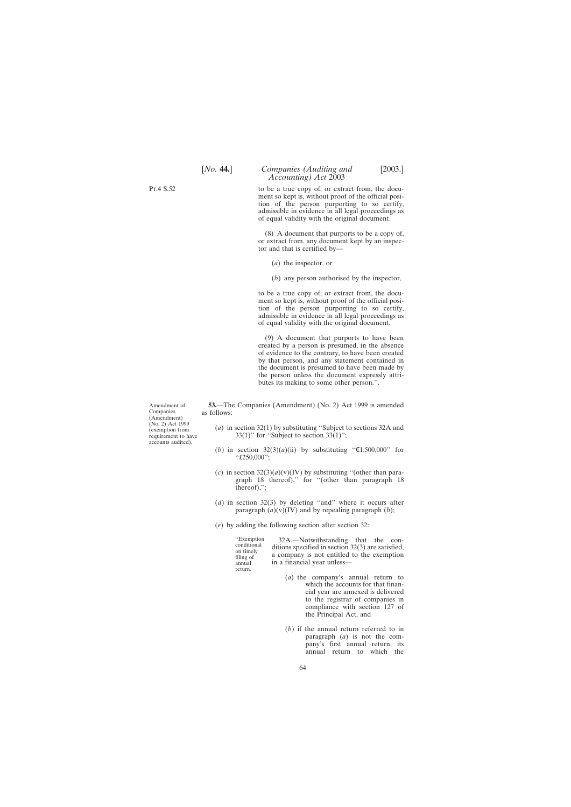# [*No.* **44.**] *Companies (Auditing and* [2003.] *Accounting) Act* 2003

to be a true copy of, or extract from, the document so kept is, without proof of the official position of the person purporting to so certify, admissible in evidence in all legal proceedings as of equal validity with the original document.

(8) A document that purports to be a copy of, or extract from, any document kept by an inspector and that is certified by—

- (*a*) the inspector, or
- (*b*) any person authorised by the inspector,

to be a true copy of, or extract from, the document so kept is, without proof of the official position of the person purporting to so certify, admissible in evidence in all legal proceedings as of equal validity with the original document.

(9) A document that purports to have been created by a person is presumed, in the absence of evidence to the contrary, to have been created by that person, and any statement contained in the document is presumed to have been made by the person unless the document expressly attributes its making to some other person.''.

**53.**—The Companies (Amendment) (No. 2) Act 1999 is amended as follows:

- (*a*) in section 32(1) by substituting ''Subject to sections 32A and 33(1)" for "Subject to section 33(1)";
- (*b*) in section  $32(3)(a)(ii)$  by substituting " $\in 1,500,000$ " for ''£250,000'';
- (*c*) in section  $32(3)(a)(v)(IV)$  by substituting "(other than paragraph 18 thereof).'' for ''(other than paragraph 18 thereof),'';
- (*d*) in section 32(3) by deleting ''and'' where it occurs after paragraph  $(a)(v)(IV)$  and by repealing paragraph  $(b)$ ;
- (*e*) by adding the following section after section 32:

return.

''Exemption 32A.—Notwithstanding that the con- conditional ditions specified in section 32(3) are satisfied, on timely a company is not entitled to the exemption filing of annual in a financial year unless—

- (*a*) the company's annual return to which the accounts for that financial year are annexed is delivered to the registrar of companies in compliance with section 127 of the Principal Act, and
- (*b*) if the annual return referred to in paragraph (*a*) is not the company's first annual return, its annual return to which the

Amendment of Companies (Amendment) (No. 2) Act 1999 (exemption from requirement to have accounts audited).

<span id="page-63-0"></span>Pt.4 S.52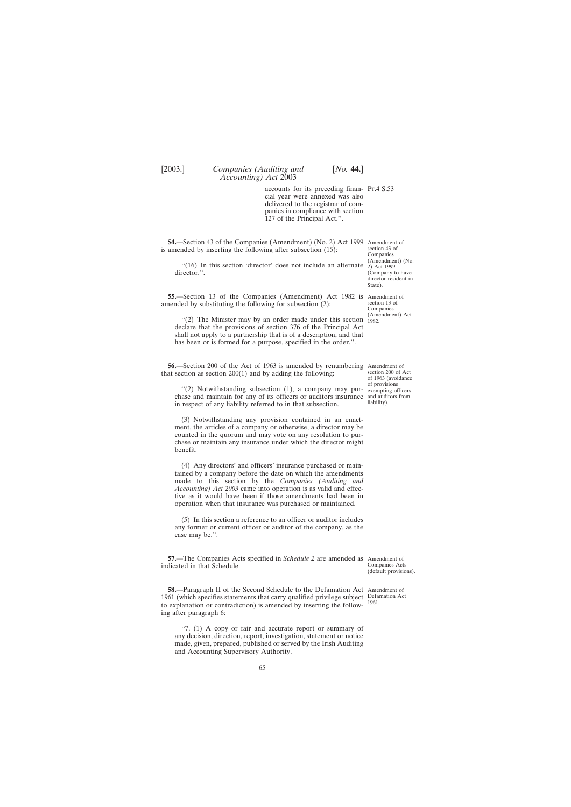<span id="page-64-0"></span>

accounts for its preceding finan-Pt.4 S.53 cial year were annexed was also delivered to the registrar of companies in compliance with section 127 of the Principal Act.''.

**54.**—Section 43 of the Companies (Amendment) (No. 2) Act 1999 Amendment of is amended by inserting the following after subsection (15):

"(16) In this section 'director' does not include an alternate  $\dot{p}$ ) Act 1999 director.".

**55.**—Section 13 of the Companies (Amendment) Act 1982 is Amendment of amended by substituting the following for subsection (2):

"(2) The Minister may by an order made under this section  $^{(Amendment)}_{1982}$ declare that the provisions of section 376 of the Principal Act shall not apply to a partnership that is of a description, and that has been or is formed for a purpose, specified in the order.''.

**56.**—Section 200 of the Act of 1963 is amended by renumbering Amendment of that section as section 200(1) and by adding the following:

''(2) Notwithstanding subsection (1), a company may purchase and maintain for any of its officers or auditors insurance and auditors from in respect of any liability referred to in that subsection.

(3) Notwithstanding any provision contained in an enactment, the articles of a company or otherwise, a director may be counted in the quorum and may vote on any resolution to purchase or maintain any insurance under which the director might benefit.

(4) Any directors' and officers' insurance purchased or maintained by a company before the date on which the amendments made to this section by the *Companies (Auditing and Accounting) Act 2003* came into operation is as valid and effective as it would have been if those amendments had been in operation when that insurance was purchased or maintained.

(5) In this section a reference to an officer or auditor includes any former or current officer or auditor of the company, as the case may be.''.

**57.**—The Companies Acts specified in *Schedule 2* are amended as Amendment of indicated in that Schedule.

**58.**—Paragraph II of the Second Schedule to the Defamation Act Amendment of 1961 (which specifies statements that carry qualified privilege subject Defamation Act to explanation or contradiction) is amended by inserting the follow-1961.ing after paragraph 6:

''7. (1) A copy or fair and accurate report or summary of any decision, direction, report, investigation, statement or notice made, given, prepared, published or served by the Irish Auditing and Accounting Supervisory Authority.

section 43 of Companies (Amendment) (No. (Company to have director resident in State).

section 13 of Companies 1982.

section 200 of Act of 1963 (avoidance of provisions exempting officers liability).

Companies Acts (default provisions).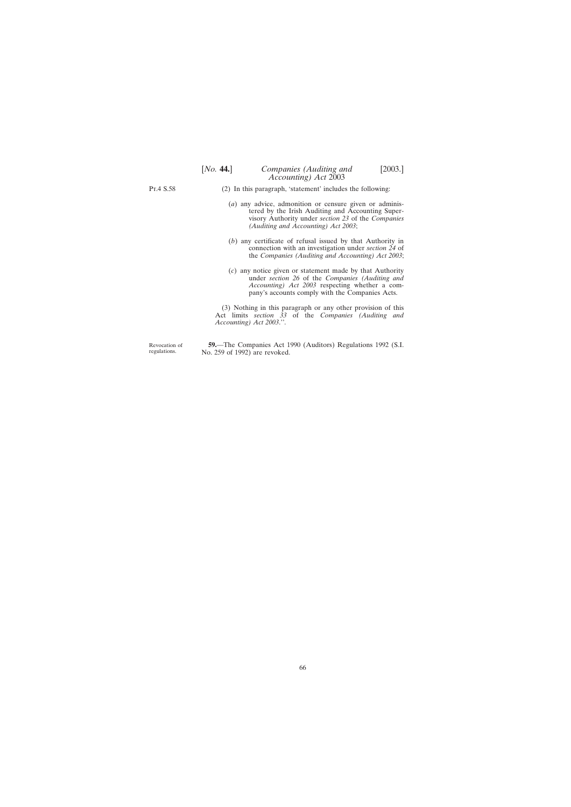<span id="page-65-0"></span>Pt.4 S.58

- (2) In this paragraph, 'statement' includes the following:
	- (*a*) any advice, admonition or censure given or administered by the Irish Auditing and Accounting Supervisory Authority under *section 23* of the *Companies (Auditing and Accounting) Act 2003*;
	- (*b*) any certificate of refusal issued by that Authority in connection with an investigation under *section 24* of the *Companies (Auditing and Accounting) Act 2003*;
	- (*c*) any notice given or statement made by that Authority under *section 26* of the *Companies (Auditing and Accounting) Act 2003* respecting whether a company's accounts comply with the Companies Acts.

(3) Nothing in this paragraph or any other provision of this Act limits *section 33* of the *Companies (Auditing and Accounting) Act 2003*.''.

Revocation of regulations.

**59.**—The Companies Act 1990 (Auditors) Regulations 1992 (S.I. No. 259 of 1992) are revoked.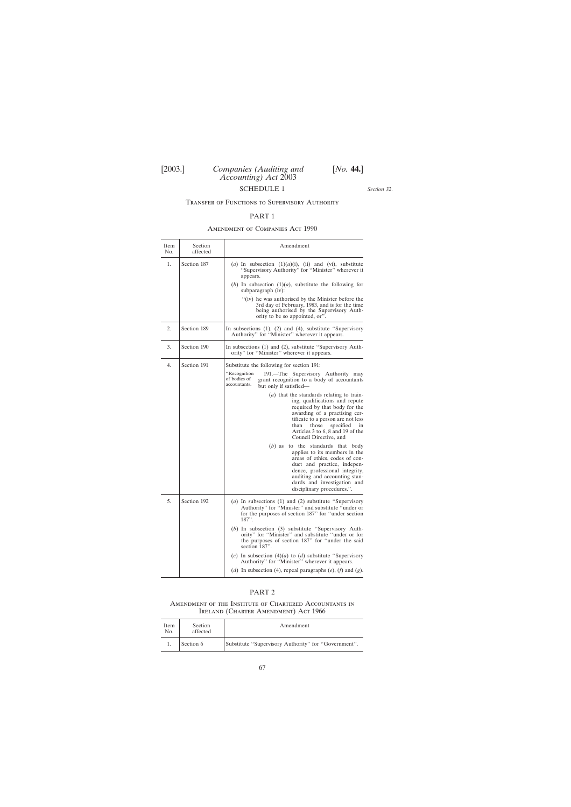## SCHEDULE 1

*Section 32*.

### <span id="page-66-0"></span>Transfer of Functions to Supervisory Authority

#### PART 1

### Amendment of Companies Act 1990

 $\overline{1}$ 

| Item<br>No. | Section<br>affected | Amendment                                                                                                                                                                                                                                                                                  |
|-------------|---------------------|--------------------------------------------------------------------------------------------------------------------------------------------------------------------------------------------------------------------------------------------------------------------------------------------|
| 1.          | Section 187         | (a) In subsection $(1)(a)(i)$ , (ii) and (vi), substitute<br>"Supervisory Authority" for "Minister" wherever it<br>appears.                                                                                                                                                                |
|             |                     | (b) In subsection $(1)(a)$ , substitute the following for<br>subparagraph (iv):                                                                                                                                                                                                            |
|             |                     | "(iv) he was authorised by the Minister before the<br>3rd day of February, 1983, and is for the time<br>being authorised by the Supervisory Auth-<br>ority to be so appointed, or".                                                                                                        |
| 2.          | Section 189         | In subsections $(1)$ , $(2)$ and $(4)$ , substitute "Supervisory<br>Authority" for "Minister" wherever it appears.                                                                                                                                                                         |
| 3.          | Section 190         | In subsections (1) and (2), substitute "Supervisory Auth-<br>ority" for "Minister" wherever it appears.                                                                                                                                                                                    |
| 4.          | Section 191         | Substitute the following for section 191:                                                                                                                                                                                                                                                  |
|             |                     | "Recognition"<br>191.—The Supervisory Authority may<br>of bodies of<br>grant recognition to a body of accountants<br>accountants.<br>but only if satisfied—                                                                                                                                |
|             |                     | ( <i>a</i> ) that the standards relating to train-<br>ing, qualifications and repute<br>required by that body for the<br>awarding of a practising cer-<br>tificate to a person are not less<br>those specified<br>than<br>in<br>Articles 3 to 6, 8 and 19 of the<br>Council Directive, and |
|             |                     | to the standards that body<br>$(b)$ as<br>applies to its members in the<br>areas of ethics, codes of con-<br>duct and practice, indepen-<br>dence, professional integrity,<br>auditing and accounting stan-<br>dards and investigation and<br>disciplinary procedures.".                   |
| 5.          | Section 192         | $(a)$ In subsections $(1)$ and $(2)$ substitute "Supervisory<br>Authority" for "Minister" and substitute "under or<br>for the purposes of section 187" for "under section<br>187".                                                                                                         |
|             |                     | $(b)$ In subsection $(3)$ substitute "Supervisory Auth-<br>ority" for "Minister" and substitute "under or for<br>the purposes of section 187" for "under the said<br>section 187".                                                                                                         |
|             |                     | (c) In subsection (4)( <i>a</i> ) to ( <i>d</i> ) substitute "Supervisory<br>Authority" for "Minister" wherever it appears.                                                                                                                                                                |
|             |                     | (d) In subsection (4), repeal paragraphs (e), (f) and (g).                                                                                                                                                                                                                                 |

#### PART 2

#### Amendment of the Institute of Chartered Accountants in Ireland (Charter Amendment) Act 1966

| Item<br>No. | Section<br>affected | Amendment                                            |
|-------------|---------------------|------------------------------------------------------|
|             | Section 6           | Substitute "Supervisory Authority" for "Government". |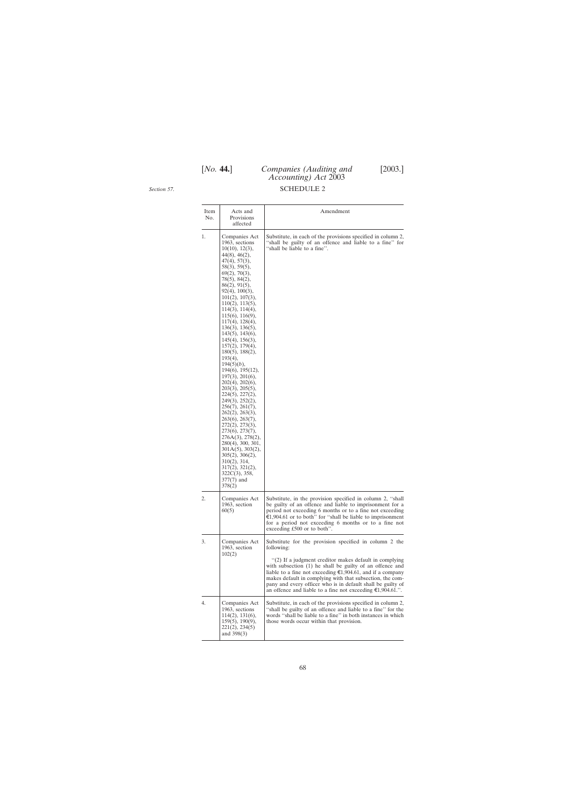# [*No.* **44.**] *Companies (Auditing and* [2003.] *Accounting) Act* 2003

<span id="page-67-0"></span>*Section 57*.

# SCHEDULE 2

| Item<br>No. | Acts and<br>Provisions<br>affected                                                                                                                                                                                                                                                                                                                                                                                                                                                                                                                                                                                                                                                                                                                                                                                                              | Amendment                                                                                                                                                                                                                                                                                                                                                                                                                                                              |
|-------------|-------------------------------------------------------------------------------------------------------------------------------------------------------------------------------------------------------------------------------------------------------------------------------------------------------------------------------------------------------------------------------------------------------------------------------------------------------------------------------------------------------------------------------------------------------------------------------------------------------------------------------------------------------------------------------------------------------------------------------------------------------------------------------------------------------------------------------------------------|------------------------------------------------------------------------------------------------------------------------------------------------------------------------------------------------------------------------------------------------------------------------------------------------------------------------------------------------------------------------------------------------------------------------------------------------------------------------|
| 1.          | Companies Act<br>1963, sections<br>10(10), 12(3),<br>44(8), 46(2),<br>47(4), 57(3),<br>58(3), 59(5),<br>69(2), 70(3),<br>$78(5)$ , $84(2)$ ,<br>86(2), 91(5),<br>$92(4)$ , $100(3)$ ,<br>101(2), 107(3),<br>110(2), 113(5),<br>114(3), 114(4),<br>115(6), 116(9),<br>$117(4)$ , $128(4)$ ,<br>136(3), 136(5),<br>$143(5)$ , $143(6)$ ,<br>145(4), 156(3),<br>157(2), 179(4),<br>$180(5)$ , $188(2)$ ,<br>$193(4)$ ,<br>$194(5)(b)$ ,<br>$194(6)$ , $195(12)$ ,<br>197(3), 201(6),<br>$202(4)$ , $202(6)$ ,<br>203(3), 205(5),<br>224(5), 227(2),<br>249(3), 252(2),<br>256(7), 261(7),<br>262(2), 263(3),<br>263(6), 263(7),<br>272(2), 273(3),<br>273(6), 273(7),<br>276A(3), 278(2),<br>280(4), 300, 301,<br>$301A(5)$ , $303(2)$ ,<br>305(2), 306(2),<br>$310(2)$ , $314$ ,<br>317(2), 321(2),<br>$322C(3)$ , 358,<br>$377(7)$ and<br>378(2) | Substitute, in each of the provisions specified in column 2,<br>"shall be guilty of an offence and liable to a fine" for<br>"shall be liable to a fine".                                                                                                                                                                                                                                                                                                               |
| 2.          | Companies Act<br>1963, section<br>60(5)                                                                                                                                                                                                                                                                                                                                                                                                                                                                                                                                                                                                                                                                                                                                                                                                         | Substitute, in the provision specified in column 2, "shall<br>be guilty of an offence and liable to imprisonment for a<br>period not exceeding 6 months or to a fine not exceeding<br>$\epsilon$ 1,904.61 or to both" for "shall be liable to imprisonment<br>for a period not exceeding 6 months or to a fine not<br>exceeding £500 or to both".                                                                                                                      |
| 3.          | Companies Act<br>1963, section<br>102(2)                                                                                                                                                                                                                                                                                                                                                                                                                                                                                                                                                                                                                                                                                                                                                                                                        | Substitute for the provision specified in column 2 the<br>following:<br>"(2) If a judgment creditor makes default in complying<br>with subsection (1) he shall be guilty of an offence and<br>liable to a fine not exceeding $\epsilon$ 1,904.61, and if a company<br>makes default in complying with that subsection, the com-<br>pany and every officer who is in default shall be guilty of<br>an offence and liable to a fine not exceeding $\epsilon$ 1,904.61.". |
| 4.          | Companies Act<br>1963, sections<br>114(2), 131(6),<br>$159(5)$ , $190(9)$ ,<br>221(2), 234(5)<br>and 398(3)                                                                                                                                                                                                                                                                                                                                                                                                                                                                                                                                                                                                                                                                                                                                     | Substitute, in each of the provisions specified in column 2,<br>"shall be guilty of an offence and liable to a fine" for the<br>words "shall be liable to a fine" in both instances in which<br>those words occur within that provision.                                                                                                                                                                                                                               |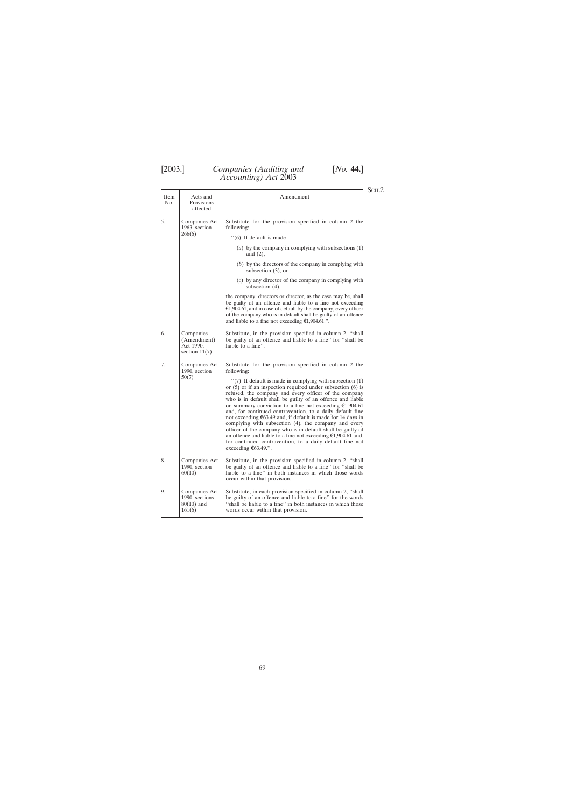Item Acts and Amendment No. Provisions affected 5. Companies Act Substitute for the provision specified in column 2 the 1963, section following: 1963, section  $266(6)$  $(6)$  If default is made— (*a*) by the company in complying with subsections (1) and (2), (*b*) by the directors of the company in complying with subsection (3), or (*c*) by any director of the company in complying with subsection (4), the company, directors or director, as the case may be, shall be guilty of an offence and liable to a fine not exceeding  $\epsilon$ 1,904.61, and in case of default by the company, every officer of the company who is in default shall be guilty of an offence and liable to a fine not exceeding  $\epsilon$ 1,904.61.". 6. Companies Substitute, in the provision specified in column 2, "shall (Amendment) be guilty of an offence and liable to a fine" for "shall be (Amendment) be guilty of an offence and liable to a fine'' for "shall be Act 1990, liable to a fine". liable to a fine". section  $11(7)$ 7. Companies Act Substitute for the provision specified in column 2 the 1990, section following:<br>50(7)  $\left| \begin{array}{c} 1 \end{array} \right|$  $\lq(7)$  If default is made in complying with subsection (1) or (5) or if an inspection required under subsection (6) is refused, the company and every officer of the company who is in default shall be guilty of an offence and liable on summary conviction to a fine not exceeding  $\epsilon$ 1,904.61 and, for continued contravention, to a daily default fine not exceeding  $\epsilon$ 63.49 and, if default is made for 14 days in complying with subsection (4), the company and every officer of the company who is in default shall be guilty of an offence and liable to a fine not exceeding  $\epsilon$ 1,904.61 and, for continued contravention, to a daily default fine not exceeding  $\epsilon$ 63.49.". 8. Companies Act Substitute, in the provision specified in column 2, "shall  $\begin{bmatrix} 1990, \text{ section} \end{bmatrix}$  be guilty of an offence and liable to a fine" for "shall be 1990, section be guilty of an offence and liable to a fine'' for  $\frac{60(10)}{100}$  be guilty of an offence and liable to a fine'' in both instances in which those words liable to a fine" in both instances in which those words occur within that provision. 9. Companies Act Substitute, in each provision specified in column 2, "shall  $\left| \begin{array}{c} 9.990, \text{ sections} \\ 1990, \text{ sections} \end{array} \right|$ 1990, sections be guilty of an offence and liable to a fine'' for the words 80(10) and "shall be liable to a fine" in both instances in which those  $80(10)$  and  $\qquad$  ''shall be liable to a fine'' in both instances in which those words occur within that provision. words occur within that provision.

 $-$  Sch.2